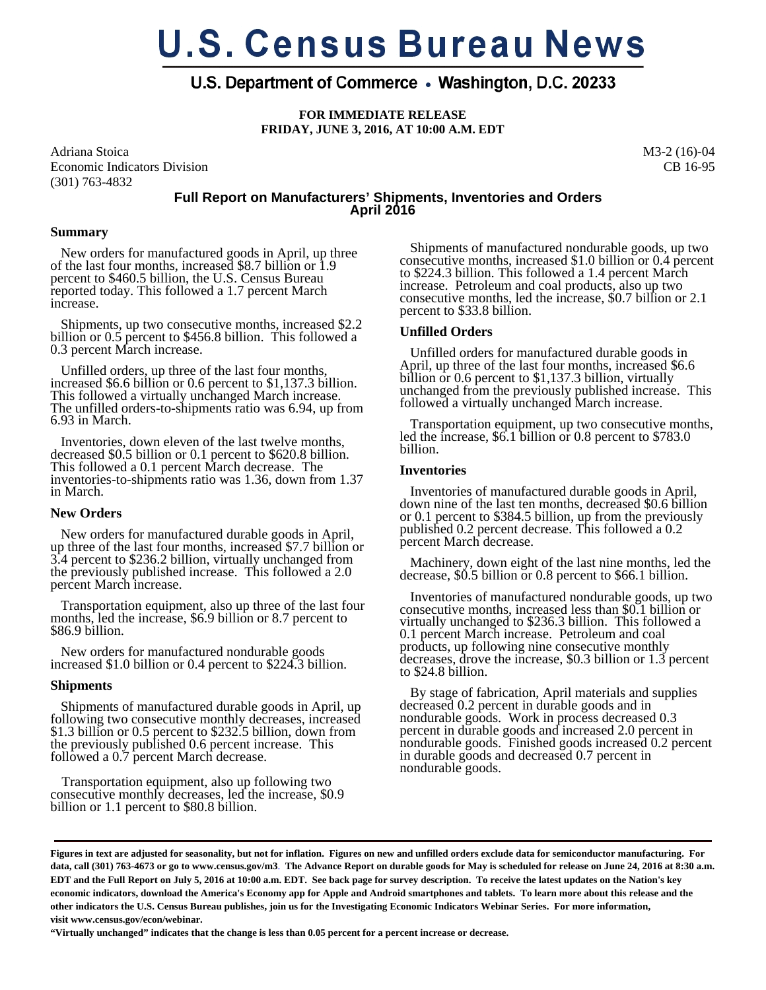# **U.S. Census Bureau News**

# U.S. Department of Commerce • Washington, D.C. 20233

**FOR IMMEDIATE RELEASE FRIDAY, JUNE 3, 2016, AT 10:00 A.M. EDT** 

Adriana Stoica Economic Indicators Division (301) 763-4832

M3-2 (16)-04 CB 16-95

# **Full Report on Manufacturers' Shipments, Inventories and Orders April 2016**

#### **Summary**

 New orders for manufactured goods in April, up three of the last four months, increased \$8.7 billion or 1.9 percent to \$460.5 billion, the U.S. Census Bureau reported today. This followed a 1.7 percent March increase.

 Shipments, up two consecutive months, increased \$2.2 billion or 0.5 percent to \$456.8 billion. This followed a 0.3 percent March increase.

 Unfilled orders, up three of the last four months, increased \$6.6 billion or 0.6 percent to \$1,137.3 billion. This followed a virtually unchanged March increase. The unfilled orders-to-shipments ratio was 6.94, up from 6.93 in March.

 Inventories, down eleven of the last twelve months, decreased \$0.5 billion or 0.1 percent to \$620.8 billion. This followed a 0.1 percent March decrease. The inventories-to-shipments ratio was 1.36, down from 1.37 in March.

# **New Orders**

 New orders for manufactured durable goods in April, up three of the last four months, increased \$7.7 billion or 3.4 percent to \$236.2 billion, virtually unchanged from the previously published increase. This followed a 2.0 percent March increase.

 Transportation equipment, also up three of the last four months, led the increase, \$6.9 billion or 8.7 percent to \$86.9 billion.

 New orders for manufactured nondurable goods increased \$1.0 billion or 0.4 percent to \$224.3 billion.

#### **Shipments**

 Shipments of manufactured durable goods in April, up following two consecutive monthly decreases, increased \$1.3 billion or 0.5 percent to \$232.5 billion, down from the previously published 0.6 percent increase. This followed a 0.7 percent March decrease.

 Transportation equipment, also up following two consecutive monthly decreases, led the increase, \$0.9 billion or 1.1 percent to \$80.8 billion.

 Shipments of manufactured nondurable goods, up two consecutive months, increased \$1.0 billion or 0.4 percent to \$224.3 billion. This followed a 1.4 percent March increase. Petroleum and coal products, also up two consecutive months, led the increase, \$0.7 billion or 2.1 percent to \$33.8 billion.

# **Unfilled Orders**

 Unfilled orders for manufactured durable goods in April, up three of the last four months, increased \$6.6 billion or 0.6 percent to \$1,137.3 billion, virtually unchanged from the previously published increase. This followed a virtually unchanged March increase.

 Transportation equipment, up two consecutive months, led the increase, \$6.1 billion or 0.8 percent to \$783.0 billion.

# **Inventories**

 Inventories of manufactured durable goods in April, down nine of the last ten months, decreased \$0.6 billion or 0.1 percent to \$384.5 billion, up from the previously published 0.2 percent decrease. This followed a 0.2 percent March decrease.

 Machinery, down eight of the last nine months, led the decrease, \$0.5 billion or 0.8 percent to \$66.1 billion.

 Inventories of manufactured nondurable goods, up two consecutive months, increased less than \$0.1 billion or virtually unchanged to \$236.3 billion. This followed a 0.1 percent March increase. Petroleum and coal products, up following nine consecutive monthly decreases, drove the increase, \$0.3 billion or 1.3 percent to \$24.8 billion.

 By stage of fabrication, April materials and supplies decreased 0.2 percent in durable goods and in nondurable goods. Work in process decreased 0.3 percent in durable goods and increased 2.0 percent in nondurable goods. Finished goods increased 0.2 percent in durable goods and decreased 0.7 percent in nondurable goods.

**"Virtually unchanged" indicates that the change is less than 0.05 percent for a percent increase or decrease.** 

**Figures in text are adjusted for seasonality, but not for inflation. Figures on new and unfilled orders exclude data for semiconductor manufacturing. For data, call (301) 763-4673 or go to www.census.gov/m3**. **The Advance Report on durable goods for May is scheduled for release on June 24, 2016 at 8:30 a.m. EDT and the Full Report on July 5, 2016 at 10:00 a.m. EDT. See back page for survey description. To receive the latest updates on the Nation's key economic indicators, download the America's Economy app for Apple and Android smartphones and tablets. To learn more about this release and the other indicators the U.S. Census Bureau publishes, join us for the Investigating Economic Indicators Webinar Series. For more information, visit www.census.gov/econ/webinar.**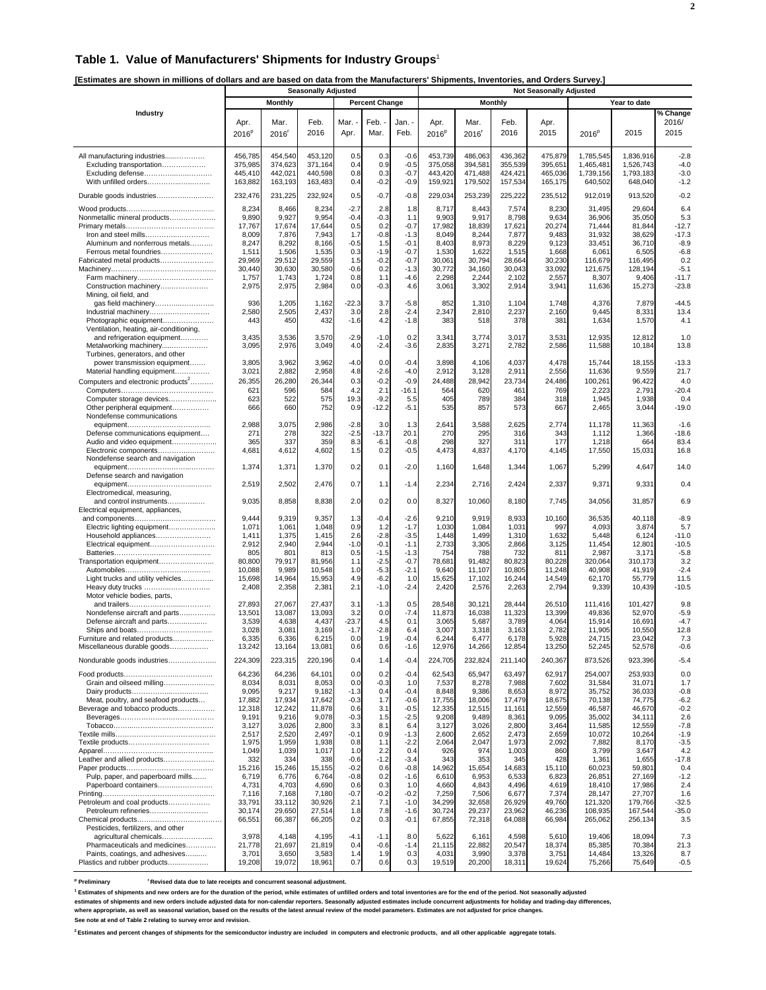#### **Table 1. Value of Manufacturers' Shipments for Industry Groups**<sup>1</sup>

**[Estimates are shown in millions of dollars and are based on data from the Manufacturers' Shipments, Inventories, and Orders Survey.]** 

| <b>Monthly</b><br><b>Percent Change</b><br><b>Monthly</b><br>Year to date<br>% Change<br>Industry<br>Feb.<br>Mar.<br>Mar.<br>Feb.<br>2016/<br>Apr.<br>Mar.<br>Feb.<br>Jan.<br>Apr.<br>Apr.<br>2016 <sup>p</sup><br>2016<br>$2016^p$<br>2016<br>2015<br>2015<br>2015<br>2016'<br>Apr.<br>Mar.<br>Feb.<br>2016 <sup>r</sup><br>$2016^p$<br>454,540<br>453,120<br>0.3<br>$-0.6$<br>486,063<br>475,879<br>1,785,545<br>1,836,916<br>$-2.8$<br>All manufacturing industries<br>456,785<br>0.5<br>453,739<br>436,362<br>375,985<br>374,623<br>371,164<br>0.9<br>$-0.5$<br>375,058<br>394,581<br>355,539<br>395,651<br>1,465,481<br>1,526,743<br>$-4.0$<br>Excluding transportation<br>0.4<br>442,021<br>440,598<br>0.3<br>443.420<br>471,488<br>424,421<br>465,036<br>$-3.0$<br>Excluding defense<br>445,410<br>0.8<br>$-0.7$<br>1.739.156<br>1,793,183<br>With unfilled orders<br>163,882<br>163,193<br>163,483<br>$-0.2$<br>$-0.9$<br>159,921<br>179,502<br>157,534<br>640,502<br>648,040<br>$-1.2$<br>0.4<br>165,175<br>232,476<br>232,924<br>225,222<br>231,225<br>0.5<br>$-0.7$<br>$-0.8$<br>229,034<br>253,239<br>235,512<br>912,019<br>913,520<br>$-0.2$<br>Durable goods industries<br>8,234<br>8,466<br>8,234<br>$-2.7$<br>2.8<br>8,717<br>8,443<br>7,574<br>8,230<br>31,495<br>29,604<br>6.4<br>1.8<br>$-0.3$<br>9,890<br>9,927<br>9,954<br>$-0.4$<br>9,903<br>9,917<br>8,798<br>36,906<br>35,050<br>5.3<br>Nonmetallic mineral products<br>1.1<br>9,634<br>17,767<br>17,674<br>0.5<br>0.2<br>$-0.7$<br>17,982<br>18,839<br>17,621<br>20,274<br>71,444<br>$-12.7$<br>17,644<br>81,844<br>$-0.8$<br>7,876<br>8,049<br>8,244<br>31,932<br>38,629<br>$-17.3$<br>Iron and steel mills<br>8,009<br>7,943<br>1.7<br>$-1.3$<br>7,877<br>9,483<br>8,247<br>8,292<br>8,166<br>$-0.5$<br>1.5<br>8,403<br>8,973<br>8,229<br>33,451<br>36,710<br>$-8.9$<br>Aluminum and nonferrous metals<br>$-0.1$<br>9,123<br>0.3<br>$-1.9$<br>1,530<br>1,622<br>$-6.8$<br>Ferrous metal foundries<br>1,511<br>1,506<br>1,535<br>$-0.7$<br>1,515<br>1,668<br>6,061<br>6,505<br>29,969<br>29,512<br>29,559<br>1.5<br>$-0.2$<br>$-0.7$<br>30,061<br>30,794<br>28,664<br>30,230<br>116,679<br>116,495<br>0.2<br>Fabricated metal products<br>$-0.6$<br>0.2<br>30,043<br>$-5.1$<br>30,440<br>30,630<br>30,580<br>$-1.3$<br>30,772<br>34,160<br>33,092<br>121,675<br>128,194<br>1,757<br>1,743<br>0.8<br>1.1<br>$-4.6$<br>2,298<br>2,244<br>2,102<br>2,557<br>9,406<br>$-11.7$<br>1,724<br>8,307<br>Farm machinery<br>2,975<br>2,975<br>2,984<br>$-0.3$<br>3,061<br>3,302<br>$-23.8$<br>Construction machinery<br>0.0<br>4.6<br>2,914<br>3,941<br>11,636<br>15,273<br>Mining, oil field, and<br>936<br>1,205<br>1,162<br>$-22.3$<br>3.7<br>$-5.8$<br>852<br>1,310<br>1,104<br>1,748<br>4,376<br>7,879<br>$-44.5$<br>gas field machinery<br>2,580<br>2,505<br>2,437<br>3.0<br>2.8<br>$-2.4$<br>2,347<br>2,810<br>2,237<br>9,445<br>8,331<br>13.4<br>2,160<br>Industrial machinery<br>443<br>450<br>432<br>$-1.6$<br>4.2<br>$-1.8$<br>383<br>518<br>378<br>381<br>1,634<br>1,570<br>4.1<br>Photographic equipment<br>Ventilation, heating, air-conditioning,<br>3,435<br>3,536<br>3,570<br>$-2.9$<br>$-1.0$<br>0.2<br>3,341<br>3,017<br>3,531<br>12,935<br>12,812<br>1.0<br>and refrigeration equipment<br>3,774<br>$-2.4$<br>$-3.6$<br>2,835<br>Metalworking machinery<br>3,095<br>2,976<br>3,049<br>4.0<br>3,271<br>2,782<br>2,586<br>11,588<br>10,184<br>13.8<br>Turbines, generators, and other<br>3,805<br>3,962<br>3,962<br>$-4.0$<br>0.0<br>$-0.4$<br>3,898<br>4,106<br>4,037<br>4,478<br>15,744<br>18,155<br>$-13.3$<br>power transmission equipment<br>3,021<br>2,882<br>2,958<br>4.8<br>$-2.6$<br>2,912<br>3,128<br>2,911<br>2,556<br>9,559<br>21.7<br>Material handling equipment<br>$-4.0$<br>11,636<br>26,355<br>26,280<br>26,344<br>0.3<br>$-0.2$<br>$-0.9$<br>24,488<br>28,942<br>23,734<br>24,486<br>100,261<br>96,422<br>4.0<br>Computers and electronic products <sup>2</sup><br>621<br>2.1<br>2,223<br>2,791<br>596<br>584<br>4.2<br>$-16.1$<br>564<br>620<br>461<br>769<br>$-20.4$<br>623<br>522<br>575<br>19.3<br>$-9.2$<br>405<br>384<br>1,938<br>0.4<br>Computer storage devices<br>5.5<br>789<br>318<br>1,945<br>660<br>$-12.2$<br>535<br>3,044<br>$-19.0$<br>Other peripheral equipment<br>666<br>752<br>0.9<br>$-5.1$<br>857<br>573<br>667<br>2,465<br>Nondefense communications<br>2,988<br>3,075<br>2,986<br>3.0<br>2,641<br>2,625<br>2,774<br>11,178<br>11,363<br>$-1.6$<br>$-2.8$<br>1.3<br>3,588<br>271<br>278<br>322<br>$-2.5$<br>$-13.7$<br>20.1<br>270<br>295<br>316<br>343<br>1,366<br>$-18.6$<br>Defense communications equipment<br>1,112<br>365<br>337<br>359<br>8.3<br>$-6.1$<br>$-0.8$<br>298<br>327<br>311<br>177<br>1,218<br>664<br>83.4<br>Audio and video equipment<br>4,473<br>4,837<br>17,550<br>15,031<br>16.8<br>4,681<br>4,612<br>4,602<br>1.5<br>0.2<br>$-0.5$<br>4,170<br>4,145<br>Electronic components<br>Nondefense search and navigation<br>1,374<br>1,371<br>1,370<br>0.2<br>0.1<br>$-2.0$<br>1,067<br>5,299<br>4,647<br>14.0<br>1,160<br>1,648<br>1,344<br>Defense search and navigation<br>2,502<br>0.7<br>$-1.4$<br>2,234<br>2,424<br>2,337<br>9,331<br>0.4<br>2,519<br>2,476<br>1.1<br>2,716<br>9,371<br>Electromedical, measuring,<br>6.9<br>and control instruments<br>9,035<br>8,858<br>8,838<br>2.0<br>0.2<br>0.0<br>8,327<br>10,060<br>8,180<br>7,745<br>34,056<br>31,857<br>Electrical equipment, appliances,<br>9,444<br>9,319<br>9,357<br>$-0.4$<br>$-2.6$<br>9,210<br>9,919<br>8,933<br>36,535<br>$-8.9$<br>1.3<br>10,160<br>40,118<br>1,071<br>0.9<br>1,084<br>1,031<br>4,093<br>5.7<br>1,061<br>1,048<br>1.2<br>1,030<br>997<br>3,874<br>Electric lighting equipment<br>$-1.7$<br>2.6<br>$-2.8$<br>$-3.5$<br>1,448<br>1,499<br>1,310<br>$-11.0$<br>Household appliances<br>1,411<br>1,375<br>1,415<br>1,632<br>5,448<br>6,124<br>2,912<br>2,940<br>2,944<br>$-1.0$<br>$-0.1$<br>2,733<br>3,305<br>2,866<br>3,125<br>$-10.5$<br>Electrical equipment<br>$-1.1$<br>11,454<br>12,801<br>805<br>801<br>813<br>0.5<br>$-1.5$<br>788<br>732<br>2,987<br>3,171<br>$-5.8$<br>$-1.3$<br>754<br>811<br>1.1<br>$-2.5$<br>3.2<br>Transportation equipment<br>80,800<br>79,917<br>81,956<br>$-0.7$<br>78,681<br>91,482<br>80,823<br>80,228<br>320,064<br>310,173<br>10,088<br>9,989<br>10,548<br>1.0<br>$-5.3$<br>$-2.1$<br>9,640<br>11,107<br>10,805<br>11,248<br>40,908<br>41,919<br>$-2.4$<br>15,698<br>14,964<br>15,953<br>$-6.2$<br>15,625<br>17,102<br>16,244<br>11.5<br>Light trucks and utility vehicles<br>4.9<br>1.0<br>14,549<br>62,170<br>55,779<br>2.1<br>$-1.0$<br>$-2.4$<br>$-10.5$<br>Heavy duty trucks<br>2,408<br>2,358<br>2,381<br>2,420<br>2,576<br>2,263<br>2,794<br>9,339<br>10,439<br>Motor vehicle bodies, parts,<br>27,893<br>27,067<br>27,437<br>$-1.3$<br>0.5<br>28,548<br>30,121<br>28,444<br>26,510<br>101,427<br>9.8<br>3.1<br>111,416<br>13,501<br>13,093<br>0.0<br>11,873<br>16,038<br>11,323<br>52,970<br>$-5.9$<br>Nondefense aircraft and parts<br>13,087<br>3.2<br>$-7.4$<br>13,399<br>49,836<br>$-4.7$<br>4,437<br>$-23.7$<br>4.5<br>0.1<br>5,687<br>3,789<br>15,914<br>Defense aircraft and parts<br>3,539<br>4,638<br>3,065<br>4,064<br>16,691<br>3,028<br>3,081<br>3,169<br>$-1.7$<br>$-2.8$<br>6.4<br>3,007<br>3,163<br>2,782<br>11,905<br>10,550<br>12.8<br>3,318<br>0.0<br>7.3<br>Furniture and related products<br>6,335<br>6,336<br>6,215<br>1.9<br>$-0.4$<br>6,244<br>6,477<br>6,178<br>5,928<br>24,715<br>23,042<br>0.6<br>Miscellaneous durable goods<br>13,242<br>13,164<br>13,081<br>0.6<br>-1.6<br>12.976<br>14,266<br>12,854<br>13,250<br>52,245<br>52,578<br>-0.6<br>224,309<br>223,315<br>220,196<br>232,824<br>923,396<br>Nondurable goods industries<br>0.4<br>1.4<br>$-0.4$<br>224,705<br>211,140<br>240,367<br>873,526<br>$-5.4$<br>64,236<br>64,236<br>64,101<br>0.0<br>0.2<br>$-0.4$<br>62,543<br>65,947<br>63,497<br>62,917<br>254,007<br>253,933<br>0.0<br>8,034<br>8,053<br>0.0<br>$-0.3$<br>7,537<br>8,278<br>7,988<br>31,584<br>31,071<br>1.7<br>Grain and oilseed milling<br>8,031<br>1.0<br>7,602<br>9,095<br>0.4<br>$-0.4$<br>9,386<br>8,653<br>36,033<br>$-0.8$<br>9,217<br>9,182<br>$-1.3$<br>8,848<br>8,972<br>35,752<br>1.7<br>$-0.6$<br>$-6.2$<br>Meat, poultry, and seafood products<br>17,882<br>17,934<br>17,642<br>$-0.3$<br>17,755<br>18,006<br>17,479<br>18,675<br>70,138<br>74,775<br>12,318<br>12,242<br>11,878<br>0.6<br>3.1<br>$-0.5$<br>12,335<br>12,515<br>11,161<br>12,559<br>46,587<br>46,670<br>$-0.2$<br>Beverage and tobacco products<br>9,208<br>2.6<br>9,191<br>9,216<br>9,078<br>$-0.3$<br>1.5<br>$-2.5$<br>9,489<br>8,361<br>9,095<br>35,002<br>34,111<br>3,026<br>2,800<br>3.3<br>8.1<br>6.4<br>3,026<br>2,800<br>3,464<br>11,585<br>$-7.8$<br>3,127<br>3,127<br>12,559<br>$-0.1$<br>0.9<br>$-1.9$<br>2,517<br>2,520<br>2,497<br>$-1.3$<br>2,600<br>2,652<br>2,473<br>2,659<br>10,072<br>10,264<br>1,975<br>1,959<br>0.8<br>1.1<br>$-2.2$<br>2,064<br>2,047<br>1,973<br>2,092<br>7,882<br>$-3.5$<br>1,938<br>8,170<br>2.2<br>1,049<br>1,039<br>926<br>974<br>1,003<br>860<br>3,647<br>4.2<br>1,017<br>1.0<br>0.4<br>3,799<br>332<br>$-0.6$<br>$-1.2$<br>$-17.8$<br>Leather and allied products<br>334<br>338<br>$-3.4$<br>343<br>353<br>345<br>428<br>1,361<br>1,655<br>15,216<br>15,246<br>$-0.2$<br>0.6<br>14,962<br>15,654<br>14,683<br>59,801<br>0.4<br>15,155<br>$-0.8$<br>15,110<br>60,023<br>$-0.8$<br>0.2<br>6,610<br>6,953<br>6,533<br>6,823<br>26,851<br>$-1.2$<br>Pulp, paper, and paperboard mills<br>6,719<br>6,776<br>6,764<br>$-1.6$<br>27,169<br>4,731<br>4,703<br>4,690<br>0.6<br>0.3<br>4,660<br>4,843<br>4,496<br>4,619<br>18,410<br>17,986<br>2.4<br>Paperboard containers<br>1.0<br>$-0.2$<br>7,116<br>7,168<br>7,180<br>$-0.7$<br>$-0.2$<br>7,259<br>7,506<br>6,677<br>7,374<br>28,147<br>27,707<br>1.6<br>33,791<br>30,926<br>2.1<br>7.1<br>$-1.0$<br>34,299<br>32,658<br>26,929<br>49,760<br>121,320<br>179,766<br>$-32.5$<br>Petroleum and coal products<br>33,112<br>30,174<br>29,650<br>27,514<br>7.8<br>$-1.6$<br>29,237<br>23,962<br>108,935<br>$-35.0$<br>Petroleum refineries<br>1.8<br>30,724<br>46,236<br>167,544<br>0.3<br>64,088<br>66,551<br>66,387<br>66,205<br>0.2<br>$-0.1$<br>67,855<br>72,318<br>66,984<br>265,062<br>256,134<br>3.5<br>Pesticides, fertilizers, and other<br>3,978<br>4,148<br>4,195<br>8.0<br>5,622<br>4,598<br>5,610<br>19,406<br>agricultural chemicals<br>$-4.1$<br>$-1.1$<br>6,161<br>18,094<br>7.3<br>Pharmaceuticals and medicines<br>21,778<br>21,697<br>21,819<br>0.4<br>$-0.6$<br>21,115<br>22,882<br>20,547<br>18,374<br>85,385<br>70,384<br>21.3<br>$-1.4$<br>0.3<br>3,990<br>Paints, coatings, and adhesives<br>3,701<br>3,650<br>3,583<br>1.4<br>1.9<br>4,031<br>3,378<br>3,751<br>14,484<br>13,326<br>8.7<br>Plastics and rubber products<br>19,208<br>19,072<br>18,961<br>0.7<br>0.6<br>0.3<br>19,519<br>20,200<br>18,311<br>19,624<br>75,266<br>75,649<br>$-0.5$ |  | <b>Seasonally Adjusted</b> |  |  |  | <b>Not Seasonally Adjusted</b> |  |  |
|-------------------------------------------------------------------------------------------------------------------------------------------------------------------------------------------------------------------------------------------------------------------------------------------------------------------------------------------------------------------------------------------------------------------------------------------------------------------------------------------------------------------------------------------------------------------------------------------------------------------------------------------------------------------------------------------------------------------------------------------------------------------------------------------------------------------------------------------------------------------------------------------------------------------------------------------------------------------------------------------------------------------------------------------------------------------------------------------------------------------------------------------------------------------------------------------------------------------------------------------------------------------------------------------------------------------------------------------------------------------------------------------------------------------------------------------------------------------------------------------------------------------------------------------------------------------------------------------------------------------------------------------------------------------------------------------------------------------------------------------------------------------------------------------------------------------------------------------------------------------------------------------------------------------------------------------------------------------------------------------------------------------------------------------------------------------------------------------------------------------------------------------------------------------------------------------------------------------------------------------------------------------------------------------------------------------------------------------------------------------------------------------------------------------------------------------------------------------------------------------------------------------------------------------------------------------------------------------------------------------------------------------------------------------------------------------------------------------------------------------------------------------------------------------------------------------------------------------------------------------------------------------------------------------------------------------------------------------------------------------------------------------------------------------------------------------------------------------------------------------------------------------------------------------------------------------------------------------------------------------------------------------------------------------------------------------------------------------------------------------------------------------------------------------------------------------------------------------------------------------------------------------------------------------------------------------------------------------------------------------------------------------------------------------------------------------------------------------------------------------------------------------------------------------------------------------------------------------------------------------------------------------------------------------------------------------------------------------------------------------------------------------------------------------------------------------------------------------------------------------------------------------------------------------------------------------------------------------------------------------------------------------------------------------------------------------------------------------------------------------------------------------------------------------------------------------------------------------------------------------------------------------------------------------------------------------------------------------------------------------------------------------------------------------------------------------------------------------------------------------------------------------------------------------------------------------------------------------------------------------------------------------------------------------------------------------------------------------------------------------------------------------------------------------------------------------------------------------------------------------------------------------------------------------------------------------------------------------------------------------------------------------------------------------------------------------------------------------------------------------------------------------------------------------------------------------------------------------------------------------------------------------------------------------------------------------------------------------------------------------------------------------------------------------------------------------------------------------------------------------------------------------------------------------------------------------------------------------------------------------------------------------------------------------------------------------------------------------------------------------------------------------------------------------------------------------------------------------------------------------------------------------------------------------------------------------------------------------------------------------------------------------------------------------------------------------------------------------------------------------------------------------------------------------------------------------------------------------------------------------------------------------------------------------------------------------------------------------------------------------------------------------------------------------------------------------------------------------------------------------------------------------------------------------------------------------------------------------------------------------------------------------------------------------------------------------------------------------------------------------------------------------------------------------------------------------------------------------------------------------------------------------------------------------------------------------------------------------------------------------------------------------------------------------------------------------------------------------------------------------------------------------------------------------------------------------------------------------------------------------------------------------------------------------------------------------------------------------------------------------------------------------------------------------------------------------------------------------------------------------------------------------------------------------------------------------------------------------------------------------------------------------------------------------------------------------------------------------------------------------------------------------------------------------------------------------------------------------------------------------------------------------------------------------------------------------------------------------------------------------------------------------------------------------------------------------------------------------------------------------------------------------------------------------------------------------------------------------------------------------------------------------------------------------------------------------------------------------------------------------------------------------------------------------------------------------------------------------------------------------------------------------------------------------------------------------------------------------------------------------------------------------------------------------------------------------------------------------------------------------------------------------------------------------------------------------------------------------------------------------------------------------------------------------------------------------------------------------------------------------------------------------------------------------------------------------------------------------------------------------------------------------------------------------------------------------------------------------------------------------------------------------------------------------------------------------------------------------------------------------------------------------------------------------------------------------------------------------------------------------------------------------------------------------------------------------------------------------------------------------------------------------------------------------------------------------------------------------------------------------------------------------------------------------------------------------------------------------------------------------------------------------------------------------------------------------------------------------------------------------------------------------------------------------------------------------------------------------------------------------------------------------------------------------------------------------------------------------------------------------------------------------------------------------------------------------------------------------------------------------------------------------------------------------------------------------------------------------------------------------------------------------------------------------------------------------------------------------------------------------------------------------------------------------------------------------------------------------------|--|----------------------------|--|--|--|--------------------------------|--|--|
|                                                                                                                                                                                                                                                                                                                                                                                                                                                                                                                                                                                                                                                                                                                                                                                                                                                                                                                                                                                                                                                                                                                                                                                                                                                                                                                                                                                                                                                                                                                                                                                                                                                                                                                                                                                                                                                                                                                                                                                                                                                                                                                                                                                                                                                                                                                                                                                                                                                                                                                                                                                                                                                                                                                                                                                                                                                                                                                                                                                                                                                                                                                                                                                                                                                                                                                                                                                                                                                                                                                                                                                                                                                                                                                                                                                                                                                                                                                                                                                                                                                                                                                                                                                                                                                                                                                                                                                                                                                                                                                                                                                                                                                                                                                                                                                                                                                                                                                                                                                                                                                                                                                                                                                                                                                                                                                                                                                                                                                                                                                                                                                                                                                                                                                                                                                                                                                                                                                                                                                                                                                                                                                                                                                                                                                                                                                                                                                                                                                                                                                                                                                                                                                                                                                                                                                                                                                                                                                                                                                                                                                                                                                                                                                                                                                                                                                                                                                                                                                                                                                                                                                                                                                                                                                                                                                                                                                                                                                                                                                                                                                                                                                                                                                                                                                                                                                                                                                                                                                                                                                                                                                                                                                                                                                                                                                                                                                                                                                                                                                                                                                                                                                                                                                                                                                                                                                                                                                                                                                                                                                                                                                                                                                                                                                                                                                                                                                                                                                                                                                                                                                                                                                                                                                                                                                                                                                                                                                                                                                                                                                                                                                                                                                                                                                                                                                                                                                                                                                                                                         |  |                            |  |  |  |                                |  |  |
|                                                                                                                                                                                                                                                                                                                                                                                                                                                                                                                                                                                                                                                                                                                                                                                                                                                                                                                                                                                                                                                                                                                                                                                                                                                                                                                                                                                                                                                                                                                                                                                                                                                                                                                                                                                                                                                                                                                                                                                                                                                                                                                                                                                                                                                                                                                                                                                                                                                                                                                                                                                                                                                                                                                                                                                                                                                                                                                                                                                                                                                                                                                                                                                                                                                                                                                                                                                                                                                                                                                                                                                                                                                                                                                                                                                                                                                                                                                                                                                                                                                                                                                                                                                                                                                                                                                                                                                                                                                                                                                                                                                                                                                                                                                                                                                                                                                                                                                                                                                                                                                                                                                                                                                                                                                                                                                                                                                                                                                                                                                                                                                                                                                                                                                                                                                                                                                                                                                                                                                                                                                                                                                                                                                                                                                                                                                                                                                                                                                                                                                                                                                                                                                                                                                                                                                                                                                                                                                                                                                                                                                                                                                                                                                                                                                                                                                                                                                                                                                                                                                                                                                                                                                                                                                                                                                                                                                                                                                                                                                                                                                                                                                                                                                                                                                                                                                                                                                                                                                                                                                                                                                                                                                                                                                                                                                                                                                                                                                                                                                                                                                                                                                                                                                                                                                                                                                                                                                                                                                                                                                                                                                                                                                                                                                                                                                                                                                                                                                                                                                                                                                                                                                                                                                                                                                                                                                                                                                                                                                                                                                                                                                                                                                                                                                                                                                                                                                                                                                                                                         |  |                            |  |  |  |                                |  |  |
|                                                                                                                                                                                                                                                                                                                                                                                                                                                                                                                                                                                                                                                                                                                                                                                                                                                                                                                                                                                                                                                                                                                                                                                                                                                                                                                                                                                                                                                                                                                                                                                                                                                                                                                                                                                                                                                                                                                                                                                                                                                                                                                                                                                                                                                                                                                                                                                                                                                                                                                                                                                                                                                                                                                                                                                                                                                                                                                                                                                                                                                                                                                                                                                                                                                                                                                                                                                                                                                                                                                                                                                                                                                                                                                                                                                                                                                                                                                                                                                                                                                                                                                                                                                                                                                                                                                                                                                                                                                                                                                                                                                                                                                                                                                                                                                                                                                                                                                                                                                                                                                                                                                                                                                                                                                                                                                                                                                                                                                                                                                                                                                                                                                                                                                                                                                                                                                                                                                                                                                                                                                                                                                                                                                                                                                                                                                                                                                                                                                                                                                                                                                                                                                                                                                                                                                                                                                                                                                                                                                                                                                                                                                                                                                                                                                                                                                                                                                                                                                                                                                                                                                                                                                                                                                                                                                                                                                                                                                                                                                                                                                                                                                                                                                                                                                                                                                                                                                                                                                                                                                                                                                                                                                                                                                                                                                                                                                                                                                                                                                                                                                                                                                                                                                                                                                                                                                                                                                                                                                                                                                                                                                                                                                                                                                                                                                                                                                                                                                                                                                                                                                                                                                                                                                                                                                                                                                                                                                                                                                                                                                                                                                                                                                                                                                                                                                                                                                                                                                                                                         |  |                            |  |  |  |                                |  |  |
|                                                                                                                                                                                                                                                                                                                                                                                                                                                                                                                                                                                                                                                                                                                                                                                                                                                                                                                                                                                                                                                                                                                                                                                                                                                                                                                                                                                                                                                                                                                                                                                                                                                                                                                                                                                                                                                                                                                                                                                                                                                                                                                                                                                                                                                                                                                                                                                                                                                                                                                                                                                                                                                                                                                                                                                                                                                                                                                                                                                                                                                                                                                                                                                                                                                                                                                                                                                                                                                                                                                                                                                                                                                                                                                                                                                                                                                                                                                                                                                                                                                                                                                                                                                                                                                                                                                                                                                                                                                                                                                                                                                                                                                                                                                                                                                                                                                                                                                                                                                                                                                                                                                                                                                                                                                                                                                                                                                                                                                                                                                                                                                                                                                                                                                                                                                                                                                                                                                                                                                                                                                                                                                                                                                                                                                                                                                                                                                                                                                                                                                                                                                                                                                                                                                                                                                                                                                                                                                                                                                                                                                                                                                                                                                                                                                                                                                                                                                                                                                                                                                                                                                                                                                                                                                                                                                                                                                                                                                                                                                                                                                                                                                                                                                                                                                                                                                                                                                                                                                                                                                                                                                                                                                                                                                                                                                                                                                                                                                                                                                                                                                                                                                                                                                                                                                                                                                                                                                                                                                                                                                                                                                                                                                                                                                                                                                                                                                                                                                                                                                                                                                                                                                                                                                                                                                                                                                                                                                                                                                                                                                                                                                                                                                                                                                                                                                                                                                                                                                                                                         |  |                            |  |  |  |                                |  |  |
|                                                                                                                                                                                                                                                                                                                                                                                                                                                                                                                                                                                                                                                                                                                                                                                                                                                                                                                                                                                                                                                                                                                                                                                                                                                                                                                                                                                                                                                                                                                                                                                                                                                                                                                                                                                                                                                                                                                                                                                                                                                                                                                                                                                                                                                                                                                                                                                                                                                                                                                                                                                                                                                                                                                                                                                                                                                                                                                                                                                                                                                                                                                                                                                                                                                                                                                                                                                                                                                                                                                                                                                                                                                                                                                                                                                                                                                                                                                                                                                                                                                                                                                                                                                                                                                                                                                                                                                                                                                                                                                                                                                                                                                                                                                                                                                                                                                                                                                                                                                                                                                                                                                                                                                                                                                                                                                                                                                                                                                                                                                                                                                                                                                                                                                                                                                                                                                                                                                                                                                                                                                                                                                                                                                                                                                                                                                                                                                                                                                                                                                                                                                                                                                                                                                                                                                                                                                                                                                                                                                                                                                                                                                                                                                                                                                                                                                                                                                                                                                                                                                                                                                                                                                                                                                                                                                                                                                                                                                                                                                                                                                                                                                                                                                                                                                                                                                                                                                                                                                                                                                                                                                                                                                                                                                                                                                                                                                                                                                                                                                                                                                                                                                                                                                                                                                                                                                                                                                                                                                                                                                                                                                                                                                                                                                                                                                                                                                                                                                                                                                                                                                                                                                                                                                                                                                                                                                                                                                                                                                                                                                                                                                                                                                                                                                                                                                                                                                                                                                                                                         |  |                            |  |  |  |                                |  |  |
|                                                                                                                                                                                                                                                                                                                                                                                                                                                                                                                                                                                                                                                                                                                                                                                                                                                                                                                                                                                                                                                                                                                                                                                                                                                                                                                                                                                                                                                                                                                                                                                                                                                                                                                                                                                                                                                                                                                                                                                                                                                                                                                                                                                                                                                                                                                                                                                                                                                                                                                                                                                                                                                                                                                                                                                                                                                                                                                                                                                                                                                                                                                                                                                                                                                                                                                                                                                                                                                                                                                                                                                                                                                                                                                                                                                                                                                                                                                                                                                                                                                                                                                                                                                                                                                                                                                                                                                                                                                                                                                                                                                                                                                                                                                                                                                                                                                                                                                                                                                                                                                                                                                                                                                                                                                                                                                                                                                                                                                                                                                                                                                                                                                                                                                                                                                                                                                                                                                                                                                                                                                                                                                                                                                                                                                                                                                                                                                                                                                                                                                                                                                                                                                                                                                                                                                                                                                                                                                                                                                                                                                                                                                                                                                                                                                                                                                                                                                                                                                                                                                                                                                                                                                                                                                                                                                                                                                                                                                                                                                                                                                                                                                                                                                                                                                                                                                                                                                                                                                                                                                                                                                                                                                                                                                                                                                                                                                                                                                                                                                                                                                                                                                                                                                                                                                                                                                                                                                                                                                                                                                                                                                                                                                                                                                                                                                                                                                                                                                                                                                                                                                                                                                                                                                                                                                                                                                                                                                                                                                                                                                                                                                                                                                                                                                                                                                                                                                                                                                                                                         |  |                            |  |  |  |                                |  |  |
|                                                                                                                                                                                                                                                                                                                                                                                                                                                                                                                                                                                                                                                                                                                                                                                                                                                                                                                                                                                                                                                                                                                                                                                                                                                                                                                                                                                                                                                                                                                                                                                                                                                                                                                                                                                                                                                                                                                                                                                                                                                                                                                                                                                                                                                                                                                                                                                                                                                                                                                                                                                                                                                                                                                                                                                                                                                                                                                                                                                                                                                                                                                                                                                                                                                                                                                                                                                                                                                                                                                                                                                                                                                                                                                                                                                                                                                                                                                                                                                                                                                                                                                                                                                                                                                                                                                                                                                                                                                                                                                                                                                                                                                                                                                                                                                                                                                                                                                                                                                                                                                                                                                                                                                                                                                                                                                                                                                                                                                                                                                                                                                                                                                                                                                                                                                                                                                                                                                                                                                                                                                                                                                                                                                                                                                                                                                                                                                                                                                                                                                                                                                                                                                                                                                                                                                                                                                                                                                                                                                                                                                                                                                                                                                                                                                                                                                                                                                                                                                                                                                                                                                                                                                                                                                                                                                                                                                                                                                                                                                                                                                                                                                                                                                                                                                                                                                                                                                                                                                                                                                                                                                                                                                                                                                                                                                                                                                                                                                                                                                                                                                                                                                                                                                                                                                                                                                                                                                                                                                                                                                                                                                                                                                                                                                                                                                                                                                                                                                                                                                                                                                                                                                                                                                                                                                                                                                                                                                                                                                                                                                                                                                                                                                                                                                                                                                                                                                                                                                                                                         |  |                            |  |  |  |                                |  |  |
|                                                                                                                                                                                                                                                                                                                                                                                                                                                                                                                                                                                                                                                                                                                                                                                                                                                                                                                                                                                                                                                                                                                                                                                                                                                                                                                                                                                                                                                                                                                                                                                                                                                                                                                                                                                                                                                                                                                                                                                                                                                                                                                                                                                                                                                                                                                                                                                                                                                                                                                                                                                                                                                                                                                                                                                                                                                                                                                                                                                                                                                                                                                                                                                                                                                                                                                                                                                                                                                                                                                                                                                                                                                                                                                                                                                                                                                                                                                                                                                                                                                                                                                                                                                                                                                                                                                                                                                                                                                                                                                                                                                                                                                                                                                                                                                                                                                                                                                                                                                                                                                                                                                                                                                                                                                                                                                                                                                                                                                                                                                                                                                                                                                                                                                                                                                                                                                                                                                                                                                                                                                                                                                                                                                                                                                                                                                                                                                                                                                                                                                                                                                                                                                                                                                                                                                                                                                                                                                                                                                                                                                                                                                                                                                                                                                                                                                                                                                                                                                                                                                                                                                                                                                                                                                                                                                                                                                                                                                                                                                                                                                                                                                                                                                                                                                                                                                                                                                                                                                                                                                                                                                                                                                                                                                                                                                                                                                                                                                                                                                                                                                                                                                                                                                                                                                                                                                                                                                                                                                                                                                                                                                                                                                                                                                                                                                                                                                                                                                                                                                                                                                                                                                                                                                                                                                                                                                                                                                                                                                                                                                                                                                                                                                                                                                                                                                                                                                                                                                                                                         |  |                            |  |  |  |                                |  |  |
|                                                                                                                                                                                                                                                                                                                                                                                                                                                                                                                                                                                                                                                                                                                                                                                                                                                                                                                                                                                                                                                                                                                                                                                                                                                                                                                                                                                                                                                                                                                                                                                                                                                                                                                                                                                                                                                                                                                                                                                                                                                                                                                                                                                                                                                                                                                                                                                                                                                                                                                                                                                                                                                                                                                                                                                                                                                                                                                                                                                                                                                                                                                                                                                                                                                                                                                                                                                                                                                                                                                                                                                                                                                                                                                                                                                                                                                                                                                                                                                                                                                                                                                                                                                                                                                                                                                                                                                                                                                                                                                                                                                                                                                                                                                                                                                                                                                                                                                                                                                                                                                                                                                                                                                                                                                                                                                                                                                                                                                                                                                                                                                                                                                                                                                                                                                                                                                                                                                                                                                                                                                                                                                                                                                                                                                                                                                                                                                                                                                                                                                                                                                                                                                                                                                                                                                                                                                                                                                                                                                                                                                                                                                                                                                                                                                                                                                                                                                                                                                                                                                                                                                                                                                                                                                                                                                                                                                                                                                                                                                                                                                                                                                                                                                                                                                                                                                                                                                                                                                                                                                                                                                                                                                                                                                                                                                                                                                                                                                                                                                                                                                                                                                                                                                                                                                                                                                                                                                                                                                                                                                                                                                                                                                                                                                                                                                                                                                                                                                                                                                                                                                                                                                                                                                                                                                                                                                                                                                                                                                                                                                                                                                                                                                                                                                                                                                                                                                                                                                                                                         |  |                            |  |  |  |                                |  |  |
|                                                                                                                                                                                                                                                                                                                                                                                                                                                                                                                                                                                                                                                                                                                                                                                                                                                                                                                                                                                                                                                                                                                                                                                                                                                                                                                                                                                                                                                                                                                                                                                                                                                                                                                                                                                                                                                                                                                                                                                                                                                                                                                                                                                                                                                                                                                                                                                                                                                                                                                                                                                                                                                                                                                                                                                                                                                                                                                                                                                                                                                                                                                                                                                                                                                                                                                                                                                                                                                                                                                                                                                                                                                                                                                                                                                                                                                                                                                                                                                                                                                                                                                                                                                                                                                                                                                                                                                                                                                                                                                                                                                                                                                                                                                                                                                                                                                                                                                                                                                                                                                                                                                                                                                                                                                                                                                                                                                                                                                                                                                                                                                                                                                                                                                                                                                                                                                                                                                                                                                                                                                                                                                                                                                                                                                                                                                                                                                                                                                                                                                                                                                                                                                                                                                                                                                                                                                                                                                                                                                                                                                                                                                                                                                                                                                                                                                                                                                                                                                                                                                                                                                                                                                                                                                                                                                                                                                                                                                                                                                                                                                                                                                                                                                                                                                                                                                                                                                                                                                                                                                                                                                                                                                                                                                                                                                                                                                                                                                                                                                                                                                                                                                                                                                                                                                                                                                                                                                                                                                                                                                                                                                                                                                                                                                                                                                                                                                                                                                                                                                                                                                                                                                                                                                                                                                                                                                                                                                                                                                                                                                                                                                                                                                                                                                                                                                                                                                                                                                                                                         |  |                            |  |  |  |                                |  |  |
|                                                                                                                                                                                                                                                                                                                                                                                                                                                                                                                                                                                                                                                                                                                                                                                                                                                                                                                                                                                                                                                                                                                                                                                                                                                                                                                                                                                                                                                                                                                                                                                                                                                                                                                                                                                                                                                                                                                                                                                                                                                                                                                                                                                                                                                                                                                                                                                                                                                                                                                                                                                                                                                                                                                                                                                                                                                                                                                                                                                                                                                                                                                                                                                                                                                                                                                                                                                                                                                                                                                                                                                                                                                                                                                                                                                                                                                                                                                                                                                                                                                                                                                                                                                                                                                                                                                                                                                                                                                                                                                                                                                                                                                                                                                                                                                                                                                                                                                                                                                                                                                                                                                                                                                                                                                                                                                                                                                                                                                                                                                                                                                                                                                                                                                                                                                                                                                                                                                                                                                                                                                                                                                                                                                                                                                                                                                                                                                                                                                                                                                                                                                                                                                                                                                                                                                                                                                                                                                                                                                                                                                                                                                                                                                                                                                                                                                                                                                                                                                                                                                                                                                                                                                                                                                                                                                                                                                                                                                                                                                                                                                                                                                                                                                                                                                                                                                                                                                                                                                                                                                                                                                                                                                                                                                                                                                                                                                                                                                                                                                                                                                                                                                                                                                                                                                                                                                                                                                                                                                                                                                                                                                                                                                                                                                                                                                                                                                                                                                                                                                                                                                                                                                                                                                                                                                                                                                                                                                                                                                                                                                                                                                                                                                                                                                                                                                                                                                                                                                                                                         |  |                            |  |  |  |                                |  |  |
|                                                                                                                                                                                                                                                                                                                                                                                                                                                                                                                                                                                                                                                                                                                                                                                                                                                                                                                                                                                                                                                                                                                                                                                                                                                                                                                                                                                                                                                                                                                                                                                                                                                                                                                                                                                                                                                                                                                                                                                                                                                                                                                                                                                                                                                                                                                                                                                                                                                                                                                                                                                                                                                                                                                                                                                                                                                                                                                                                                                                                                                                                                                                                                                                                                                                                                                                                                                                                                                                                                                                                                                                                                                                                                                                                                                                                                                                                                                                                                                                                                                                                                                                                                                                                                                                                                                                                                                                                                                                                                                                                                                                                                                                                                                                                                                                                                                                                                                                                                                                                                                                                                                                                                                                                                                                                                                                                                                                                                                                                                                                                                                                                                                                                                                                                                                                                                                                                                                                                                                                                                                                                                                                                                                                                                                                                                                                                                                                                                                                                                                                                                                                                                                                                                                                                                                                                                                                                                                                                                                                                                                                                                                                                                                                                                                                                                                                                                                                                                                                                                                                                                                                                                                                                                                                                                                                                                                                                                                                                                                                                                                                                                                                                                                                                                                                                                                                                                                                                                                                                                                                                                                                                                                                                                                                                                                                                                                                                                                                                                                                                                                                                                                                                                                                                                                                                                                                                                                                                                                                                                                                                                                                                                                                                                                                                                                                                                                                                                                                                                                                                                                                                                                                                                                                                                                                                                                                                                                                                                                                                                                                                                                                                                                                                                                                                                                                                                                                                                                                                                         |  |                            |  |  |  |                                |  |  |
|                                                                                                                                                                                                                                                                                                                                                                                                                                                                                                                                                                                                                                                                                                                                                                                                                                                                                                                                                                                                                                                                                                                                                                                                                                                                                                                                                                                                                                                                                                                                                                                                                                                                                                                                                                                                                                                                                                                                                                                                                                                                                                                                                                                                                                                                                                                                                                                                                                                                                                                                                                                                                                                                                                                                                                                                                                                                                                                                                                                                                                                                                                                                                                                                                                                                                                                                                                                                                                                                                                                                                                                                                                                                                                                                                                                                                                                                                                                                                                                                                                                                                                                                                                                                                                                                                                                                                                                                                                                                                                                                                                                                                                                                                                                                                                                                                                                                                                                                                                                                                                                                                                                                                                                                                                                                                                                                                                                                                                                                                                                                                                                                                                                                                                                                                                                                                                                                                                                                                                                                                                                                                                                                                                                                                                                                                                                                                                                                                                                                                                                                                                                                                                                                                                                                                                                                                                                                                                                                                                                                                                                                                                                                                                                                                                                                                                                                                                                                                                                                                                                                                                                                                                                                                                                                                                                                                                                                                                                                                                                                                                                                                                                                                                                                                                                                                                                                                                                                                                                                                                                                                                                                                                                                                                                                                                                                                                                                                                                                                                                                                                                                                                                                                                                                                                                                                                                                                                                                                                                                                                                                                                                                                                                                                                                                                                                                                                                                                                                                                                                                                                                                                                                                                                                                                                                                                                                                                                                                                                                                                                                                                                                                                                                                                                                                                                                                                                                                                                                                                                         |  |                            |  |  |  |                                |  |  |
|                                                                                                                                                                                                                                                                                                                                                                                                                                                                                                                                                                                                                                                                                                                                                                                                                                                                                                                                                                                                                                                                                                                                                                                                                                                                                                                                                                                                                                                                                                                                                                                                                                                                                                                                                                                                                                                                                                                                                                                                                                                                                                                                                                                                                                                                                                                                                                                                                                                                                                                                                                                                                                                                                                                                                                                                                                                                                                                                                                                                                                                                                                                                                                                                                                                                                                                                                                                                                                                                                                                                                                                                                                                                                                                                                                                                                                                                                                                                                                                                                                                                                                                                                                                                                                                                                                                                                                                                                                                                                                                                                                                                                                                                                                                                                                                                                                                                                                                                                                                                                                                                                                                                                                                                                                                                                                                                                                                                                                                                                                                                                                                                                                                                                                                                                                                                                                                                                                                                                                                                                                                                                                                                                                                                                                                                                                                                                                                                                                                                                                                                                                                                                                                                                                                                                                                                                                                                                                                                                                                                                                                                                                                                                                                                                                                                                                                                                                                                                                                                                                                                                                                                                                                                                                                                                                                                                                                                                                                                                                                                                                                                                                                                                                                                                                                                                                                                                                                                                                                                                                                                                                                                                                                                                                                                                                                                                                                                                                                                                                                                                                                                                                                                                                                                                                                                                                                                                                                                                                                                                                                                                                                                                                                                                                                                                                                                                                                                                                                                                                                                                                                                                                                                                                                                                                                                                                                                                                                                                                                                                                                                                                                                                                                                                                                                                                                                                                                                                                                                                                         |  |                            |  |  |  |                                |  |  |
|                                                                                                                                                                                                                                                                                                                                                                                                                                                                                                                                                                                                                                                                                                                                                                                                                                                                                                                                                                                                                                                                                                                                                                                                                                                                                                                                                                                                                                                                                                                                                                                                                                                                                                                                                                                                                                                                                                                                                                                                                                                                                                                                                                                                                                                                                                                                                                                                                                                                                                                                                                                                                                                                                                                                                                                                                                                                                                                                                                                                                                                                                                                                                                                                                                                                                                                                                                                                                                                                                                                                                                                                                                                                                                                                                                                                                                                                                                                                                                                                                                                                                                                                                                                                                                                                                                                                                                                                                                                                                                                                                                                                                                                                                                                                                                                                                                                                                                                                                                                                                                                                                                                                                                                                                                                                                                                                                                                                                                                                                                                                                                                                                                                                                                                                                                                                                                                                                                                                                                                                                                                                                                                                                                                                                                                                                                                                                                                                                                                                                                                                                                                                                                                                                                                                                                                                                                                                                                                                                                                                                                                                                                                                                                                                                                                                                                                                                                                                                                                                                                                                                                                                                                                                                                                                                                                                                                                                                                                                                                                                                                                                                                                                                                                                                                                                                                                                                                                                                                                                                                                                                                                                                                                                                                                                                                                                                                                                                                                                                                                                                                                                                                                                                                                                                                                                                                                                                                                                                                                                                                                                                                                                                                                                                                                                                                                                                                                                                                                                                                                                                                                                                                                                                                                                                                                                                                                                                                                                                                                                                                                                                                                                                                                                                                                                                                                                                                                                                                                                                                         |  |                            |  |  |  |                                |  |  |
|                                                                                                                                                                                                                                                                                                                                                                                                                                                                                                                                                                                                                                                                                                                                                                                                                                                                                                                                                                                                                                                                                                                                                                                                                                                                                                                                                                                                                                                                                                                                                                                                                                                                                                                                                                                                                                                                                                                                                                                                                                                                                                                                                                                                                                                                                                                                                                                                                                                                                                                                                                                                                                                                                                                                                                                                                                                                                                                                                                                                                                                                                                                                                                                                                                                                                                                                                                                                                                                                                                                                                                                                                                                                                                                                                                                                                                                                                                                                                                                                                                                                                                                                                                                                                                                                                                                                                                                                                                                                                                                                                                                                                                                                                                                                                                                                                                                                                                                                                                                                                                                                                                                                                                                                                                                                                                                                                                                                                                                                                                                                                                                                                                                                                                                                                                                                                                                                                                                                                                                                                                                                                                                                                                                                                                                                                                                                                                                                                                                                                                                                                                                                                                                                                                                                                                                                                                                                                                                                                                                                                                                                                                                                                                                                                                                                                                                                                                                                                                                                                                                                                                                                                                                                                                                                                                                                                                                                                                                                                                                                                                                                                                                                                                                                                                                                                                                                                                                                                                                                                                                                                                                                                                                                                                                                                                                                                                                                                                                                                                                                                                                                                                                                                                                                                                                                                                                                                                                                                                                                                                                                                                                                                                                                                                                                                                                                                                                                                                                                                                                                                                                                                                                                                                                                                                                                                                                                                                                                                                                                                                                                                                                                                                                                                                                                                                                                                                                                                                                                                                         |  |                            |  |  |  |                                |  |  |
|                                                                                                                                                                                                                                                                                                                                                                                                                                                                                                                                                                                                                                                                                                                                                                                                                                                                                                                                                                                                                                                                                                                                                                                                                                                                                                                                                                                                                                                                                                                                                                                                                                                                                                                                                                                                                                                                                                                                                                                                                                                                                                                                                                                                                                                                                                                                                                                                                                                                                                                                                                                                                                                                                                                                                                                                                                                                                                                                                                                                                                                                                                                                                                                                                                                                                                                                                                                                                                                                                                                                                                                                                                                                                                                                                                                                                                                                                                                                                                                                                                                                                                                                                                                                                                                                                                                                                                                                                                                                                                                                                                                                                                                                                                                                                                                                                                                                                                                                                                                                                                                                                                                                                                                                                                                                                                                                                                                                                                                                                                                                                                                                                                                                                                                                                                                                                                                                                                                                                                                                                                                                                                                                                                                                                                                                                                                                                                                                                                                                                                                                                                                                                                                                                                                                                                                                                                                                                                                                                                                                                                                                                                                                                                                                                                                                                                                                                                                                                                                                                                                                                                                                                                                                                                                                                                                                                                                                                                                                                                                                                                                                                                                                                                                                                                                                                                                                                                                                                                                                                                                                                                                                                                                                                                                                                                                                                                                                                                                                                                                                                                                                                                                                                                                                                                                                                                                                                                                                                                                                                                                                                                                                                                                                                                                                                                                                                                                                                                                                                                                                                                                                                                                                                                                                                                                                                                                                                                                                                                                                                                                                                                                                                                                                                                                                                                                                                                                                                                                                                                         |  |                            |  |  |  |                                |  |  |
|                                                                                                                                                                                                                                                                                                                                                                                                                                                                                                                                                                                                                                                                                                                                                                                                                                                                                                                                                                                                                                                                                                                                                                                                                                                                                                                                                                                                                                                                                                                                                                                                                                                                                                                                                                                                                                                                                                                                                                                                                                                                                                                                                                                                                                                                                                                                                                                                                                                                                                                                                                                                                                                                                                                                                                                                                                                                                                                                                                                                                                                                                                                                                                                                                                                                                                                                                                                                                                                                                                                                                                                                                                                                                                                                                                                                                                                                                                                                                                                                                                                                                                                                                                                                                                                                                                                                                                                                                                                                                                                                                                                                                                                                                                                                                                                                                                                                                                                                                                                                                                                                                                                                                                                                                                                                                                                                                                                                                                                                                                                                                                                                                                                                                                                                                                                                                                                                                                                                                                                                                                                                                                                                                                                                                                                                                                                                                                                                                                                                                                                                                                                                                                                                                                                                                                                                                                                                                                                                                                                                                                                                                                                                                                                                                                                                                                                                                                                                                                                                                                                                                                                                                                                                                                                                                                                                                                                                                                                                                                                                                                                                                                                                                                                                                                                                                                                                                                                                                                                                                                                                                                                                                                                                                                                                                                                                                                                                                                                                                                                                                                                                                                                                                                                                                                                                                                                                                                                                                                                                                                                                                                                                                                                                                                                                                                                                                                                                                                                                                                                                                                                                                                                                                                                                                                                                                                                                                                                                                                                                                                                                                                                                                                                                                                                                                                                                                                                                                                                                                                         |  |                            |  |  |  |                                |  |  |
|                                                                                                                                                                                                                                                                                                                                                                                                                                                                                                                                                                                                                                                                                                                                                                                                                                                                                                                                                                                                                                                                                                                                                                                                                                                                                                                                                                                                                                                                                                                                                                                                                                                                                                                                                                                                                                                                                                                                                                                                                                                                                                                                                                                                                                                                                                                                                                                                                                                                                                                                                                                                                                                                                                                                                                                                                                                                                                                                                                                                                                                                                                                                                                                                                                                                                                                                                                                                                                                                                                                                                                                                                                                                                                                                                                                                                                                                                                                                                                                                                                                                                                                                                                                                                                                                                                                                                                                                                                                                                                                                                                                                                                                                                                                                                                                                                                                                                                                                                                                                                                                                                                                                                                                                                                                                                                                                                                                                                                                                                                                                                                                                                                                                                                                                                                                                                                                                                                                                                                                                                                                                                                                                                                                                                                                                                                                                                                                                                                                                                                                                                                                                                                                                                                                                                                                                                                                                                                                                                                                                                                                                                                                                                                                                                                                                                                                                                                                                                                                                                                                                                                                                                                                                                                                                                                                                                                                                                                                                                                                                                                                                                                                                                                                                                                                                                                                                                                                                                                                                                                                                                                                                                                                                                                                                                                                                                                                                                                                                                                                                                                                                                                                                                                                                                                                                                                                                                                                                                                                                                                                                                                                                                                                                                                                                                                                                                                                                                                                                                                                                                                                                                                                                                                                                                                                                                                                                                                                                                                                                                                                                                                                                                                                                                                                                                                                                                                                                                                                                                                         |  |                            |  |  |  |                                |  |  |
|                                                                                                                                                                                                                                                                                                                                                                                                                                                                                                                                                                                                                                                                                                                                                                                                                                                                                                                                                                                                                                                                                                                                                                                                                                                                                                                                                                                                                                                                                                                                                                                                                                                                                                                                                                                                                                                                                                                                                                                                                                                                                                                                                                                                                                                                                                                                                                                                                                                                                                                                                                                                                                                                                                                                                                                                                                                                                                                                                                                                                                                                                                                                                                                                                                                                                                                                                                                                                                                                                                                                                                                                                                                                                                                                                                                                                                                                                                                                                                                                                                                                                                                                                                                                                                                                                                                                                                                                                                                                                                                                                                                                                                                                                                                                                                                                                                                                                                                                                                                                                                                                                                                                                                                                                                                                                                                                                                                                                                                                                                                                                                                                                                                                                                                                                                                                                                                                                                                                                                                                                                                                                                                                                                                                                                                                                                                                                                                                                                                                                                                                                                                                                                                                                                                                                                                                                                                                                                                                                                                                                                                                                                                                                                                                                                                                                                                                                                                                                                                                                                                                                                                                                                                                                                                                                                                                                                                                                                                                                                                                                                                                                                                                                                                                                                                                                                                                                                                                                                                                                                                                                                                                                                                                                                                                                                                                                                                                                                                                                                                                                                                                                                                                                                                                                                                                                                                                                                                                                                                                                                                                                                                                                                                                                                                                                                                                                                                                                                                                                                                                                                                                                                                                                                                                                                                                                                                                                                                                                                                                                                                                                                                                                                                                                                                                                                                                                                                                                                                                                                         |  |                            |  |  |  |                                |  |  |
|                                                                                                                                                                                                                                                                                                                                                                                                                                                                                                                                                                                                                                                                                                                                                                                                                                                                                                                                                                                                                                                                                                                                                                                                                                                                                                                                                                                                                                                                                                                                                                                                                                                                                                                                                                                                                                                                                                                                                                                                                                                                                                                                                                                                                                                                                                                                                                                                                                                                                                                                                                                                                                                                                                                                                                                                                                                                                                                                                                                                                                                                                                                                                                                                                                                                                                                                                                                                                                                                                                                                                                                                                                                                                                                                                                                                                                                                                                                                                                                                                                                                                                                                                                                                                                                                                                                                                                                                                                                                                                                                                                                                                                                                                                                                                                                                                                                                                                                                                                                                                                                                                                                                                                                                                                                                                                                                                                                                                                                                                                                                                                                                                                                                                                                                                                                                                                                                                                                                                                                                                                                                                                                                                                                                                                                                                                                                                                                                                                                                                                                                                                                                                                                                                                                                                                                                                                                                                                                                                                                                                                                                                                                                                                                                                                                                                                                                                                                                                                                                                                                                                                                                                                                                                                                                                                                                                                                                                                                                                                                                                                                                                                                                                                                                                                                                                                                                                                                                                                                                                                                                                                                                                                                                                                                                                                                                                                                                                                                                                                                                                                                                                                                                                                                                                                                                                                                                                                                                                                                                                                                                                                                                                                                                                                                                                                                                                                                                                                                                                                                                                                                                                                                                                                                                                                                                                                                                                                                                                                                                                                                                                                                                                                                                                                                                                                                                                                                                                                                                                                         |  |                            |  |  |  |                                |  |  |
|                                                                                                                                                                                                                                                                                                                                                                                                                                                                                                                                                                                                                                                                                                                                                                                                                                                                                                                                                                                                                                                                                                                                                                                                                                                                                                                                                                                                                                                                                                                                                                                                                                                                                                                                                                                                                                                                                                                                                                                                                                                                                                                                                                                                                                                                                                                                                                                                                                                                                                                                                                                                                                                                                                                                                                                                                                                                                                                                                                                                                                                                                                                                                                                                                                                                                                                                                                                                                                                                                                                                                                                                                                                                                                                                                                                                                                                                                                                                                                                                                                                                                                                                                                                                                                                                                                                                                                                                                                                                                                                                                                                                                                                                                                                                                                                                                                                                                                                                                                                                                                                                                                                                                                                                                                                                                                                                                                                                                                                                                                                                                                                                                                                                                                                                                                                                                                                                                                                                                                                                                                                                                                                                                                                                                                                                                                                                                                                                                                                                                                                                                                                                                                                                                                                                                                                                                                                                                                                                                                                                                                                                                                                                                                                                                                                                                                                                                                                                                                                                                                                                                                                                                                                                                                                                                                                                                                                                                                                                                                                                                                                                                                                                                                                                                                                                                                                                                                                                                                                                                                                                                                                                                                                                                                                                                                                                                                                                                                                                                                                                                                                                                                                                                                                                                                                                                                                                                                                                                                                                                                                                                                                                                                                                                                                                                                                                                                                                                                                                                                                                                                                                                                                                                                                                                                                                                                                                                                                                                                                                                                                                                                                                                                                                                                                                                                                                                                                                                                                                                                         |  |                            |  |  |  |                                |  |  |
|                                                                                                                                                                                                                                                                                                                                                                                                                                                                                                                                                                                                                                                                                                                                                                                                                                                                                                                                                                                                                                                                                                                                                                                                                                                                                                                                                                                                                                                                                                                                                                                                                                                                                                                                                                                                                                                                                                                                                                                                                                                                                                                                                                                                                                                                                                                                                                                                                                                                                                                                                                                                                                                                                                                                                                                                                                                                                                                                                                                                                                                                                                                                                                                                                                                                                                                                                                                                                                                                                                                                                                                                                                                                                                                                                                                                                                                                                                                                                                                                                                                                                                                                                                                                                                                                                                                                                                                                                                                                                                                                                                                                                                                                                                                                                                                                                                                                                                                                                                                                                                                                                                                                                                                                                                                                                                                                                                                                                                                                                                                                                                                                                                                                                                                                                                                                                                                                                                                                                                                                                                                                                                                                                                                                                                                                                                                                                                                                                                                                                                                                                                                                                                                                                                                                                                                                                                                                                                                                                                                                                                                                                                                                                                                                                                                                                                                                                                                                                                                                                                                                                                                                                                                                                                                                                                                                                                                                                                                                                                                                                                                                                                                                                                                                                                                                                                                                                                                                                                                                                                                                                                                                                                                                                                                                                                                                                                                                                                                                                                                                                                                                                                                                                                                                                                                                                                                                                                                                                                                                                                                                                                                                                                                                                                                                                                                                                                                                                                                                                                                                                                                                                                                                                                                                                                                                                                                                                                                                                                                                                                                                                                                                                                                                                                                                                                                                                                                                                                                                                                         |  |                            |  |  |  |                                |  |  |
|                                                                                                                                                                                                                                                                                                                                                                                                                                                                                                                                                                                                                                                                                                                                                                                                                                                                                                                                                                                                                                                                                                                                                                                                                                                                                                                                                                                                                                                                                                                                                                                                                                                                                                                                                                                                                                                                                                                                                                                                                                                                                                                                                                                                                                                                                                                                                                                                                                                                                                                                                                                                                                                                                                                                                                                                                                                                                                                                                                                                                                                                                                                                                                                                                                                                                                                                                                                                                                                                                                                                                                                                                                                                                                                                                                                                                                                                                                                                                                                                                                                                                                                                                                                                                                                                                                                                                                                                                                                                                                                                                                                                                                                                                                                                                                                                                                                                                                                                                                                                                                                                                                                                                                                                                                                                                                                                                                                                                                                                                                                                                                                                                                                                                                                                                                                                                                                                                                                                                                                                                                                                                                                                                                                                                                                                                                                                                                                                                                                                                                                                                                                                                                                                                                                                                                                                                                                                                                                                                                                                                                                                                                                                                                                                                                                                                                                                                                                                                                                                                                                                                                                                                                                                                                                                                                                                                                                                                                                                                                                                                                                                                                                                                                                                                                                                                                                                                                                                                                                                                                                                                                                                                                                                                                                                                                                                                                                                                                                                                                                                                                                                                                                                                                                                                                                                                                                                                                                                                                                                                                                                                                                                                                                                                                                                                                                                                                                                                                                                                                                                                                                                                                                                                                                                                                                                                                                                                                                                                                                                                                                                                                                                                                                                                                                                                                                                                                                                                                                                                                         |  |                            |  |  |  |                                |  |  |
|                                                                                                                                                                                                                                                                                                                                                                                                                                                                                                                                                                                                                                                                                                                                                                                                                                                                                                                                                                                                                                                                                                                                                                                                                                                                                                                                                                                                                                                                                                                                                                                                                                                                                                                                                                                                                                                                                                                                                                                                                                                                                                                                                                                                                                                                                                                                                                                                                                                                                                                                                                                                                                                                                                                                                                                                                                                                                                                                                                                                                                                                                                                                                                                                                                                                                                                                                                                                                                                                                                                                                                                                                                                                                                                                                                                                                                                                                                                                                                                                                                                                                                                                                                                                                                                                                                                                                                                                                                                                                                                                                                                                                                                                                                                                                                                                                                                                                                                                                                                                                                                                                                                                                                                                                                                                                                                                                                                                                                                                                                                                                                                                                                                                                                                                                                                                                                                                                                                                                                                                                                                                                                                                                                                                                                                                                                                                                                                                                                                                                                                                                                                                                                                                                                                                                                                                                                                                                                                                                                                                                                                                                                                                                                                                                                                                                                                                                                                                                                                                                                                                                                                                                                                                                                                                                                                                                                                                                                                                                                                                                                                                                                                                                                                                                                                                                                                                                                                                                                                                                                                                                                                                                                                                                                                                                                                                                                                                                                                                                                                                                                                                                                                                                                                                                                                                                                                                                                                                                                                                                                                                                                                                                                                                                                                                                                                                                                                                                                                                                                                                                                                                                                                                                                                                                                                                                                                                                                                                                                                                                                                                                                                                                                                                                                                                                                                                                                                                                                                                                                         |  |                            |  |  |  |                                |  |  |
|                                                                                                                                                                                                                                                                                                                                                                                                                                                                                                                                                                                                                                                                                                                                                                                                                                                                                                                                                                                                                                                                                                                                                                                                                                                                                                                                                                                                                                                                                                                                                                                                                                                                                                                                                                                                                                                                                                                                                                                                                                                                                                                                                                                                                                                                                                                                                                                                                                                                                                                                                                                                                                                                                                                                                                                                                                                                                                                                                                                                                                                                                                                                                                                                                                                                                                                                                                                                                                                                                                                                                                                                                                                                                                                                                                                                                                                                                                                                                                                                                                                                                                                                                                                                                                                                                                                                                                                                                                                                                                                                                                                                                                                                                                                                                                                                                                                                                                                                                                                                                                                                                                                                                                                                                                                                                                                                                                                                                                                                                                                                                                                                                                                                                                                                                                                                                                                                                                                                                                                                                                                                                                                                                                                                                                                                                                                                                                                                                                                                                                                                                                                                                                                                                                                                                                                                                                                                                                                                                                                                                                                                                                                                                                                                                                                                                                                                                                                                                                                                                                                                                                                                                                                                                                                                                                                                                                                                                                                                                                                                                                                                                                                                                                                                                                                                                                                                                                                                                                                                                                                                                                                                                                                                                                                                                                                                                                                                                                                                                                                                                                                                                                                                                                                                                                                                                                                                                                                                                                                                                                                                                                                                                                                                                                                                                                                                                                                                                                                                                                                                                                                                                                                                                                                                                                                                                                                                                                                                                                                                                                                                                                                                                                                                                                                                                                                                                                                                                                                                                                         |  |                            |  |  |  |                                |  |  |
|                                                                                                                                                                                                                                                                                                                                                                                                                                                                                                                                                                                                                                                                                                                                                                                                                                                                                                                                                                                                                                                                                                                                                                                                                                                                                                                                                                                                                                                                                                                                                                                                                                                                                                                                                                                                                                                                                                                                                                                                                                                                                                                                                                                                                                                                                                                                                                                                                                                                                                                                                                                                                                                                                                                                                                                                                                                                                                                                                                                                                                                                                                                                                                                                                                                                                                                                                                                                                                                                                                                                                                                                                                                                                                                                                                                                                                                                                                                                                                                                                                                                                                                                                                                                                                                                                                                                                                                                                                                                                                                                                                                                                                                                                                                                                                                                                                                                                                                                                                                                                                                                                                                                                                                                                                                                                                                                                                                                                                                                                                                                                                                                                                                                                                                                                                                                                                                                                                                                                                                                                                                                                                                                                                                                                                                                                                                                                                                                                                                                                                                                                                                                                                                                                                                                                                                                                                                                                                                                                                                                                                                                                                                                                                                                                                                                                                                                                                                                                                                                                                                                                                                                                                                                                                                                                                                                                                                                                                                                                                                                                                                                                                                                                                                                                                                                                                                                                                                                                                                                                                                                                                                                                                                                                                                                                                                                                                                                                                                                                                                                                                                                                                                                                                                                                                                                                                                                                                                                                                                                                                                                                                                                                                                                                                                                                                                                                                                                                                                                                                                                                                                                                                                                                                                                                                                                                                                                                                                                                                                                                                                                                                                                                                                                                                                                                                                                                                                                                                                                                                         |  |                            |  |  |  |                                |  |  |
|                                                                                                                                                                                                                                                                                                                                                                                                                                                                                                                                                                                                                                                                                                                                                                                                                                                                                                                                                                                                                                                                                                                                                                                                                                                                                                                                                                                                                                                                                                                                                                                                                                                                                                                                                                                                                                                                                                                                                                                                                                                                                                                                                                                                                                                                                                                                                                                                                                                                                                                                                                                                                                                                                                                                                                                                                                                                                                                                                                                                                                                                                                                                                                                                                                                                                                                                                                                                                                                                                                                                                                                                                                                                                                                                                                                                                                                                                                                                                                                                                                                                                                                                                                                                                                                                                                                                                                                                                                                                                                                                                                                                                                                                                                                                                                                                                                                                                                                                                                                                                                                                                                                                                                                                                                                                                                                                                                                                                                                                                                                                                                                                                                                                                                                                                                                                                                                                                                                                                                                                                                                                                                                                                                                                                                                                                                                                                                                                                                                                                                                                                                                                                                                                                                                                                                                                                                                                                                                                                                                                                                                                                                                                                                                                                                                                                                                                                                                                                                                                                                                                                                                                                                                                                                                                                                                                                                                                                                                                                                                                                                                                                                                                                                                                                                                                                                                                                                                                                                                                                                                                                                                                                                                                                                                                                                                                                                                                                                                                                                                                                                                                                                                                                                                                                                                                                                                                                                                                                                                                                                                                                                                                                                                                                                                                                                                                                                                                                                                                                                                                                                                                                                                                                                                                                                                                                                                                                                                                                                                                                                                                                                                                                                                                                                                                                                                                                                                                                                                                                                         |  |                            |  |  |  |                                |  |  |
|                                                                                                                                                                                                                                                                                                                                                                                                                                                                                                                                                                                                                                                                                                                                                                                                                                                                                                                                                                                                                                                                                                                                                                                                                                                                                                                                                                                                                                                                                                                                                                                                                                                                                                                                                                                                                                                                                                                                                                                                                                                                                                                                                                                                                                                                                                                                                                                                                                                                                                                                                                                                                                                                                                                                                                                                                                                                                                                                                                                                                                                                                                                                                                                                                                                                                                                                                                                                                                                                                                                                                                                                                                                                                                                                                                                                                                                                                                                                                                                                                                                                                                                                                                                                                                                                                                                                                                                                                                                                                                                                                                                                                                                                                                                                                                                                                                                                                                                                                                                                                                                                                                                                                                                                                                                                                                                                                                                                                                                                                                                                                                                                                                                                                                                                                                                                                                                                                                                                                                                                                                                                                                                                                                                                                                                                                                                                                                                                                                                                                                                                                                                                                                                                                                                                                                                                                                                                                                                                                                                                                                                                                                                                                                                                                                                                                                                                                                                                                                                                                                                                                                                                                                                                                                                                                                                                                                                                                                                                                                                                                                                                                                                                                                                                                                                                                                                                                                                                                                                                                                                                                                                                                                                                                                                                                                                                                                                                                                                                                                                                                                                                                                                                                                                                                                                                                                                                                                                                                                                                                                                                                                                                                                                                                                                                                                                                                                                                                                                                                                                                                                                                                                                                                                                                                                                                                                                                                                                                                                                                                                                                                                                                                                                                                                                                                                                                                                                                                                                                                                         |  |                            |  |  |  |                                |  |  |
|                                                                                                                                                                                                                                                                                                                                                                                                                                                                                                                                                                                                                                                                                                                                                                                                                                                                                                                                                                                                                                                                                                                                                                                                                                                                                                                                                                                                                                                                                                                                                                                                                                                                                                                                                                                                                                                                                                                                                                                                                                                                                                                                                                                                                                                                                                                                                                                                                                                                                                                                                                                                                                                                                                                                                                                                                                                                                                                                                                                                                                                                                                                                                                                                                                                                                                                                                                                                                                                                                                                                                                                                                                                                                                                                                                                                                                                                                                                                                                                                                                                                                                                                                                                                                                                                                                                                                                                                                                                                                                                                                                                                                                                                                                                                                                                                                                                                                                                                                                                                                                                                                                                                                                                                                                                                                                                                                                                                                                                                                                                                                                                                                                                                                                                                                                                                                                                                                                                                                                                                                                                                                                                                                                                                                                                                                                                                                                                                                                                                                                                                                                                                                                                                                                                                                                                                                                                                                                                                                                                                                                                                                                                                                                                                                                                                                                                                                                                                                                                                                                                                                                                                                                                                                                                                                                                                                                                                                                                                                                                                                                                                                                                                                                                                                                                                                                                                                                                                                                                                                                                                                                                                                                                                                                                                                                                                                                                                                                                                                                                                                                                                                                                                                                                                                                                                                                                                                                                                                                                                                                                                                                                                                                                                                                                                                                                                                                                                                                                                                                                                                                                                                                                                                                                                                                                                                                                                                                                                                                                                                                                                                                                                                                                                                                                                                                                                                                                                                                                                                                         |  |                            |  |  |  |                                |  |  |
|                                                                                                                                                                                                                                                                                                                                                                                                                                                                                                                                                                                                                                                                                                                                                                                                                                                                                                                                                                                                                                                                                                                                                                                                                                                                                                                                                                                                                                                                                                                                                                                                                                                                                                                                                                                                                                                                                                                                                                                                                                                                                                                                                                                                                                                                                                                                                                                                                                                                                                                                                                                                                                                                                                                                                                                                                                                                                                                                                                                                                                                                                                                                                                                                                                                                                                                                                                                                                                                                                                                                                                                                                                                                                                                                                                                                                                                                                                                                                                                                                                                                                                                                                                                                                                                                                                                                                                                                                                                                                                                                                                                                                                                                                                                                                                                                                                                                                                                                                                                                                                                                                                                                                                                                                                                                                                                                                                                                                                                                                                                                                                                                                                                                                                                                                                                                                                                                                                                                                                                                                                                                                                                                                                                                                                                                                                                                                                                                                                                                                                                                                                                                                                                                                                                                                                                                                                                                                                                                                                                                                                                                                                                                                                                                                                                                                                                                                                                                                                                                                                                                                                                                                                                                                                                                                                                                                                                                                                                                                                                                                                                                                                                                                                                                                                                                                                                                                                                                                                                                                                                                                                                                                                                                                                                                                                                                                                                                                                                                                                                                                                                                                                                                                                                                                                                                                                                                                                                                                                                                                                                                                                                                                                                                                                                                                                                                                                                                                                                                                                                                                                                                                                                                                                                                                                                                                                                                                                                                                                                                                                                                                                                                                                                                                                                                                                                                                                                                                                                                                                         |  |                            |  |  |  |                                |  |  |
|                                                                                                                                                                                                                                                                                                                                                                                                                                                                                                                                                                                                                                                                                                                                                                                                                                                                                                                                                                                                                                                                                                                                                                                                                                                                                                                                                                                                                                                                                                                                                                                                                                                                                                                                                                                                                                                                                                                                                                                                                                                                                                                                                                                                                                                                                                                                                                                                                                                                                                                                                                                                                                                                                                                                                                                                                                                                                                                                                                                                                                                                                                                                                                                                                                                                                                                                                                                                                                                                                                                                                                                                                                                                                                                                                                                                                                                                                                                                                                                                                                                                                                                                                                                                                                                                                                                                                                                                                                                                                                                                                                                                                                                                                                                                                                                                                                                                                                                                                                                                                                                                                                                                                                                                                                                                                                                                                                                                                                                                                                                                                                                                                                                                                                                                                                                                                                                                                                                                                                                                                                                                                                                                                                                                                                                                                                                                                                                                                                                                                                                                                                                                                                                                                                                                                                                                                                                                                                                                                                                                                                                                                                                                                                                                                                                                                                                                                                                                                                                                                                                                                                                                                                                                                                                                                                                                                                                                                                                                                                                                                                                                                                                                                                                                                                                                                                                                                                                                                                                                                                                                                                                                                                                                                                                                                                                                                                                                                                                                                                                                                                                                                                                                                                                                                                                                                                                                                                                                                                                                                                                                                                                                                                                                                                                                                                                                                                                                                                                                                                                                                                                                                                                                                                                                                                                                                                                                                                                                                                                                                                                                                                                                                                                                                                                                                                                                                                                                                                                                                                         |  |                            |  |  |  |                                |  |  |
|                                                                                                                                                                                                                                                                                                                                                                                                                                                                                                                                                                                                                                                                                                                                                                                                                                                                                                                                                                                                                                                                                                                                                                                                                                                                                                                                                                                                                                                                                                                                                                                                                                                                                                                                                                                                                                                                                                                                                                                                                                                                                                                                                                                                                                                                                                                                                                                                                                                                                                                                                                                                                                                                                                                                                                                                                                                                                                                                                                                                                                                                                                                                                                                                                                                                                                                                                                                                                                                                                                                                                                                                                                                                                                                                                                                                                                                                                                                                                                                                                                                                                                                                                                                                                                                                                                                                                                                                                                                                                                                                                                                                                                                                                                                                                                                                                                                                                                                                                                                                                                                                                                                                                                                                                                                                                                                                                                                                                                                                                                                                                                                                                                                                                                                                                                                                                                                                                                                                                                                                                                                                                                                                                                                                                                                                                                                                                                                                                                                                                                                                                                                                                                                                                                                                                                                                                                                                                                                                                                                                                                                                                                                                                                                                                                                                                                                                                                                                                                                                                                                                                                                                                                                                                                                                                                                                                                                                                                                                                                                                                                                                                                                                                                                                                                                                                                                                                                                                                                                                                                                                                                                                                                                                                                                                                                                                                                                                                                                                                                                                                                                                                                                                                                                                                                                                                                                                                                                                                                                                                                                                                                                                                                                                                                                                                                                                                                                                                                                                                                                                                                                                                                                                                                                                                                                                                                                                                                                                                                                                                                                                                                                                                                                                                                                                                                                                                                                                                                                                                                         |  |                            |  |  |  |                                |  |  |
|                                                                                                                                                                                                                                                                                                                                                                                                                                                                                                                                                                                                                                                                                                                                                                                                                                                                                                                                                                                                                                                                                                                                                                                                                                                                                                                                                                                                                                                                                                                                                                                                                                                                                                                                                                                                                                                                                                                                                                                                                                                                                                                                                                                                                                                                                                                                                                                                                                                                                                                                                                                                                                                                                                                                                                                                                                                                                                                                                                                                                                                                                                                                                                                                                                                                                                                                                                                                                                                                                                                                                                                                                                                                                                                                                                                                                                                                                                                                                                                                                                                                                                                                                                                                                                                                                                                                                                                                                                                                                                                                                                                                                                                                                                                                                                                                                                                                                                                                                                                                                                                                                                                                                                                                                                                                                                                                                                                                                                                                                                                                                                                                                                                                                                                                                                                                                                                                                                                                                                                                                                                                                                                                                                                                                                                                                                                                                                                                                                                                                                                                                                                                                                                                                                                                                                                                                                                                                                                                                                                                                                                                                                                                                                                                                                                                                                                                                                                                                                                                                                                                                                                                                                                                                                                                                                                                                                                                                                                                                                                                                                                                                                                                                                                                                                                                                                                                                                                                                                                                                                                                                                                                                                                                                                                                                                                                                                                                                                                                                                                                                                                                                                                                                                                                                                                                                                                                                                                                                                                                                                                                                                                                                                                                                                                                                                                                                                                                                                                                                                                                                                                                                                                                                                                                                                                                                                                                                                                                                                                                                                                                                                                                                                                                                                                                                                                                                                                                                                                                                                         |  |                            |  |  |  |                                |  |  |
|                                                                                                                                                                                                                                                                                                                                                                                                                                                                                                                                                                                                                                                                                                                                                                                                                                                                                                                                                                                                                                                                                                                                                                                                                                                                                                                                                                                                                                                                                                                                                                                                                                                                                                                                                                                                                                                                                                                                                                                                                                                                                                                                                                                                                                                                                                                                                                                                                                                                                                                                                                                                                                                                                                                                                                                                                                                                                                                                                                                                                                                                                                                                                                                                                                                                                                                                                                                                                                                                                                                                                                                                                                                                                                                                                                                                                                                                                                                                                                                                                                                                                                                                                                                                                                                                                                                                                                                                                                                                                                                                                                                                                                                                                                                                                                                                                                                                                                                                                                                                                                                                                                                                                                                                                                                                                                                                                                                                                                                                                                                                                                                                                                                                                                                                                                                                                                                                                                                                                                                                                                                                                                                                                                                                                                                                                                                                                                                                                                                                                                                                                                                                                                                                                                                                                                                                                                                                                                                                                                                                                                                                                                                                                                                                                                                                                                                                                                                                                                                                                                                                                                                                                                                                                                                                                                                                                                                                                                                                                                                                                                                                                                                                                                                                                                                                                                                                                                                                                                                                                                                                                                                                                                                                                                                                                                                                                                                                                                                                                                                                                                                                                                                                                                                                                                                                                                                                                                                                                                                                                                                                                                                                                                                                                                                                                                                                                                                                                                                                                                                                                                                                                                                                                                                                                                                                                                                                                                                                                                                                                                                                                                                                                                                                                                                                                                                                                                                                                                                                                                         |  |                            |  |  |  |                                |  |  |
|                                                                                                                                                                                                                                                                                                                                                                                                                                                                                                                                                                                                                                                                                                                                                                                                                                                                                                                                                                                                                                                                                                                                                                                                                                                                                                                                                                                                                                                                                                                                                                                                                                                                                                                                                                                                                                                                                                                                                                                                                                                                                                                                                                                                                                                                                                                                                                                                                                                                                                                                                                                                                                                                                                                                                                                                                                                                                                                                                                                                                                                                                                                                                                                                                                                                                                                                                                                                                                                                                                                                                                                                                                                                                                                                                                                                                                                                                                                                                                                                                                                                                                                                                                                                                                                                                                                                                                                                                                                                                                                                                                                                                                                                                                                                                                                                                                                                                                                                                                                                                                                                                                                                                                                                                                                                                                                                                                                                                                                                                                                                                                                                                                                                                                                                                                                                                                                                                                                                                                                                                                                                                                                                                                                                                                                                                                                                                                                                                                                                                                                                                                                                                                                                                                                                                                                                                                                                                                                                                                                                                                                                                                                                                                                                                                                                                                                                                                                                                                                                                                                                                                                                                                                                                                                                                                                                                                                                                                                                                                                                                                                                                                                                                                                                                                                                                                                                                                                                                                                                                                                                                                                                                                                                                                                                                                                                                                                                                                                                                                                                                                                                                                                                                                                                                                                                                                                                                                                                                                                                                                                                                                                                                                                                                                                                                                                                                                                                                                                                                                                                                                                                                                                                                                                                                                                                                                                                                                                                                                                                                                                                                                                                                                                                                                                                                                                                                                                                                                                                                                         |  |                            |  |  |  |                                |  |  |
|                                                                                                                                                                                                                                                                                                                                                                                                                                                                                                                                                                                                                                                                                                                                                                                                                                                                                                                                                                                                                                                                                                                                                                                                                                                                                                                                                                                                                                                                                                                                                                                                                                                                                                                                                                                                                                                                                                                                                                                                                                                                                                                                                                                                                                                                                                                                                                                                                                                                                                                                                                                                                                                                                                                                                                                                                                                                                                                                                                                                                                                                                                                                                                                                                                                                                                                                                                                                                                                                                                                                                                                                                                                                                                                                                                                                                                                                                                                                                                                                                                                                                                                                                                                                                                                                                                                                                                                                                                                                                                                                                                                                                                                                                                                                                                                                                                                                                                                                                                                                                                                                                                                                                                                                                                                                                                                                                                                                                                                                                                                                                                                                                                                                                                                                                                                                                                                                                                                                                                                                                                                                                                                                                                                                                                                                                                                                                                                                                                                                                                                                                                                                                                                                                                                                                                                                                                                                                                                                                                                                                                                                                                                                                                                                                                                                                                                                                                                                                                                                                                                                                                                                                                                                                                                                                                                                                                                                                                                                                                                                                                                                                                                                                                                                                                                                                                                                                                                                                                                                                                                                                                                                                                                                                                                                                                                                                                                                                                                                                                                                                                                                                                                                                                                                                                                                                                                                                                                                                                                                                                                                                                                                                                                                                                                                                                                                                                                                                                                                                                                                                                                                                                                                                                                                                                                                                                                                                                                                                                                                                                                                                                                                                                                                                                                                                                                                                                                                                                                                                                         |  |                            |  |  |  |                                |  |  |
|                                                                                                                                                                                                                                                                                                                                                                                                                                                                                                                                                                                                                                                                                                                                                                                                                                                                                                                                                                                                                                                                                                                                                                                                                                                                                                                                                                                                                                                                                                                                                                                                                                                                                                                                                                                                                                                                                                                                                                                                                                                                                                                                                                                                                                                                                                                                                                                                                                                                                                                                                                                                                                                                                                                                                                                                                                                                                                                                                                                                                                                                                                                                                                                                                                                                                                                                                                                                                                                                                                                                                                                                                                                                                                                                                                                                                                                                                                                                                                                                                                                                                                                                                                                                                                                                                                                                                                                                                                                                                                                                                                                                                                                                                                                                                                                                                                                                                                                                                                                                                                                                                                                                                                                                                                                                                                                                                                                                                                                                                                                                                                                                                                                                                                                                                                                                                                                                                                                                                                                                                                                                                                                                                                                                                                                                                                                                                                                                                                                                                                                                                                                                                                                                                                                                                                                                                                                                                                                                                                                                                                                                                                                                                                                                                                                                                                                                                                                                                                                                                                                                                                                                                                                                                                                                                                                                                                                                                                                                                                                                                                                                                                                                                                                                                                                                                                                                                                                                                                                                                                                                                                                                                                                                                                                                                                                                                                                                                                                                                                                                                                                                                                                                                                                                                                                                                                                                                                                                                                                                                                                                                                                                                                                                                                                                                                                                                                                                                                                                                                                                                                                                                                                                                                                                                                                                                                                                                                                                                                                                                                                                                                                                                                                                                                                                                                                                                                                                                                                                                                         |  |                            |  |  |  |                                |  |  |
|                                                                                                                                                                                                                                                                                                                                                                                                                                                                                                                                                                                                                                                                                                                                                                                                                                                                                                                                                                                                                                                                                                                                                                                                                                                                                                                                                                                                                                                                                                                                                                                                                                                                                                                                                                                                                                                                                                                                                                                                                                                                                                                                                                                                                                                                                                                                                                                                                                                                                                                                                                                                                                                                                                                                                                                                                                                                                                                                                                                                                                                                                                                                                                                                                                                                                                                                                                                                                                                                                                                                                                                                                                                                                                                                                                                                                                                                                                                                                                                                                                                                                                                                                                                                                                                                                                                                                                                                                                                                                                                                                                                                                                                                                                                                                                                                                                                                                                                                                                                                                                                                                                                                                                                                                                                                                                                                                                                                                                                                                                                                                                                                                                                                                                                                                                                                                                                                                                                                                                                                                                                                                                                                                                                                                                                                                                                                                                                                                                                                                                                                                                                                                                                                                                                                                                                                                                                                                                                                                                                                                                                                                                                                                                                                                                                                                                                                                                                                                                                                                                                                                                                                                                                                                                                                                                                                                                                                                                                                                                                                                                                                                                                                                                                                                                                                                                                                                                                                                                                                                                                                                                                                                                                                                                                                                                                                                                                                                                                                                                                                                                                                                                                                                                                                                                                                                                                                                                                                                                                                                                                                                                                                                                                                                                                                                                                                                                                                                                                                                                                                                                                                                                                                                                                                                                                                                                                                                                                                                                                                                                                                                                                                                                                                                                                                                                                                                                                                                                                                                                         |  |                            |  |  |  |                                |  |  |
|                                                                                                                                                                                                                                                                                                                                                                                                                                                                                                                                                                                                                                                                                                                                                                                                                                                                                                                                                                                                                                                                                                                                                                                                                                                                                                                                                                                                                                                                                                                                                                                                                                                                                                                                                                                                                                                                                                                                                                                                                                                                                                                                                                                                                                                                                                                                                                                                                                                                                                                                                                                                                                                                                                                                                                                                                                                                                                                                                                                                                                                                                                                                                                                                                                                                                                                                                                                                                                                                                                                                                                                                                                                                                                                                                                                                                                                                                                                                                                                                                                                                                                                                                                                                                                                                                                                                                                                                                                                                                                                                                                                                                                                                                                                                                                                                                                                                                                                                                                                                                                                                                                                                                                                                                                                                                                                                                                                                                                                                                                                                                                                                                                                                                                                                                                                                                                                                                                                                                                                                                                                                                                                                                                                                                                                                                                                                                                                                                                                                                                                                                                                                                                                                                                                                                                                                                                                                                                                                                                                                                                                                                                                                                                                                                                                                                                                                                                                                                                                                                                                                                                                                                                                                                                                                                                                                                                                                                                                                                                                                                                                                                                                                                                                                                                                                                                                                                                                                                                                                                                                                                                                                                                                                                                                                                                                                                                                                                                                                                                                                                                                                                                                                                                                                                                                                                                                                                                                                                                                                                                                                                                                                                                                                                                                                                                                                                                                                                                                                                                                                                                                                                                                                                                                                                                                                                                                                                                                                                                                                                                                                                                                                                                                                                                                                                                                                                                                                                                                                                                         |  |                            |  |  |  |                                |  |  |
|                                                                                                                                                                                                                                                                                                                                                                                                                                                                                                                                                                                                                                                                                                                                                                                                                                                                                                                                                                                                                                                                                                                                                                                                                                                                                                                                                                                                                                                                                                                                                                                                                                                                                                                                                                                                                                                                                                                                                                                                                                                                                                                                                                                                                                                                                                                                                                                                                                                                                                                                                                                                                                                                                                                                                                                                                                                                                                                                                                                                                                                                                                                                                                                                                                                                                                                                                                                                                                                                                                                                                                                                                                                                                                                                                                                                                                                                                                                                                                                                                                                                                                                                                                                                                                                                                                                                                                                                                                                                                                                                                                                                                                                                                                                                                                                                                                                                                                                                                                                                                                                                                                                                                                                                                                                                                                                                                                                                                                                                                                                                                                                                                                                                                                                                                                                                                                                                                                                                                                                                                                                                                                                                                                                                                                                                                                                                                                                                                                                                                                                                                                                                                                                                                                                                                                                                                                                                                                                                                                                                                                                                                                                                                                                                                                                                                                                                                                                                                                                                                                                                                                                                                                                                                                                                                                                                                                                                                                                                                                                                                                                                                                                                                                                                                                                                                                                                                                                                                                                                                                                                                                                                                                                                                                                                                                                                                                                                                                                                                                                                                                                                                                                                                                                                                                                                                                                                                                                                                                                                                                                                                                                                                                                                                                                                                                                                                                                                                                                                                                                                                                                                                                                                                                                                                                                                                                                                                                                                                                                                                                                                                                                                                                                                                                                                                                                                                                                                                                                                                                         |  |                            |  |  |  |                                |  |  |
|                                                                                                                                                                                                                                                                                                                                                                                                                                                                                                                                                                                                                                                                                                                                                                                                                                                                                                                                                                                                                                                                                                                                                                                                                                                                                                                                                                                                                                                                                                                                                                                                                                                                                                                                                                                                                                                                                                                                                                                                                                                                                                                                                                                                                                                                                                                                                                                                                                                                                                                                                                                                                                                                                                                                                                                                                                                                                                                                                                                                                                                                                                                                                                                                                                                                                                                                                                                                                                                                                                                                                                                                                                                                                                                                                                                                                                                                                                                                                                                                                                                                                                                                                                                                                                                                                                                                                                                                                                                                                                                                                                                                                                                                                                                                                                                                                                                                                                                                                                                                                                                                                                                                                                                                                                                                                                                                                                                                                                                                                                                                                                                                                                                                                                                                                                                                                                                                                                                                                                                                                                                                                                                                                                                                                                                                                                                                                                                                                                                                                                                                                                                                                                                                                                                                                                                                                                                                                                                                                                                                                                                                                                                                                                                                                                                                                                                                                                                                                                                                                                                                                                                                                                                                                                                                                                                                                                                                                                                                                                                                                                                                                                                                                                                                                                                                                                                                                                                                                                                                                                                                                                                                                                                                                                                                                                                                                                                                                                                                                                                                                                                                                                                                                                                                                                                                                                                                                                                                                                                                                                                                                                                                                                                                                                                                                                                                                                                                                                                                                                                                                                                                                                                                                                                                                                                                                                                                                                                                                                                                                                                                                                                                                                                                                                                                                                                                                                                                                                                                                                         |  |                            |  |  |  |                                |  |  |
|                                                                                                                                                                                                                                                                                                                                                                                                                                                                                                                                                                                                                                                                                                                                                                                                                                                                                                                                                                                                                                                                                                                                                                                                                                                                                                                                                                                                                                                                                                                                                                                                                                                                                                                                                                                                                                                                                                                                                                                                                                                                                                                                                                                                                                                                                                                                                                                                                                                                                                                                                                                                                                                                                                                                                                                                                                                                                                                                                                                                                                                                                                                                                                                                                                                                                                                                                                                                                                                                                                                                                                                                                                                                                                                                                                                                                                                                                                                                                                                                                                                                                                                                                                                                                                                                                                                                                                                                                                                                                                                                                                                                                                                                                                                                                                                                                                                                                                                                                                                                                                                                                                                                                                                                                                                                                                                                                                                                                                                                                                                                                                                                                                                                                                                                                                                                                                                                                                                                                                                                                                                                                                                                                                                                                                                                                                                                                                                                                                                                                                                                                                                                                                                                                                                                                                                                                                                                                                                                                                                                                                                                                                                                                                                                                                                                                                                                                                                                                                                                                                                                                                                                                                                                                                                                                                                                                                                                                                                                                                                                                                                                                                                                                                                                                                                                                                                                                                                                                                                                                                                                                                                                                                                                                                                                                                                                                                                                                                                                                                                                                                                                                                                                                                                                                                                                                                                                                                                                                                                                                                                                                                                                                                                                                                                                                                                                                                                                                                                                                                                                                                                                                                                                                                                                                                                                                                                                                                                                                                                                                                                                                                                                                                                                                                                                                                                                                                                                                                                                                                         |  |                            |  |  |  |                                |  |  |
|                                                                                                                                                                                                                                                                                                                                                                                                                                                                                                                                                                                                                                                                                                                                                                                                                                                                                                                                                                                                                                                                                                                                                                                                                                                                                                                                                                                                                                                                                                                                                                                                                                                                                                                                                                                                                                                                                                                                                                                                                                                                                                                                                                                                                                                                                                                                                                                                                                                                                                                                                                                                                                                                                                                                                                                                                                                                                                                                                                                                                                                                                                                                                                                                                                                                                                                                                                                                                                                                                                                                                                                                                                                                                                                                                                                                                                                                                                                                                                                                                                                                                                                                                                                                                                                                                                                                                                                                                                                                                                                                                                                                                                                                                                                                                                                                                                                                                                                                                                                                                                                                                                                                                                                                                                                                                                                                                                                                                                                                                                                                                                                                                                                                                                                                                                                                                                                                                                                                                                                                                                                                                                                                                                                                                                                                                                                                                                                                                                                                                                                                                                                                                                                                                                                                                                                                                                                                                                                                                                                                                                                                                                                                                                                                                                                                                                                                                                                                                                                                                                                                                                                                                                                                                                                                                                                                                                                                                                                                                                                                                                                                                                                                                                                                                                                                                                                                                                                                                                                                                                                                                                                                                                                                                                                                                                                                                                                                                                                                                                                                                                                                                                                                                                                                                                                                                                                                                                                                                                                                                                                                                                                                                                                                                                                                                                                                                                                                                                                                                                                                                                                                                                                                                                                                                                                                                                                                                                                                                                                                                                                                                                                                                                                                                                                                                                                                                                                                                                                                                                         |  |                            |  |  |  |                                |  |  |
|                                                                                                                                                                                                                                                                                                                                                                                                                                                                                                                                                                                                                                                                                                                                                                                                                                                                                                                                                                                                                                                                                                                                                                                                                                                                                                                                                                                                                                                                                                                                                                                                                                                                                                                                                                                                                                                                                                                                                                                                                                                                                                                                                                                                                                                                                                                                                                                                                                                                                                                                                                                                                                                                                                                                                                                                                                                                                                                                                                                                                                                                                                                                                                                                                                                                                                                                                                                                                                                                                                                                                                                                                                                                                                                                                                                                                                                                                                                                                                                                                                                                                                                                                                                                                                                                                                                                                                                                                                                                                                                                                                                                                                                                                                                                                                                                                                                                                                                                                                                                                                                                                                                                                                                                                                                                                                                                                                                                                                                                                                                                                                                                                                                                                                                                                                                                                                                                                                                                                                                                                                                                                                                                                                                                                                                                                                                                                                                                                                                                                                                                                                                                                                                                                                                                                                                                                                                                                                                                                                                                                                                                                                                                                                                                                                                                                                                                                                                                                                                                                                                                                                                                                                                                                                                                                                                                                                                                                                                                                                                                                                                                                                                                                                                                                                                                                                                                                                                                                                                                                                                                                                                                                                                                                                                                                                                                                                                                                                                                                                                                                                                                                                                                                                                                                                                                                                                                                                                                                                                                                                                                                                                                                                                                                                                                                                                                                                                                                                                                                                                                                                                                                                                                                                                                                                                                                                                                                                                                                                                                                                                                                                                                                                                                                                                                                                                                                                                                                                                                                                         |  |                            |  |  |  |                                |  |  |
|                                                                                                                                                                                                                                                                                                                                                                                                                                                                                                                                                                                                                                                                                                                                                                                                                                                                                                                                                                                                                                                                                                                                                                                                                                                                                                                                                                                                                                                                                                                                                                                                                                                                                                                                                                                                                                                                                                                                                                                                                                                                                                                                                                                                                                                                                                                                                                                                                                                                                                                                                                                                                                                                                                                                                                                                                                                                                                                                                                                                                                                                                                                                                                                                                                                                                                                                                                                                                                                                                                                                                                                                                                                                                                                                                                                                                                                                                                                                                                                                                                                                                                                                                                                                                                                                                                                                                                                                                                                                                                                                                                                                                                                                                                                                                                                                                                                                                                                                                                                                                                                                                                                                                                                                                                                                                                                                                                                                                                                                                                                                                                                                                                                                                                                                                                                                                                                                                                                                                                                                                                                                                                                                                                                                                                                                                                                                                                                                                                                                                                                                                                                                                                                                                                                                                                                                                                                                                                                                                                                                                                                                                                                                                                                                                                                                                                                                                                                                                                                                                                                                                                                                                                                                                                                                                                                                                                                                                                                                                                                                                                                                                                                                                                                                                                                                                                                                                                                                                                                                                                                                                                                                                                                                                                                                                                                                                                                                                                                                                                                                                                                                                                                                                                                                                                                                                                                                                                                                                                                                                                                                                                                                                                                                                                                                                                                                                                                                                                                                                                                                                                                                                                                                                                                                                                                                                                                                                                                                                                                                                                                                                                                                                                                                                                                                                                                                                                                                                                                                                                         |  |                            |  |  |  |                                |  |  |
|                                                                                                                                                                                                                                                                                                                                                                                                                                                                                                                                                                                                                                                                                                                                                                                                                                                                                                                                                                                                                                                                                                                                                                                                                                                                                                                                                                                                                                                                                                                                                                                                                                                                                                                                                                                                                                                                                                                                                                                                                                                                                                                                                                                                                                                                                                                                                                                                                                                                                                                                                                                                                                                                                                                                                                                                                                                                                                                                                                                                                                                                                                                                                                                                                                                                                                                                                                                                                                                                                                                                                                                                                                                                                                                                                                                                                                                                                                                                                                                                                                                                                                                                                                                                                                                                                                                                                                                                                                                                                                                                                                                                                                                                                                                                                                                                                                                                                                                                                                                                                                                                                                                                                                                                                                                                                                                                                                                                                                                                                                                                                                                                                                                                                                                                                                                                                                                                                                                                                                                                                                                                                                                                                                                                                                                                                                                                                                                                                                                                                                                                                                                                                                                                                                                                                                                                                                                                                                                                                                                                                                                                                                                                                                                                                                                                                                                                                                                                                                                                                                                                                                                                                                                                                                                                                                                                                                                                                                                                                                                                                                                                                                                                                                                                                                                                                                                                                                                                                                                                                                                                                                                                                                                                                                                                                                                                                                                                                                                                                                                                                                                                                                                                                                                                                                                                                                                                                                                                                                                                                                                                                                                                                                                                                                                                                                                                                                                                                                                                                                                                                                                                                                                                                                                                                                                                                                                                                                                                                                                                                                                                                                                                                                                                                                                                                                                                                                                                                                                                                                         |  |                            |  |  |  |                                |  |  |
|                                                                                                                                                                                                                                                                                                                                                                                                                                                                                                                                                                                                                                                                                                                                                                                                                                                                                                                                                                                                                                                                                                                                                                                                                                                                                                                                                                                                                                                                                                                                                                                                                                                                                                                                                                                                                                                                                                                                                                                                                                                                                                                                                                                                                                                                                                                                                                                                                                                                                                                                                                                                                                                                                                                                                                                                                                                                                                                                                                                                                                                                                                                                                                                                                                                                                                                                                                                                                                                                                                                                                                                                                                                                                                                                                                                                                                                                                                                                                                                                                                                                                                                                                                                                                                                                                                                                                                                                                                                                                                                                                                                                                                                                                                                                                                                                                                                                                                                                                                                                                                                                                                                                                                                                                                                                                                                                                                                                                                                                                                                                                                                                                                                                                                                                                                                                                                                                                                                                                                                                                                                                                                                                                                                                                                                                                                                                                                                                                                                                                                                                                                                                                                                                                                                                                                                                                                                                                                                                                                                                                                                                                                                                                                                                                                                                                                                                                                                                                                                                                                                                                                                                                                                                                                                                                                                                                                                                                                                                                                                                                                                                                                                                                                                                                                                                                                                                                                                                                                                                                                                                                                                                                                                                                                                                                                                                                                                                                                                                                                                                                                                                                                                                                                                                                                                                                                                                                                                                                                                                                                                                                                                                                                                                                                                                                                                                                                                                                                                                                                                                                                                                                                                                                                                                                                                                                                                                                                                                                                                                                                                                                                                                                                                                                                                                                                                                                                                                                                                                                                         |  |                            |  |  |  |                                |  |  |
|                                                                                                                                                                                                                                                                                                                                                                                                                                                                                                                                                                                                                                                                                                                                                                                                                                                                                                                                                                                                                                                                                                                                                                                                                                                                                                                                                                                                                                                                                                                                                                                                                                                                                                                                                                                                                                                                                                                                                                                                                                                                                                                                                                                                                                                                                                                                                                                                                                                                                                                                                                                                                                                                                                                                                                                                                                                                                                                                                                                                                                                                                                                                                                                                                                                                                                                                                                                                                                                                                                                                                                                                                                                                                                                                                                                                                                                                                                                                                                                                                                                                                                                                                                                                                                                                                                                                                                                                                                                                                                                                                                                                                                                                                                                                                                                                                                                                                                                                                                                                                                                                                                                                                                                                                                                                                                                                                                                                                                                                                                                                                                                                                                                                                                                                                                                                                                                                                                                                                                                                                                                                                                                                                                                                                                                                                                                                                                                                                                                                                                                                                                                                                                                                                                                                                                                                                                                                                                                                                                                                                                                                                                                                                                                                                                                                                                                                                                                                                                                                                                                                                                                                                                                                                                                                                                                                                                                                                                                                                                                                                                                                                                                                                                                                                                                                                                                                                                                                                                                                                                                                                                                                                                                                                                                                                                                                                                                                                                                                                                                                                                                                                                                                                                                                                                                                                                                                                                                                                                                                                                                                                                                                                                                                                                                                                                                                                                                                                                                                                                                                                                                                                                                                                                                                                                                                                                                                                                                                                                                                                                                                                                                                                                                                                                                                                                                                                                                                                                                                                                         |  |                            |  |  |  |                                |  |  |
|                                                                                                                                                                                                                                                                                                                                                                                                                                                                                                                                                                                                                                                                                                                                                                                                                                                                                                                                                                                                                                                                                                                                                                                                                                                                                                                                                                                                                                                                                                                                                                                                                                                                                                                                                                                                                                                                                                                                                                                                                                                                                                                                                                                                                                                                                                                                                                                                                                                                                                                                                                                                                                                                                                                                                                                                                                                                                                                                                                                                                                                                                                                                                                                                                                                                                                                                                                                                                                                                                                                                                                                                                                                                                                                                                                                                                                                                                                                                                                                                                                                                                                                                                                                                                                                                                                                                                                                                                                                                                                                                                                                                                                                                                                                                                                                                                                                                                                                                                                                                                                                                                                                                                                                                                                                                                                                                                                                                                                                                                                                                                                                                                                                                                                                                                                                                                                                                                                                                                                                                                                                                                                                                                                                                                                                                                                                                                                                                                                                                                                                                                                                                                                                                                                                                                                                                                                                                                                                                                                                                                                                                                                                                                                                                                                                                                                                                                                                                                                                                                                                                                                                                                                                                                                                                                                                                                                                                                                                                                                                                                                                                                                                                                                                                                                                                                                                                                                                                                                                                                                                                                                                                                                                                                                                                                                                                                                                                                                                                                                                                                                                                                                                                                                                                                                                                                                                                                                                                                                                                                                                                                                                                                                                                                                                                                                                                                                                                                                                                                                                                                                                                                                                                                                                                                                                                                                                                                                                                                                                                                                                                                                                                                                                                                                                                                                                                                                                                                                                                                                         |  |                            |  |  |  |                                |  |  |
|                                                                                                                                                                                                                                                                                                                                                                                                                                                                                                                                                                                                                                                                                                                                                                                                                                                                                                                                                                                                                                                                                                                                                                                                                                                                                                                                                                                                                                                                                                                                                                                                                                                                                                                                                                                                                                                                                                                                                                                                                                                                                                                                                                                                                                                                                                                                                                                                                                                                                                                                                                                                                                                                                                                                                                                                                                                                                                                                                                                                                                                                                                                                                                                                                                                                                                                                                                                                                                                                                                                                                                                                                                                                                                                                                                                                                                                                                                                                                                                                                                                                                                                                                                                                                                                                                                                                                                                                                                                                                                                                                                                                                                                                                                                                                                                                                                                                                                                                                                                                                                                                                                                                                                                                                                                                                                                                                                                                                                                                                                                                                                                                                                                                                                                                                                                                                                                                                                                                                                                                                                                                                                                                                                                                                                                                                                                                                                                                                                                                                                                                                                                                                                                                                                                                                                                                                                                                                                                                                                                                                                                                                                                                                                                                                                                                                                                                                                                                                                                                                                                                                                                                                                                                                                                                                                                                                                                                                                                                                                                                                                                                                                                                                                                                                                                                                                                                                                                                                                                                                                                                                                                                                                                                                                                                                                                                                                                                                                                                                                                                                                                                                                                                                                                                                                                                                                                                                                                                                                                                                                                                                                                                                                                                                                                                                                                                                                                                                                                                                                                                                                                                                                                                                                                                                                                                                                                                                                                                                                                                                                                                                                                                                                                                                                                                                                                                                                                                                                                                                                         |  |                            |  |  |  |                                |  |  |
|                                                                                                                                                                                                                                                                                                                                                                                                                                                                                                                                                                                                                                                                                                                                                                                                                                                                                                                                                                                                                                                                                                                                                                                                                                                                                                                                                                                                                                                                                                                                                                                                                                                                                                                                                                                                                                                                                                                                                                                                                                                                                                                                                                                                                                                                                                                                                                                                                                                                                                                                                                                                                                                                                                                                                                                                                                                                                                                                                                                                                                                                                                                                                                                                                                                                                                                                                                                                                                                                                                                                                                                                                                                                                                                                                                                                                                                                                                                                                                                                                                                                                                                                                                                                                                                                                                                                                                                                                                                                                                                                                                                                                                                                                                                                                                                                                                                                                                                                                                                                                                                                                                                                                                                                                                                                                                                                                                                                                                                                                                                                                                                                                                                                                                                                                                                                                                                                                                                                                                                                                                                                                                                                                                                                                                                                                                                                                                                                                                                                                                                                                                                                                                                                                                                                                                                                                                                                                                                                                                                                                                                                                                                                                                                                                                                                                                                                                                                                                                                                                                                                                                                                                                                                                                                                                                                                                                                                                                                                                                                                                                                                                                                                                                                                                                                                                                                                                                                                                                                                                                                                                                                                                                                                                                                                                                                                                                                                                                                                                                                                                                                                                                                                                                                                                                                                                                                                                                                                                                                                                                                                                                                                                                                                                                                                                                                                                                                                                                                                                                                                                                                                                                                                                                                                                                                                                                                                                                                                                                                                                                                                                                                                                                                                                                                                                                                                                                                                                                                                                                         |  |                            |  |  |  |                                |  |  |
|                                                                                                                                                                                                                                                                                                                                                                                                                                                                                                                                                                                                                                                                                                                                                                                                                                                                                                                                                                                                                                                                                                                                                                                                                                                                                                                                                                                                                                                                                                                                                                                                                                                                                                                                                                                                                                                                                                                                                                                                                                                                                                                                                                                                                                                                                                                                                                                                                                                                                                                                                                                                                                                                                                                                                                                                                                                                                                                                                                                                                                                                                                                                                                                                                                                                                                                                                                                                                                                                                                                                                                                                                                                                                                                                                                                                                                                                                                                                                                                                                                                                                                                                                                                                                                                                                                                                                                                                                                                                                                                                                                                                                                                                                                                                                                                                                                                                                                                                                                                                                                                                                                                                                                                                                                                                                                                                                                                                                                                                                                                                                                                                                                                                                                                                                                                                                                                                                                                                                                                                                                                                                                                                                                                                                                                                                                                                                                                                                                                                                                                                                                                                                                                                                                                                                                                                                                                                                                                                                                                                                                                                                                                                                                                                                                                                                                                                                                                                                                                                                                                                                                                                                                                                                                                                                                                                                                                                                                                                                                                                                                                                                                                                                                                                                                                                                                                                                                                                                                                                                                                                                                                                                                                                                                                                                                                                                                                                                                                                                                                                                                                                                                                                                                                                                                                                                                                                                                                                                                                                                                                                                                                                                                                                                                                                                                                                                                                                                                                                                                                                                                                                                                                                                                                                                                                                                                                                                                                                                                                                                                                                                                                                                                                                                                                                                                                                                                                                                                                                                                         |  |                            |  |  |  |                                |  |  |
|                                                                                                                                                                                                                                                                                                                                                                                                                                                                                                                                                                                                                                                                                                                                                                                                                                                                                                                                                                                                                                                                                                                                                                                                                                                                                                                                                                                                                                                                                                                                                                                                                                                                                                                                                                                                                                                                                                                                                                                                                                                                                                                                                                                                                                                                                                                                                                                                                                                                                                                                                                                                                                                                                                                                                                                                                                                                                                                                                                                                                                                                                                                                                                                                                                                                                                                                                                                                                                                                                                                                                                                                                                                                                                                                                                                                                                                                                                                                                                                                                                                                                                                                                                                                                                                                                                                                                                                                                                                                                                                                                                                                                                                                                                                                                                                                                                                                                                                                                                                                                                                                                                                                                                                                                                                                                                                                                                                                                                                                                                                                                                                                                                                                                                                                                                                                                                                                                                                                                                                                                                                                                                                                                                                                                                                                                                                                                                                                                                                                                                                                                                                                                                                                                                                                                                                                                                                                                                                                                                                                                                                                                                                                                                                                                                                                                                                                                                                                                                                                                                                                                                                                                                                                                                                                                                                                                                                                                                                                                                                                                                                                                                                                                                                                                                                                                                                                                                                                                                                                                                                                                                                                                                                                                                                                                                                                                                                                                                                                                                                                                                                                                                                                                                                                                                                                                                                                                                                                                                                                                                                                                                                                                                                                                                                                                                                                                                                                                                                                                                                                                                                                                                                                                                                                                                                                                                                                                                                                                                                                                                                                                                                                                                                                                                                                                                                                                                                                                                                                                                         |  |                            |  |  |  |                                |  |  |
|                                                                                                                                                                                                                                                                                                                                                                                                                                                                                                                                                                                                                                                                                                                                                                                                                                                                                                                                                                                                                                                                                                                                                                                                                                                                                                                                                                                                                                                                                                                                                                                                                                                                                                                                                                                                                                                                                                                                                                                                                                                                                                                                                                                                                                                                                                                                                                                                                                                                                                                                                                                                                                                                                                                                                                                                                                                                                                                                                                                                                                                                                                                                                                                                                                                                                                                                                                                                                                                                                                                                                                                                                                                                                                                                                                                                                                                                                                                                                                                                                                                                                                                                                                                                                                                                                                                                                                                                                                                                                                                                                                                                                                                                                                                                                                                                                                                                                                                                                                                                                                                                                                                                                                                                                                                                                                                                                                                                                                                                                                                                                                                                                                                                                                                                                                                                                                                                                                                                                                                                                                                                                                                                                                                                                                                                                                                                                                                                                                                                                                                                                                                                                                                                                                                                                                                                                                                                                                                                                                                                                                                                                                                                                                                                                                                                                                                                                                                                                                                                                                                                                                                                                                                                                                                                                                                                                                                                                                                                                                                                                                                                                                                                                                                                                                                                                                                                                                                                                                                                                                                                                                                                                                                                                                                                                                                                                                                                                                                                                                                                                                                                                                                                                                                                                                                                                                                                                                                                                                                                                                                                                                                                                                                                                                                                                                                                                                                                                                                                                                                                                                                                                                                                                                                                                                                                                                                                                                                                                                                                                                                                                                                                                                                                                                                                                                                                                                                                                                                                                                         |  |                            |  |  |  |                                |  |  |
|                                                                                                                                                                                                                                                                                                                                                                                                                                                                                                                                                                                                                                                                                                                                                                                                                                                                                                                                                                                                                                                                                                                                                                                                                                                                                                                                                                                                                                                                                                                                                                                                                                                                                                                                                                                                                                                                                                                                                                                                                                                                                                                                                                                                                                                                                                                                                                                                                                                                                                                                                                                                                                                                                                                                                                                                                                                                                                                                                                                                                                                                                                                                                                                                                                                                                                                                                                                                                                                                                                                                                                                                                                                                                                                                                                                                                                                                                                                                                                                                                                                                                                                                                                                                                                                                                                                                                                                                                                                                                                                                                                                                                                                                                                                                                                                                                                                                                                                                                                                                                                                                                                                                                                                                                                                                                                                                                                                                                                                                                                                                                                                                                                                                                                                                                                                                                                                                                                                                                                                                                                                                                                                                                                                                                                                                                                                                                                                                                                                                                                                                                                                                                                                                                                                                                                                                                                                                                                                                                                                                                                                                                                                                                                                                                                                                                                                                                                                                                                                                                                                                                                                                                                                                                                                                                                                                                                                                                                                                                                                                                                                                                                                                                                                                                                                                                                                                                                                                                                                                                                                                                                                                                                                                                                                                                                                                                                                                                                                                                                                                                                                                                                                                                                                                                                                                                                                                                                                                                                                                                                                                                                                                                                                                                                                                                                                                                                                                                                                                                                                                                                                                                                                                                                                                                                                                                                                                                                                                                                                                                                                                                                                                                                                                                                                                                                                                                                                                                                                                                                         |  |                            |  |  |  |                                |  |  |
|                                                                                                                                                                                                                                                                                                                                                                                                                                                                                                                                                                                                                                                                                                                                                                                                                                                                                                                                                                                                                                                                                                                                                                                                                                                                                                                                                                                                                                                                                                                                                                                                                                                                                                                                                                                                                                                                                                                                                                                                                                                                                                                                                                                                                                                                                                                                                                                                                                                                                                                                                                                                                                                                                                                                                                                                                                                                                                                                                                                                                                                                                                                                                                                                                                                                                                                                                                                                                                                                                                                                                                                                                                                                                                                                                                                                                                                                                                                                                                                                                                                                                                                                                                                                                                                                                                                                                                                                                                                                                                                                                                                                                                                                                                                                                                                                                                                                                                                                                                                                                                                                                                                                                                                                                                                                                                                                                                                                                                                                                                                                                                                                                                                                                                                                                                                                                                                                                                                                                                                                                                                                                                                                                                                                                                                                                                                                                                                                                                                                                                                                                                                                                                                                                                                                                                                                                                                                                                                                                                                                                                                                                                                                                                                                                                                                                                                                                                                                                                                                                                                                                                                                                                                                                                                                                                                                                                                                                                                                                                                                                                                                                                                                                                                                                                                                                                                                                                                                                                                                                                                                                                                                                                                                                                                                                                                                                                                                                                                                                                                                                                                                                                                                                                                                                                                                                                                                                                                                                                                                                                                                                                                                                                                                                                                                                                                                                                                                                                                                                                                                                                                                                                                                                                                                                                                                                                                                                                                                                                                                                                                                                                                                                                                                                                                                                                                                                                                                                                                                                                         |  |                            |  |  |  |                                |  |  |
|                                                                                                                                                                                                                                                                                                                                                                                                                                                                                                                                                                                                                                                                                                                                                                                                                                                                                                                                                                                                                                                                                                                                                                                                                                                                                                                                                                                                                                                                                                                                                                                                                                                                                                                                                                                                                                                                                                                                                                                                                                                                                                                                                                                                                                                                                                                                                                                                                                                                                                                                                                                                                                                                                                                                                                                                                                                                                                                                                                                                                                                                                                                                                                                                                                                                                                                                                                                                                                                                                                                                                                                                                                                                                                                                                                                                                                                                                                                                                                                                                                                                                                                                                                                                                                                                                                                                                                                                                                                                                                                                                                                                                                                                                                                                                                                                                                                                                                                                                                                                                                                                                                                                                                                                                                                                                                                                                                                                                                                                                                                                                                                                                                                                                                                                                                                                                                                                                                                                                                                                                                                                                                                                                                                                                                                                                                                                                                                                                                                                                                                                                                                                                                                                                                                                                                                                                                                                                                                                                                                                                                                                                                                                                                                                                                                                                                                                                                                                                                                                                                                                                                                                                                                                                                                                                                                                                                                                                                                                                                                                                                                                                                                                                                                                                                                                                                                                                                                                                                                                                                                                                                                                                                                                                                                                                                                                                                                                                                                                                                                                                                                                                                                                                                                                                                                                                                                                                                                                                                                                                                                                                                                                                                                                                                                                                                                                                                                                                                                                                                                                                                                                                                                                                                                                                                                                                                                                                                                                                                                                                                                                                                                                                                                                                                                                                                                                                                                                                                                                                                         |  |                            |  |  |  |                                |  |  |
|                                                                                                                                                                                                                                                                                                                                                                                                                                                                                                                                                                                                                                                                                                                                                                                                                                                                                                                                                                                                                                                                                                                                                                                                                                                                                                                                                                                                                                                                                                                                                                                                                                                                                                                                                                                                                                                                                                                                                                                                                                                                                                                                                                                                                                                                                                                                                                                                                                                                                                                                                                                                                                                                                                                                                                                                                                                                                                                                                                                                                                                                                                                                                                                                                                                                                                                                                                                                                                                                                                                                                                                                                                                                                                                                                                                                                                                                                                                                                                                                                                                                                                                                                                                                                                                                                                                                                                                                                                                                                                                                                                                                                                                                                                                                                                                                                                                                                                                                                                                                                                                                                                                                                                                                                                                                                                                                                                                                                                                                                                                                                                                                                                                                                                                                                                                                                                                                                                                                                                                                                                                                                                                                                                                                                                                                                                                                                                                                                                                                                                                                                                                                                                                                                                                                                                                                                                                                                                                                                                                                                                                                                                                                                                                                                                                                                                                                                                                                                                                                                                                                                                                                                                                                                                                                                                                                                                                                                                                                                                                                                                                                                                                                                                                                                                                                                                                                                                                                                                                                                                                                                                                                                                                                                                                                                                                                                                                                                                                                                                                                                                                                                                                                                                                                                                                                                                                                                                                                                                                                                                                                                                                                                                                                                                                                                                                                                                                                                                                                                                                                                                                                                                                                                                                                                                                                                                                                                                                                                                                                                                                                                                                                                                                                                                                                                                                                                                                                                                                                                                         |  |                            |  |  |  |                                |  |  |
|                                                                                                                                                                                                                                                                                                                                                                                                                                                                                                                                                                                                                                                                                                                                                                                                                                                                                                                                                                                                                                                                                                                                                                                                                                                                                                                                                                                                                                                                                                                                                                                                                                                                                                                                                                                                                                                                                                                                                                                                                                                                                                                                                                                                                                                                                                                                                                                                                                                                                                                                                                                                                                                                                                                                                                                                                                                                                                                                                                                                                                                                                                                                                                                                                                                                                                                                                                                                                                                                                                                                                                                                                                                                                                                                                                                                                                                                                                                                                                                                                                                                                                                                                                                                                                                                                                                                                                                                                                                                                                                                                                                                                                                                                                                                                                                                                                                                                                                                                                                                                                                                                                                                                                                                                                                                                                                                                                                                                                                                                                                                                                                                                                                                                                                                                                                                                                                                                                                                                                                                                                                                                                                                                                                                                                                                                                                                                                                                                                                                                                                                                                                                                                                                                                                                                                                                                                                                                                                                                                                                                                                                                                                                                                                                                                                                                                                                                                                                                                                                                                                                                                                                                                                                                                                                                                                                                                                                                                                                                                                                                                                                                                                                                                                                                                                                                                                                                                                                                                                                                                                                                                                                                                                                                                                                                                                                                                                                                                                                                                                                                                                                                                                                                                                                                                                                                                                                                                                                                                                                                                                                                                                                                                                                                                                                                                                                                                                                                                                                                                                                                                                                                                                                                                                                                                                                                                                                                                                                                                                                                                                                                                                                                                                                                                                                                                                                                                                                                                                                                                         |  |                            |  |  |  |                                |  |  |
|                                                                                                                                                                                                                                                                                                                                                                                                                                                                                                                                                                                                                                                                                                                                                                                                                                                                                                                                                                                                                                                                                                                                                                                                                                                                                                                                                                                                                                                                                                                                                                                                                                                                                                                                                                                                                                                                                                                                                                                                                                                                                                                                                                                                                                                                                                                                                                                                                                                                                                                                                                                                                                                                                                                                                                                                                                                                                                                                                                                                                                                                                                                                                                                                                                                                                                                                                                                                                                                                                                                                                                                                                                                                                                                                                                                                                                                                                                                                                                                                                                                                                                                                                                                                                                                                                                                                                                                                                                                                                                                                                                                                                                                                                                                                                                                                                                                                                                                                                                                                                                                                                                                                                                                                                                                                                                                                                                                                                                                                                                                                                                                                                                                                                                                                                                                                                                                                                                                                                                                                                                                                                                                                                                                                                                                                                                                                                                                                                                                                                                                                                                                                                                                                                                                                                                                                                                                                                                                                                                                                                                                                                                                                                                                                                                                                                                                                                                                                                                                                                                                                                                                                                                                                                                                                                                                                                                                                                                                                                                                                                                                                                                                                                                                                                                                                                                                                                                                                                                                                                                                                                                                                                                                                                                                                                                                                                                                                                                                                                                                                                                                                                                                                                                                                                                                                                                                                                                                                                                                                                                                                                                                                                                                                                                                                                                                                                                                                                                                                                                                                                                                                                                                                                                                                                                                                                                                                                                                                                                                                                                                                                                                                                                                                                                                                                                                                                                                                                                                                                                         |  |                            |  |  |  |                                |  |  |
|                                                                                                                                                                                                                                                                                                                                                                                                                                                                                                                                                                                                                                                                                                                                                                                                                                                                                                                                                                                                                                                                                                                                                                                                                                                                                                                                                                                                                                                                                                                                                                                                                                                                                                                                                                                                                                                                                                                                                                                                                                                                                                                                                                                                                                                                                                                                                                                                                                                                                                                                                                                                                                                                                                                                                                                                                                                                                                                                                                                                                                                                                                                                                                                                                                                                                                                                                                                                                                                                                                                                                                                                                                                                                                                                                                                                                                                                                                                                                                                                                                                                                                                                                                                                                                                                                                                                                                                                                                                                                                                                                                                                                                                                                                                                                                                                                                                                                                                                                                                                                                                                                                                                                                                                                                                                                                                                                                                                                                                                                                                                                                                                                                                                                                                                                                                                                                                                                                                                                                                                                                                                                                                                                                                                                                                                                                                                                                                                                                                                                                                                                                                                                                                                                                                                                                                                                                                                                                                                                                                                                                                                                                                                                                                                                                                                                                                                                                                                                                                                                                                                                                                                                                                                                                                                                                                                                                                                                                                                                                                                                                                                                                                                                                                                                                                                                                                                                                                                                                                                                                                                                                                                                                                                                                                                                                                                                                                                                                                                                                                                                                                                                                                                                                                                                                                                                                                                                                                                                                                                                                                                                                                                                                                                                                                                                                                                                                                                                                                                                                                                                                                                                                                                                                                                                                                                                                                                                                                                                                                                                                                                                                                                                                                                                                                                                                                                                                                                                                                                                                         |  |                            |  |  |  |                                |  |  |
|                                                                                                                                                                                                                                                                                                                                                                                                                                                                                                                                                                                                                                                                                                                                                                                                                                                                                                                                                                                                                                                                                                                                                                                                                                                                                                                                                                                                                                                                                                                                                                                                                                                                                                                                                                                                                                                                                                                                                                                                                                                                                                                                                                                                                                                                                                                                                                                                                                                                                                                                                                                                                                                                                                                                                                                                                                                                                                                                                                                                                                                                                                                                                                                                                                                                                                                                                                                                                                                                                                                                                                                                                                                                                                                                                                                                                                                                                                                                                                                                                                                                                                                                                                                                                                                                                                                                                                                                                                                                                                                                                                                                                                                                                                                                                                                                                                                                                                                                                                                                                                                                                                                                                                                                                                                                                                                                                                                                                                                                                                                                                                                                                                                                                                                                                                                                                                                                                                                                                                                                                                                                                                                                                                                                                                                                                                                                                                                                                                                                                                                                                                                                                                                                                                                                                                                                                                                                                                                                                                                                                                                                                                                                                                                                                                                                                                                                                                                                                                                                                                                                                                                                                                                                                                                                                                                                                                                                                                                                                                                                                                                                                                                                                                                                                                                                                                                                                                                                                                                                                                                                                                                                                                                                                                                                                                                                                                                                                                                                                                                                                                                                                                                                                                                                                                                                                                                                                                                                                                                                                                                                                                                                                                                                                                                                                                                                                                                                                                                                                                                                                                                                                                                                                                                                                                                                                                                                                                                                                                                                                                                                                                                                                                                                                                                                                                                                                                                                                                                                                                         |  |                            |  |  |  |                                |  |  |
|                                                                                                                                                                                                                                                                                                                                                                                                                                                                                                                                                                                                                                                                                                                                                                                                                                                                                                                                                                                                                                                                                                                                                                                                                                                                                                                                                                                                                                                                                                                                                                                                                                                                                                                                                                                                                                                                                                                                                                                                                                                                                                                                                                                                                                                                                                                                                                                                                                                                                                                                                                                                                                                                                                                                                                                                                                                                                                                                                                                                                                                                                                                                                                                                                                                                                                                                                                                                                                                                                                                                                                                                                                                                                                                                                                                                                                                                                                                                                                                                                                                                                                                                                                                                                                                                                                                                                                                                                                                                                                                                                                                                                                                                                                                                                                                                                                                                                                                                                                                                                                                                                                                                                                                                                                                                                                                                                                                                                                                                                                                                                                                                                                                                                                                                                                                                                                                                                                                                                                                                                                                                                                                                                                                                                                                                                                                                                                                                                                                                                                                                                                                                                                                                                                                                                                                                                                                                                                                                                                                                                                                                                                                                                                                                                                                                                                                                                                                                                                                                                                                                                                                                                                                                                                                                                                                                                                                                                                                                                                                                                                                                                                                                                                                                                                                                                                                                                                                                                                                                                                                                                                                                                                                                                                                                                                                                                                                                                                                                                                                                                                                                                                                                                                                                                                                                                                                                                                                                                                                                                                                                                                                                                                                                                                                                                                                                                                                                                                                                                                                                                                                                                                                                                                                                                                                                                                                                                                                                                                                                                                                                                                                                                                                                                                                                                                                                                                                                                                                                                                         |  |                            |  |  |  |                                |  |  |
|                                                                                                                                                                                                                                                                                                                                                                                                                                                                                                                                                                                                                                                                                                                                                                                                                                                                                                                                                                                                                                                                                                                                                                                                                                                                                                                                                                                                                                                                                                                                                                                                                                                                                                                                                                                                                                                                                                                                                                                                                                                                                                                                                                                                                                                                                                                                                                                                                                                                                                                                                                                                                                                                                                                                                                                                                                                                                                                                                                                                                                                                                                                                                                                                                                                                                                                                                                                                                                                                                                                                                                                                                                                                                                                                                                                                                                                                                                                                                                                                                                                                                                                                                                                                                                                                                                                                                                                                                                                                                                                                                                                                                                                                                                                                                                                                                                                                                                                                                                                                                                                                                                                                                                                                                                                                                                                                                                                                                                                                                                                                                                                                                                                                                                                                                                                                                                                                                                                                                                                                                                                                                                                                                                                                                                                                                                                                                                                                                                                                                                                                                                                                                                                                                                                                                                                                                                                                                                                                                                                                                                                                                                                                                                                                                                                                                                                                                                                                                                                                                                                                                                                                                                                                                                                                                                                                                                                                                                                                                                                                                                                                                                                                                                                                                                                                                                                                                                                                                                                                                                                                                                                                                                                                                                                                                                                                                                                                                                                                                                                                                                                                                                                                                                                                                                                                                                                                                                                                                                                                                                                                                                                                                                                                                                                                                                                                                                                                                                                                                                                                                                                                                                                                                                                                                                                                                                                                                                                                                                                                                                                                                                                                                                                                                                                                                                                                                                                                                                                                                                         |  |                            |  |  |  |                                |  |  |
|                                                                                                                                                                                                                                                                                                                                                                                                                                                                                                                                                                                                                                                                                                                                                                                                                                                                                                                                                                                                                                                                                                                                                                                                                                                                                                                                                                                                                                                                                                                                                                                                                                                                                                                                                                                                                                                                                                                                                                                                                                                                                                                                                                                                                                                                                                                                                                                                                                                                                                                                                                                                                                                                                                                                                                                                                                                                                                                                                                                                                                                                                                                                                                                                                                                                                                                                                                                                                                                                                                                                                                                                                                                                                                                                                                                                                                                                                                                                                                                                                                                                                                                                                                                                                                                                                                                                                                                                                                                                                                                                                                                                                                                                                                                                                                                                                                                                                                                                                                                                                                                                                                                                                                                                                                                                                                                                                                                                                                                                                                                                                                                                                                                                                                                                                                                                                                                                                                                                                                                                                                                                                                                                                                                                                                                                                                                                                                                                                                                                                                                                                                                                                                                                                                                                                                                                                                                                                                                                                                                                                                                                                                                                                                                                                                                                                                                                                                                                                                                                                                                                                                                                                                                                                                                                                                                                                                                                                                                                                                                                                                                                                                                                                                                                                                                                                                                                                                                                                                                                                                                                                                                                                                                                                                                                                                                                                                                                                                                                                                                                                                                                                                                                                                                                                                                                                                                                                                                                                                                                                                                                                                                                                                                                                                                                                                                                                                                                                                                                                                                                                                                                                                                                                                                                                                                                                                                                                                                                                                                                                                                                                                                                                                                                                                                                                                                                                                                                                                                                                                         |  |                            |  |  |  |                                |  |  |
|                                                                                                                                                                                                                                                                                                                                                                                                                                                                                                                                                                                                                                                                                                                                                                                                                                                                                                                                                                                                                                                                                                                                                                                                                                                                                                                                                                                                                                                                                                                                                                                                                                                                                                                                                                                                                                                                                                                                                                                                                                                                                                                                                                                                                                                                                                                                                                                                                                                                                                                                                                                                                                                                                                                                                                                                                                                                                                                                                                                                                                                                                                                                                                                                                                                                                                                                                                                                                                                                                                                                                                                                                                                                                                                                                                                                                                                                                                                                                                                                                                                                                                                                                                                                                                                                                                                                                                                                                                                                                                                                                                                                                                                                                                                                                                                                                                                                                                                                                                                                                                                                                                                                                                                                                                                                                                                                                                                                                                                                                                                                                                                                                                                                                                                                                                                                                                                                                                                                                                                                                                                                                                                                                                                                                                                                                                                                                                                                                                                                                                                                                                                                                                                                                                                                                                                                                                                                                                                                                                                                                                                                                                                                                                                                                                                                                                                                                                                                                                                                                                                                                                                                                                                                                                                                                                                                                                                                                                                                                                                                                                                                                                                                                                                                                                                                                                                                                                                                                                                                                                                                                                                                                                                                                                                                                                                                                                                                                                                                                                                                                                                                                                                                                                                                                                                                                                                                                                                                                                                                                                                                                                                                                                                                                                                                                                                                                                                                                                                                                                                                                                                                                                                                                                                                                                                                                                                                                                                                                                                                                                                                                                                                                                                                                                                                                                                                                                                                                                                                                                         |  |                            |  |  |  |                                |  |  |
|                                                                                                                                                                                                                                                                                                                                                                                                                                                                                                                                                                                                                                                                                                                                                                                                                                                                                                                                                                                                                                                                                                                                                                                                                                                                                                                                                                                                                                                                                                                                                                                                                                                                                                                                                                                                                                                                                                                                                                                                                                                                                                                                                                                                                                                                                                                                                                                                                                                                                                                                                                                                                                                                                                                                                                                                                                                                                                                                                                                                                                                                                                                                                                                                                                                                                                                                                                                                                                                                                                                                                                                                                                                                                                                                                                                                                                                                                                                                                                                                                                                                                                                                                                                                                                                                                                                                                                                                                                                                                                                                                                                                                                                                                                                                                                                                                                                                                                                                                                                                                                                                                                                                                                                                                                                                                                                                                                                                                                                                                                                                                                                                                                                                                                                                                                                                                                                                                                                                                                                                                                                                                                                                                                                                                                                                                                                                                                                                                                                                                                                                                                                                                                                                                                                                                                                                                                                                                                                                                                                                                                                                                                                                                                                                                                                                                                                                                                                                                                                                                                                                                                                                                                                                                                                                                                                                                                                                                                                                                                                                                                                                                                                                                                                                                                                                                                                                                                                                                                                                                                                                                                                                                                                                                                                                                                                                                                                                                                                                                                                                                                                                                                                                                                                                                                                                                                                                                                                                                                                                                                                                                                                                                                                                                                                                                                                                                                                                                                                                                                                                                                                                                                                                                                                                                                                                                                                                                                                                                                                                                                                                                                                                                                                                                                                                                                                                                                                                                                                                                                         |  |                            |  |  |  |                                |  |  |
|                                                                                                                                                                                                                                                                                                                                                                                                                                                                                                                                                                                                                                                                                                                                                                                                                                                                                                                                                                                                                                                                                                                                                                                                                                                                                                                                                                                                                                                                                                                                                                                                                                                                                                                                                                                                                                                                                                                                                                                                                                                                                                                                                                                                                                                                                                                                                                                                                                                                                                                                                                                                                                                                                                                                                                                                                                                                                                                                                                                                                                                                                                                                                                                                                                                                                                                                                                                                                                                                                                                                                                                                                                                                                                                                                                                                                                                                                                                                                                                                                                                                                                                                                                                                                                                                                                                                                                                                                                                                                                                                                                                                                                                                                                                                                                                                                                                                                                                                                                                                                                                                                                                                                                                                                                                                                                                                                                                                                                                                                                                                                                                                                                                                                                                                                                                                                                                                                                                                                                                                                                                                                                                                                                                                                                                                                                                                                                                                                                                                                                                                                                                                                                                                                                                                                                                                                                                                                                                                                                                                                                                                                                                                                                                                                                                                                                                                                                                                                                                                                                                                                                                                                                                                                                                                                                                                                                                                                                                                                                                                                                                                                                                                                                                                                                                                                                                                                                                                                                                                                                                                                                                                                                                                                                                                                                                                                                                                                                                                                                                                                                                                                                                                                                                                                                                                                                                                                                                                                                                                                                                                                                                                                                                                                                                                                                                                                                                                                                                                                                                                                                                                                                                                                                                                                                                                                                                                                                                                                                                                                                                                                                                                                                                                                                                                                                                                                                                                                                                                                                         |  |                            |  |  |  |                                |  |  |
|                                                                                                                                                                                                                                                                                                                                                                                                                                                                                                                                                                                                                                                                                                                                                                                                                                                                                                                                                                                                                                                                                                                                                                                                                                                                                                                                                                                                                                                                                                                                                                                                                                                                                                                                                                                                                                                                                                                                                                                                                                                                                                                                                                                                                                                                                                                                                                                                                                                                                                                                                                                                                                                                                                                                                                                                                                                                                                                                                                                                                                                                                                                                                                                                                                                                                                                                                                                                                                                                                                                                                                                                                                                                                                                                                                                                                                                                                                                                                                                                                                                                                                                                                                                                                                                                                                                                                                                                                                                                                                                                                                                                                                                                                                                                                                                                                                                                                                                                                                                                                                                                                                                                                                                                                                                                                                                                                                                                                                                                                                                                                                                                                                                                                                                                                                                                                                                                                                                                                                                                                                                                                                                                                                                                                                                                                                                                                                                                                                                                                                                                                                                                                                                                                                                                                                                                                                                                                                                                                                                                                                                                                                                                                                                                                                                                                                                                                                                                                                                                                                                                                                                                                                                                                                                                                                                                                                                                                                                                                                                                                                                                                                                                                                                                                                                                                                                                                                                                                                                                                                                                                                                                                                                                                                                                                                                                                                                                                                                                                                                                                                                                                                                                                                                                                                                                                                                                                                                                                                                                                                                                                                                                                                                                                                                                                                                                                                                                                                                                                                                                                                                                                                                                                                                                                                                                                                                                                                                                                                                                                                                                                                                                                                                                                                                                                                                                                                                                                                                                                                         |  |                            |  |  |  |                                |  |  |
|                                                                                                                                                                                                                                                                                                                                                                                                                                                                                                                                                                                                                                                                                                                                                                                                                                                                                                                                                                                                                                                                                                                                                                                                                                                                                                                                                                                                                                                                                                                                                                                                                                                                                                                                                                                                                                                                                                                                                                                                                                                                                                                                                                                                                                                                                                                                                                                                                                                                                                                                                                                                                                                                                                                                                                                                                                                                                                                                                                                                                                                                                                                                                                                                                                                                                                                                                                                                                                                                                                                                                                                                                                                                                                                                                                                                                                                                                                                                                                                                                                                                                                                                                                                                                                                                                                                                                                                                                                                                                                                                                                                                                                                                                                                                                                                                                                                                                                                                                                                                                                                                                                                                                                                                                                                                                                                                                                                                                                                                                                                                                                                                                                                                                                                                                                                                                                                                                                                                                                                                                                                                                                                                                                                                                                                                                                                                                                                                                                                                                                                                                                                                                                                                                                                                                                                                                                                                                                                                                                                                                                                                                                                                                                                                                                                                                                                                                                                                                                                                                                                                                                                                                                                                                                                                                                                                                                                                                                                                                                                                                                                                                                                                                                                                                                                                                                                                                                                                                                                                                                                                                                                                                                                                                                                                                                                                                                                                                                                                                                                                                                                                                                                                                                                                                                                                                                                                                                                                                                                                                                                                                                                                                                                                                                                                                                                                                                                                                                                                                                                                                                                                                                                                                                                                                                                                                                                                                                                                                                                                                                                                                                                                                                                                                                                                                                                                                                                                                                                                                                         |  |                            |  |  |  |                                |  |  |
|                                                                                                                                                                                                                                                                                                                                                                                                                                                                                                                                                                                                                                                                                                                                                                                                                                                                                                                                                                                                                                                                                                                                                                                                                                                                                                                                                                                                                                                                                                                                                                                                                                                                                                                                                                                                                                                                                                                                                                                                                                                                                                                                                                                                                                                                                                                                                                                                                                                                                                                                                                                                                                                                                                                                                                                                                                                                                                                                                                                                                                                                                                                                                                                                                                                                                                                                                                                                                                                                                                                                                                                                                                                                                                                                                                                                                                                                                                                                                                                                                                                                                                                                                                                                                                                                                                                                                                                                                                                                                                                                                                                                                                                                                                                                                                                                                                                                                                                                                                                                                                                                                                                                                                                                                                                                                                                                                                                                                                                                                                                                                                                                                                                                                                                                                                                                                                                                                                                                                                                                                                                                                                                                                                                                                                                                                                                                                                                                                                                                                                                                                                                                                                                                                                                                                                                                                                                                                                                                                                                                                                                                                                                                                                                                                                                                                                                                                                                                                                                                                                                                                                                                                                                                                                                                                                                                                                                                                                                                                                                                                                                                                                                                                                                                                                                                                                                                                                                                                                                                                                                                                                                                                                                                                                                                                                                                                                                                                                                                                                                                                                                                                                                                                                                                                                                                                                                                                                                                                                                                                                                                                                                                                                                                                                                                                                                                                                                                                                                                                                                                                                                                                                                                                                                                                                                                                                                                                                                                                                                                                                                                                                                                                                                                                                                                                                                                                                                                                                                                                                         |  |                            |  |  |  |                                |  |  |
|                                                                                                                                                                                                                                                                                                                                                                                                                                                                                                                                                                                                                                                                                                                                                                                                                                                                                                                                                                                                                                                                                                                                                                                                                                                                                                                                                                                                                                                                                                                                                                                                                                                                                                                                                                                                                                                                                                                                                                                                                                                                                                                                                                                                                                                                                                                                                                                                                                                                                                                                                                                                                                                                                                                                                                                                                                                                                                                                                                                                                                                                                                                                                                                                                                                                                                                                                                                                                                                                                                                                                                                                                                                                                                                                                                                                                                                                                                                                                                                                                                                                                                                                                                                                                                                                                                                                                                                                                                                                                                                                                                                                                                                                                                                                                                                                                                                                                                                                                                                                                                                                                                                                                                                                                                                                                                                                                                                                                                                                                                                                                                                                                                                                                                                                                                                                                                                                                                                                                                                                                                                                                                                                                                                                                                                                                                                                                                                                                                                                                                                                                                                                                                                                                                                                                                                                                                                                                                                                                                                                                                                                                                                                                                                                                                                                                                                                                                                                                                                                                                                                                                                                                                                                                                                                                                                                                                                                                                                                                                                                                                                                                                                                                                                                                                                                                                                                                                                                                                                                                                                                                                                                                                                                                                                                                                                                                                                                                                                                                                                                                                                                                                                                                                                                                                                                                                                                                                                                                                                                                                                                                                                                                                                                                                                                                                                                                                                                                                                                                                                                                                                                                                                                                                                                                                                                                                                                                                                                                                                                                                                                                                                                                                                                                                                                                                                                                                                                                                                                                                         |  |                            |  |  |  |                                |  |  |
|                                                                                                                                                                                                                                                                                                                                                                                                                                                                                                                                                                                                                                                                                                                                                                                                                                                                                                                                                                                                                                                                                                                                                                                                                                                                                                                                                                                                                                                                                                                                                                                                                                                                                                                                                                                                                                                                                                                                                                                                                                                                                                                                                                                                                                                                                                                                                                                                                                                                                                                                                                                                                                                                                                                                                                                                                                                                                                                                                                                                                                                                                                                                                                                                                                                                                                                                                                                                                                                                                                                                                                                                                                                                                                                                                                                                                                                                                                                                                                                                                                                                                                                                                                                                                                                                                                                                                                                                                                                                                                                                                                                                                                                                                                                                                                                                                                                                                                                                                                                                                                                                                                                                                                                                                                                                                                                                                                                                                                                                                                                                                                                                                                                                                                                                                                                                                                                                                                                                                                                                                                                                                                                                                                                                                                                                                                                                                                                                                                                                                                                                                                                                                                                                                                                                                                                                                                                                                                                                                                                                                                                                                                                                                                                                                                                                                                                                                                                                                                                                                                                                                                                                                                                                                                                                                                                                                                                                                                                                                                                                                                                                                                                                                                                                                                                                                                                                                                                                                                                                                                                                                                                                                                                                                                                                                                                                                                                                                                                                                                                                                                                                                                                                                                                                                                                                                                                                                                                                                                                                                                                                                                                                                                                                                                                                                                                                                                                                                                                                                                                                                                                                                                                                                                                                                                                                                                                                                                                                                                                                                                                                                                                                                                                                                                                                                                                                                                                                                                                                                                         |  |                            |  |  |  |                                |  |  |
|                                                                                                                                                                                                                                                                                                                                                                                                                                                                                                                                                                                                                                                                                                                                                                                                                                                                                                                                                                                                                                                                                                                                                                                                                                                                                                                                                                                                                                                                                                                                                                                                                                                                                                                                                                                                                                                                                                                                                                                                                                                                                                                                                                                                                                                                                                                                                                                                                                                                                                                                                                                                                                                                                                                                                                                                                                                                                                                                                                                                                                                                                                                                                                                                                                                                                                                                                                                                                                                                                                                                                                                                                                                                                                                                                                                                                                                                                                                                                                                                                                                                                                                                                                                                                                                                                                                                                                                                                                                                                                                                                                                                                                                                                                                                                                                                                                                                                                                                                                                                                                                                                                                                                                                                                                                                                                                                                                                                                                                                                                                                                                                                                                                                                                                                                                                                                                                                                                                                                                                                                                                                                                                                                                                                                                                                                                                                                                                                                                                                                                                                                                                                                                                                                                                                                                                                                                                                                                                                                                                                                                                                                                                                                                                                                                                                                                                                                                                                                                                                                                                                                                                                                                                                                                                                                                                                                                                                                                                                                                                                                                                                                                                                                                                                                                                                                                                                                                                                                                                                                                                                                                                                                                                                                                                                                                                                                                                                                                                                                                                                                                                                                                                                                                                                                                                                                                                                                                                                                                                                                                                                                                                                                                                                                                                                                                                                                                                                                                                                                                                                                                                                                                                                                                                                                                                                                                                                                                                                                                                                                                                                                                                                                                                                                                                                                                                                                                                                                                                                                                         |  |                            |  |  |  |                                |  |  |
|                                                                                                                                                                                                                                                                                                                                                                                                                                                                                                                                                                                                                                                                                                                                                                                                                                                                                                                                                                                                                                                                                                                                                                                                                                                                                                                                                                                                                                                                                                                                                                                                                                                                                                                                                                                                                                                                                                                                                                                                                                                                                                                                                                                                                                                                                                                                                                                                                                                                                                                                                                                                                                                                                                                                                                                                                                                                                                                                                                                                                                                                                                                                                                                                                                                                                                                                                                                                                                                                                                                                                                                                                                                                                                                                                                                                                                                                                                                                                                                                                                                                                                                                                                                                                                                                                                                                                                                                                                                                                                                                                                                                                                                                                                                                                                                                                                                                                                                                                                                                                                                                                                                                                                                                                                                                                                                                                                                                                                                                                                                                                                                                                                                                                                                                                                                                                                                                                                                                                                                                                                                                                                                                                                                                                                                                                                                                                                                                                                                                                                                                                                                                                                                                                                                                                                                                                                                                                                                                                                                                                                                                                                                                                                                                                                                                                                                                                                                                                                                                                                                                                                                                                                                                                                                                                                                                                                                                                                                                                                                                                                                                                                                                                                                                                                                                                                                                                                                                                                                                                                                                                                                                                                                                                                                                                                                                                                                                                                                                                                                                                                                                                                                                                                                                                                                                                                                                                                                                                                                                                                                                                                                                                                                                                                                                                                                                                                                                                                                                                                                                                                                                                                                                                                                                                                                                                                                                                                                                                                                                                                                                                                                                                                                                                                                                                                                                                                                                                                                                                                         |  |                            |  |  |  |                                |  |  |
|                                                                                                                                                                                                                                                                                                                                                                                                                                                                                                                                                                                                                                                                                                                                                                                                                                                                                                                                                                                                                                                                                                                                                                                                                                                                                                                                                                                                                                                                                                                                                                                                                                                                                                                                                                                                                                                                                                                                                                                                                                                                                                                                                                                                                                                                                                                                                                                                                                                                                                                                                                                                                                                                                                                                                                                                                                                                                                                                                                                                                                                                                                                                                                                                                                                                                                                                                                                                                                                                                                                                                                                                                                                                                                                                                                                                                                                                                                                                                                                                                                                                                                                                                                                                                                                                                                                                                                                                                                                                                                                                                                                                                                                                                                                                                                                                                                                                                                                                                                                                                                                                                                                                                                                                                                                                                                                                                                                                                                                                                                                                                                                                                                                                                                                                                                                                                                                                                                                                                                                                                                                                                                                                                                                                                                                                                                                                                                                                                                                                                                                                                                                                                                                                                                                                                                                                                                                                                                                                                                                                                                                                                                                                                                                                                                                                                                                                                                                                                                                                                                                                                                                                                                                                                                                                                                                                                                                                                                                                                                                                                                                                                                                                                                                                                                                                                                                                                                                                                                                                                                                                                                                                                                                                                                                                                                                                                                                                                                                                                                                                                                                                                                                                                                                                                                                                                                                                                                                                                                                                                                                                                                                                                                                                                                                                                                                                                                                                                                                                                                                                                                                                                                                                                                                                                                                                                                                                                                                                                                                                                                                                                                                                                                                                                                                                                                                                                                                                                                                                                                         |  |                            |  |  |  |                                |  |  |
|                                                                                                                                                                                                                                                                                                                                                                                                                                                                                                                                                                                                                                                                                                                                                                                                                                                                                                                                                                                                                                                                                                                                                                                                                                                                                                                                                                                                                                                                                                                                                                                                                                                                                                                                                                                                                                                                                                                                                                                                                                                                                                                                                                                                                                                                                                                                                                                                                                                                                                                                                                                                                                                                                                                                                                                                                                                                                                                                                                                                                                                                                                                                                                                                                                                                                                                                                                                                                                                                                                                                                                                                                                                                                                                                                                                                                                                                                                                                                                                                                                                                                                                                                                                                                                                                                                                                                                                                                                                                                                                                                                                                                                                                                                                                                                                                                                                                                                                                                                                                                                                                                                                                                                                                                                                                                                                                                                                                                                                                                                                                                                                                                                                                                                                                                                                                                                                                                                                                                                                                                                                                                                                                                                                                                                                                                                                                                                                                                                                                                                                                                                                                                                                                                                                                                                                                                                                                                                                                                                                                                                                                                                                                                                                                                                                                                                                                                                                                                                                                                                                                                                                                                                                                                                                                                                                                                                                                                                                                                                                                                                                                                                                                                                                                                                                                                                                                                                                                                                                                                                                                                                                                                                                                                                                                                                                                                                                                                                                                                                                                                                                                                                                                                                                                                                                                                                                                                                                                                                                                                                                                                                                                                                                                                                                                                                                                                                                                                                                                                                                                                                                                                                                                                                                                                                                                                                                                                                                                                                                                                                                                                                                                                                                                                                                                                                                                                                                                                                                                                                         |  |                            |  |  |  |                                |  |  |
|                                                                                                                                                                                                                                                                                                                                                                                                                                                                                                                                                                                                                                                                                                                                                                                                                                                                                                                                                                                                                                                                                                                                                                                                                                                                                                                                                                                                                                                                                                                                                                                                                                                                                                                                                                                                                                                                                                                                                                                                                                                                                                                                                                                                                                                                                                                                                                                                                                                                                                                                                                                                                                                                                                                                                                                                                                                                                                                                                                                                                                                                                                                                                                                                                                                                                                                                                                                                                                                                                                                                                                                                                                                                                                                                                                                                                                                                                                                                                                                                                                                                                                                                                                                                                                                                                                                                                                                                                                                                                                                                                                                                                                                                                                                                                                                                                                                                                                                                                                                                                                                                                                                                                                                                                                                                                                                                                                                                                                                                                                                                                                                                                                                                                                                                                                                                                                                                                                                                                                                                                                                                                                                                                                                                                                                                                                                                                                                                                                                                                                                                                                                                                                                                                                                                                                                                                                                                                                                                                                                                                                                                                                                                                                                                                                                                                                                                                                                                                                                                                                                                                                                                                                                                                                                                                                                                                                                                                                                                                                                                                                                                                                                                                                                                                                                                                                                                                                                                                                                                                                                                                                                                                                                                                                                                                                                                                                                                                                                                                                                                                                                                                                                                                                                                                                                                                                                                                                                                                                                                                                                                                                                                                                                                                                                                                                                                                                                                                                                                                                                                                                                                                                                                                                                                                                                                                                                                                                                                                                                                                                                                                                                                                                                                                                                                                                                                                                                                                                                                                                         |  |                            |  |  |  |                                |  |  |
|                                                                                                                                                                                                                                                                                                                                                                                                                                                                                                                                                                                                                                                                                                                                                                                                                                                                                                                                                                                                                                                                                                                                                                                                                                                                                                                                                                                                                                                                                                                                                                                                                                                                                                                                                                                                                                                                                                                                                                                                                                                                                                                                                                                                                                                                                                                                                                                                                                                                                                                                                                                                                                                                                                                                                                                                                                                                                                                                                                                                                                                                                                                                                                                                                                                                                                                                                                                                                                                                                                                                                                                                                                                                                                                                                                                                                                                                                                                                                                                                                                                                                                                                                                                                                                                                                                                                                                                                                                                                                                                                                                                                                                                                                                                                                                                                                                                                                                                                                                                                                                                                                                                                                                                                                                                                                                                                                                                                                                                                                                                                                                                                                                                                                                                                                                                                                                                                                                                                                                                                                                                                                                                                                                                                                                                                                                                                                                                                                                                                                                                                                                                                                                                                                                                                                                                                                                                                                                                                                                                                                                                                                                                                                                                                                                                                                                                                                                                                                                                                                                                                                                                                                                                                                                                                                                                                                                                                                                                                                                                                                                                                                                                                                                                                                                                                                                                                                                                                                                                                                                                                                                                                                                                                                                                                                                                                                                                                                                                                                                                                                                                                                                                                                                                                                                                                                                                                                                                                                                                                                                                                                                                                                                                                                                                                                                                                                                                                                                                                                                                                                                                                                                                                                                                                                                                                                                                                                                                                                                                                                                                                                                                                                                                                                                                                                                                                                                                                                                                                                                         |  |                            |  |  |  |                                |  |  |

<sup>p</sup> Preliminary  **Preliminary r Revised data due to late receipts and concurrent seasonal adjustment.**

**1 Estimates of shipments and new orders are for the duration of the period, while estimates of unfilled orders and total inventories are for the end of the period. Not seasonally adjusted** 

**estimates of shipments and new orders include adjusted data for non-calendar reporters. Seasonally adjusted estimates include concurrent adjustments for holiday and trading-day differences,**

**where appropriate, as well as seasonal variation, based on the results of the latest annual review of the model parameters. Estimates are not adjusted for price changes. See note at end of Table 2 relating to survey error and revision.**

<sup>2</sup> Estimates and percent changes of shipments for the semiconductor industry are included in computers and electronic products, and all other applicable aggregate totals.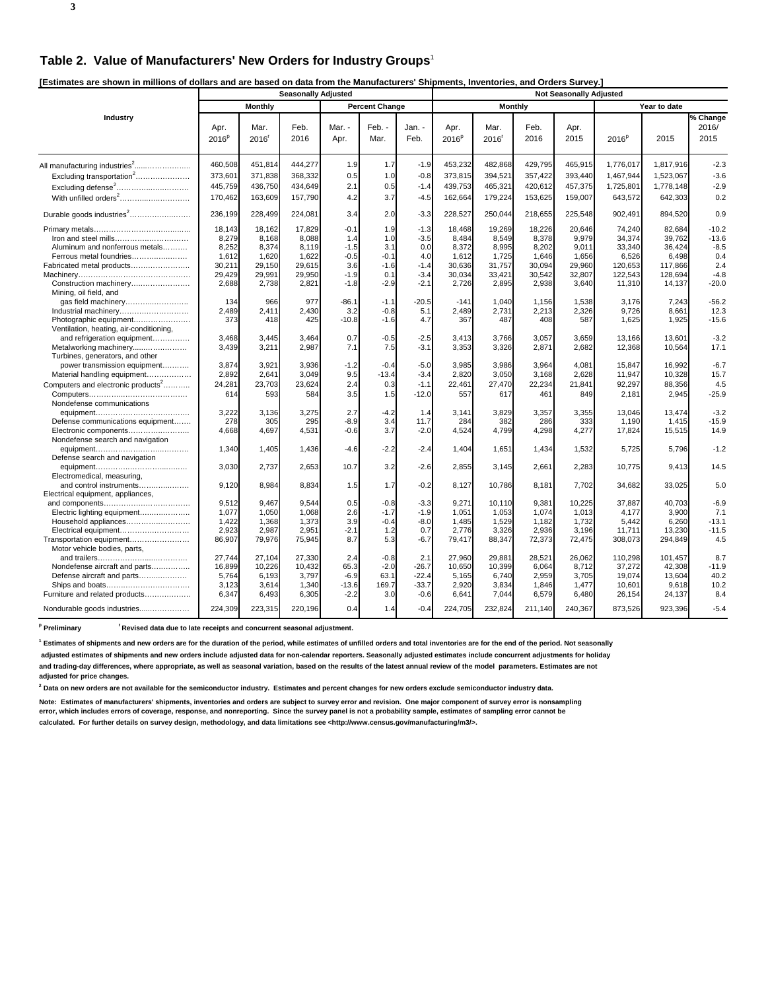**[Estimates are shown in millions of dollars and are based on data from the Manufacturers' Shipments, Inventories, and Orders Survey.]** 

|                                                  |                           |                           | <b>Seasonally Adjusted</b> |                |                       |                | <b>Not Seasonally Adjusted</b> |              |              |              |                   |              |                           |
|--------------------------------------------------|---------------------------|---------------------------|----------------------------|----------------|-----------------------|----------------|--------------------------------|--------------|--------------|--------------|-------------------|--------------|---------------------------|
|                                                  |                           | <b>Monthly</b>            |                            |                | <b>Percent Change</b> |                |                                | Monthly      |              |              |                   | Year to date |                           |
| Industry                                         | Apr.<br>2016 <sup>p</sup> | Mar.<br>2016 <sup>r</sup> | Feb.<br>2016               | Mar. -<br>Apr. | Feb. -<br>Mar.        | Jan. -<br>Feb. | Apr.<br>2016 <sup>p</sup>      | Mar.<br>2016 | Feb.<br>2016 | Apr.<br>2015 | 2016 <sup>p</sup> | 2015         | % Change<br>2016/<br>2015 |
|                                                  |                           |                           |                            |                |                       |                |                                |              |              |              |                   |              |                           |
|                                                  | 460,508                   | 451,814                   | 444,277                    | 1.9            | 1.7                   | $-1.9$         | 453,232                        | 482,868      | 429,795      | 465,915      | 1,776,017         | 1,817,916    | $-2.3$                    |
| Excluding transportation <sup>2</sup>            | 373,601                   | 371,838                   | 368,332                    | 0.5            | 1.0                   | $-0.8$         | 373,815                        | 394,521      | 357,422      | 393,440      | 1,467,944         | 1,523,067    | $-3.6$                    |
| Excluding defense <sup>2</sup>                   | 445,759                   | 436,750                   | 434,649                    | 2.1            | 0.5                   | $-1.4$         | 439,753                        | 465,321      | 420,612      | 457,375      | 1,725,801         | 1,778,148    | $-2.9$                    |
|                                                  | 170,462                   | 163,609                   | 157,790                    | 4.2            | 3.7                   | $-4.5$         | 162,664                        | 179,224      | 153,625      | 159,007      | 643,572           | 642,303      | 0.2                       |
| Durable goods industries <sup>2</sup>            | 236,199                   | 228,499                   | 224,081                    | 3.4            | 2.0                   | $-3.3$         | 228,527                        | 250,044      | 218,655      | 225,548      | 902,491           | 894,520      | 0.9                       |
|                                                  | 18,143                    | 18,162                    | 17,829                     | $-0.1$         | 1.9                   | $-1.3$         | 18,468                         | 19,269       | 18,226       | 20,646       | 74,240            | 82,684       | $-10.2$                   |
| Iron and steel mills                             | 8,279                     | 8,168                     | 8,088                      | 1.4            | 1.0                   | $-3.5$         | 8,484                          | 8,549        | 8,378        | 9,979        | 34,374            | 39,762       | $-13.6$                   |
| Aluminum and nonferrous metals                   | 8,252                     | 8,374                     | 8,119                      | $-1.5$         | 3.1                   | 0.0            | 8,372                          | 8,995        | 8,202        | 9,011        | 33,340            | 36,424       | $-8.5$                    |
| Ferrous metal foundries                          | 1,612                     | 1,620                     | 1,622                      | $-0.5$         | $-0.1$                | 4.0            | 1,612                          | 1,725        | 1,646        | 1,656        | 6,526             | 6,498        | 0.4                       |
| Fabricated metal products                        | 30,211                    | 29,150                    | 29,615                     | 3.6            | $-1.6$                | $-1.4$         | 30,636                         | 31,757       | 30,094       | 29,960       | 120,653           | 117,866      | 2.4                       |
|                                                  | 29,429                    | 29,991                    | 29,950                     | $-1.9$         | 0.1                   | $-3.4$         | 30,034                         | 33,421       | 30,542       | 32,807       | 122,543           | 128,694      | $-4.8$                    |
| Construction machinery<br>Mining, oil field, and | 2,688                     | 2,738                     | 2,821                      | $-1.8$         | $-2.9$                | $-2.1$         | 2,726                          | 2,895        | 2,938        | 3,640        | 11,310            | 14,137       | $-20.0$                   |
| gas field machinery                              | 134                       | 966                       | 977                        | $-86.1$        | $-1.1$                | $-20.5$        | $-141$                         | 1,040        | 1,156        | 1,538        | 3,176             | 7,243        | $-56.2$                   |
| Industrial machinery                             | 2,489                     | 2.411                     | 2,430                      | 3.2            | $-0.8$                | 5.1            | 2,489                          | 2,731        | 2,213        | 2,326        | 9,726             | 8,661        | 12.3                      |
| Photographic equipment                           | 373                       | 418                       | 425                        | $-10.8$        | $-1.6$                | 4.7            | 367                            | 487          | 408          | 587          | 1,625             | 1,925        | $-15.6$                   |
| Ventilation, heating, air-conditioning,          |                           |                           |                            |                |                       |                |                                |              |              |              |                   |              |                           |
| and refrigeration equipment                      | 3,468                     | 3,445                     | 3,464                      | 0.7            | $-0.5$                | $-2.5$         | 3,413                          | 3,766        | 3,057        | 3,659        | 13,166            | 13.601       | $-3.2$                    |
| Metalworking machinery                           | 3,439                     | 3,211                     | 2,987                      | 7.1            | 7.5                   | $-3.1$         | 3,353                          | 3,326        | 2,871        | 2,682        | 12,368            | 10,564       | 17.1                      |
| Turbines, generators, and other                  |                           |                           |                            |                |                       |                |                                |              |              |              |                   |              |                           |
| power transmission equipment                     | 3,874                     | 3,921                     | 3,936                      | $-1.2$         | $-0.4$                | $-5.0$         | 3,985                          | 3,986        | 3,964        | 4,081        | 15,847            | 16,992       | $-6.7$                    |
| Material handling equipment                      | 2,892                     | 2,641                     | 3,049                      | 9.5            | $-13.4$               | $-3.4$         | 2,820                          | 3,050        | 3,168        | 2,628        | 11,947            | 10,328       | 15.7                      |
| Computers and electronic products <sup>2</sup>   | 24,281                    | 23,703                    | 23,624                     | 2.4            | 0.3                   | $-1.1$         | 22,461                         | 27,470       | 22,234       | 21,841       | 92,297            | 88,356       | 4.5                       |
|                                                  | 614                       | 593                       | 584                        | 3.5            | 1.5                   | $-12.0$        | 557                            | 617          | 461          | 849          | 2,181             | 2,945        | $-25.9$                   |
| Nondefense communications                        |                           |                           |                            |                |                       |                |                                |              |              |              |                   |              |                           |
|                                                  | 3,222                     | 3,136                     | 3,275                      | 2.7            | $-4.2$                | 1.4            | 3.141                          | 3,829        | 3,357        | 3,355        | 13.046            | 13,474       | $-3.2$                    |
| Defense communications equipment                 | 278                       | 305                       | 295                        | $-8.9$         | 3.4                   | 11.7           | 284                            | 382          | 286          | 333          | 1,190             | 1,415        | $-15.9$                   |
| Electronic components                            | 4,668                     | 4.697                     | 4,531                      | $-0.6$         | 3.7                   | $-2.0$         | 4,524                          | 4,799        | 4,298        | 4,277        | 17,824            | 15,515       | 14.9                      |
| Nondefense search and navigation                 |                           |                           |                            | $-4.6$         | $-2.2$                | $-2.4$         |                                |              |              |              |                   |              | $-1.2$                    |
|                                                  | 1,340                     | 1,405                     | 1,436                      |                |                       |                | 1,404                          | 1,651        | 1,434        | 1,532        | 5,725             | 5,796        |                           |
| Defense search and navigation                    | 3,030                     | 2,737                     | 2,653                      | 10.7           | 3.2                   | $-2.6$         | 2,855                          | 3,145        | 2,661        | 2,283        | 10,775            | 9,413        | 14.5                      |
| Electromedical, measuring,                       |                           |                           |                            |                |                       |                |                                |              |              |              |                   |              |                           |
| and control instruments                          | 9,120                     | 8,984                     | 8,834                      | 1.5            | 1.7                   | $-0.2$         | 8,127                          | 10,786       | 8,181        | 7,702        | 34,682            | 33,025       | 5.0                       |
| Electrical equipment, appliances,                |                           |                           |                            |                |                       |                |                                |              |              |              |                   |              |                           |
|                                                  | 9,512                     | 9,467                     | 9,544                      | 0.5            | $-0.8$                | $-3.3$         | 9,271                          | 10,110       | 9,381        | 10,225       | 37,887            | 40,703       | $-6.9$                    |
| Electric lighting equipment                      | 1,077                     | 1,050                     | 1,068                      | 2.6            | $-1.7$                | $-1.9$         | 1,051                          | 1,053        | 1,074        | 1,013        | 4,177             | 3,900        | 7.1                       |
| Household appliances                             | 1,422                     | 1,368                     | 1,373                      | 3.9            | $-0.4$                | $-8.0$         | 1,485                          | 1,529        | 1,182        | 1,732        | 5,442             | 6,260        | $-13.1$                   |
| Electrical equipment                             | 2,923                     | 2,987                     | 2,951                      | $-2.1$         | 1.2                   | 0.7            | 2,776                          | 3,326        | 2,936        | 3,196        | 11,711            | 13,230       | $-11.5$                   |
| Transportation equipment                         | 86,907                    | 79,976                    | 75,945                     | 8.7            | 5.3                   | $-6.7$         | 79,417                         | 88,347       | 72,373       | 72,475       | 308,073           | 294,849      | 4.5                       |
| Motor vehicle bodies, parts,                     |                           |                           |                            |                |                       |                |                                |              |              |              |                   |              |                           |
|                                                  | 27,744                    | 27,104                    | 27,330                     | 2.4            | $-0.8$                | 2.1            | 27,960                         | 29,881       | 28,521       | 26,062       | 110,298           | 101,457      | 8.7                       |
| Nondefense aircraft and parts                    | 16,899                    | 10,226                    | 10,432                     | 65.3           | $-2.0$                | $-26.7$        | 10,650                         | 10,399       | 6,064        | 8,712        | 37,272            | 42,308       | $-11.9$                   |
| Defense aircraft and parts                       | 5,764                     | 6,193                     | 3,797                      | $-6.9$         | 63.1                  | $-22.4$        | 5,165                          | 6,740        | 2,959        | 3,705        | 19,074            | 13,604       | 40.2                      |
|                                                  | 3,123                     | 3,614                     | 1,340                      | $-13.6$        | 169.7                 | $-33.7$        | 2,920                          | 3,834        | 1,846        | 1,477        | 10,601            | 9,618        | 10.2                      |
| Furniture and related products                   | 6,347                     | 6,493                     | 6,305                      | $-2.2$         | 3.0                   | $-0.6$         | 6,641                          | 7,044        | 6,579        | 6,480        | 26,154            | 24,137       | 8.4                       |
| Nondurable goods industries                      | 224,309                   | 223,315                   | 220,196                    | 0.4            | 1.4                   | $-0.4$         | 224,705                        | 232,824      | 211,140      | 240,367      | 873,526           | 923,396      | $-5.4$                    |

<sup>p</sup> Preliminary <sup>r</sup> Revised data due to late receipts and concurrent seasonal adjustment.

**1 Estimates of shipments and new orders are for the duration of the period, while estimates of unfilled orders and total inventories are for the end of the period. Not seasonally**

 **adjusted estimates of shipments and new orders include adjusted data for non-calendar reporters. Seasonally adjusted estimates include concurrent adjustments for holiday and trading-day differences, where appropriate, as well as seasonal variation, based on the results of the latest annual review of the model parameters. Estimates are not adjusted for price changes.**

**2 Data on new orders are not available for the semiconductor industry. Estimates and percent changes for new orders exclude semiconductor industry data.**

**Note: Estimates of manufacturers' shipments, inventories and orders are subject to survey error and revision. One major component of survey error is nonsampling error, which includes errors of coverage, response, and nonreporting. Since the survey panel is not a probability sample, estimates of sampling error cannot be calculated. For further details on survey design, methodology, and data limitations see <http://www.census.gov/manufacturing/m3/>.**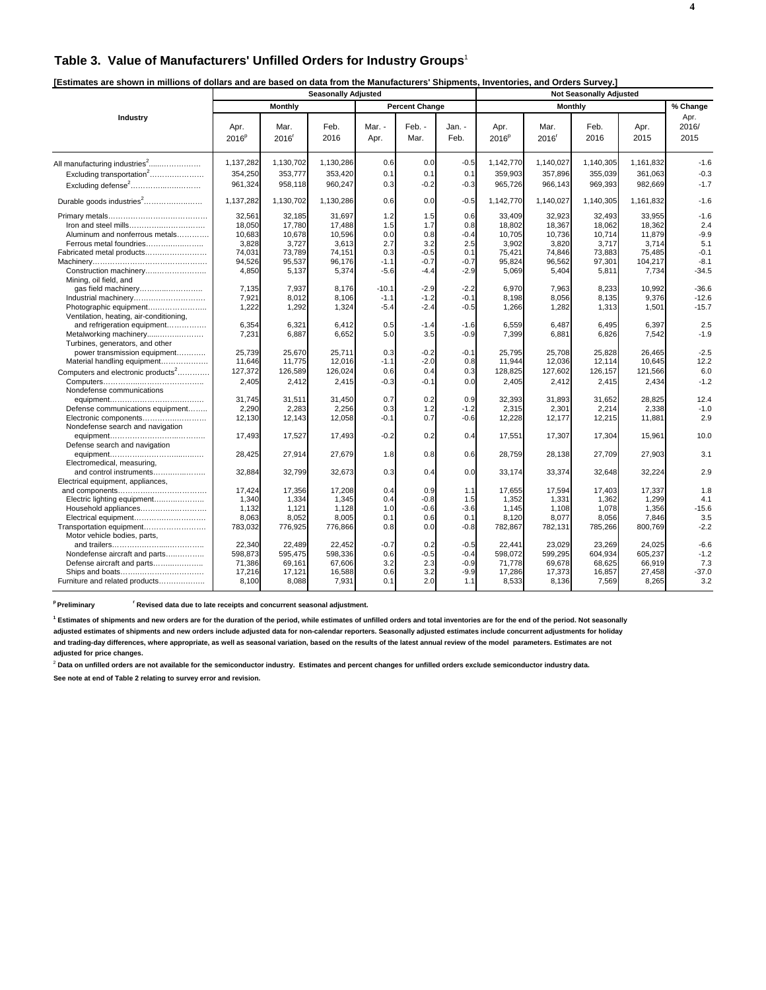#### **Table 3. Value of Manufacturers' Unfilled Orders for Industry Groups**<sup>1</sup>

| [Estimates are shown in millions of dollars and are based on data from the Manufacturers' Shipments, Inventories, and Orders Survey.] |  |
|---------------------------------------------------------------------------------------------------------------------------------------|--|
|                                                                                                                                       |  |

|                                                                                                                               | <b>Not Seasonally Adjusted</b><br><b>Seasonally Adjusted</b>     |                                                                  |                                                                  |                                                     |                                                        |                                                        |                                                                  |                                                                  |                                                                  |                                                                   |                                                               |
|-------------------------------------------------------------------------------------------------------------------------------|------------------------------------------------------------------|------------------------------------------------------------------|------------------------------------------------------------------|-----------------------------------------------------|--------------------------------------------------------|--------------------------------------------------------|------------------------------------------------------------------|------------------------------------------------------------------|------------------------------------------------------------------|-------------------------------------------------------------------|---------------------------------------------------------------|
|                                                                                                                               |                                                                  | Monthly                                                          |                                                                  |                                                     | <b>Percent Change</b>                                  |                                                        |                                                                  | Monthly                                                          |                                                                  |                                                                   | % Change                                                      |
| Industry                                                                                                                      | Apr.<br>2016 <sup>p</sup>                                        | Mar.<br>2016 <sup>r</sup>                                        | Feb.<br>2016                                                     | Mar. -<br>Apr.                                      | Feb. -<br>Mar.                                         | Jan. -<br>Feb.                                         | Apr.<br>2016 <sup>p</sup>                                        | Mar.<br>2016 <sup>r</sup>                                        | Feb.<br>2016                                                     | Apr.<br>2015                                                      | Apr.<br>2016/<br>2015                                         |
| All manufacturing industries <sup>2</sup>                                                                                     | 1,137,282                                                        | 1,130,702                                                        | 1,130,286                                                        | 0.6                                                 | 0.0                                                    | $-0.5$                                                 | 1,142,770                                                        | 1,140,027                                                        | 1,140,305                                                        | 1,161,832                                                         | $-1.6$                                                        |
| Excluding transportation <sup>2</sup><br>Excluding defense <sup>2</sup>                                                       | 354,250<br>961,324                                               | 353,777<br>958,118                                               | 353,420<br>960,247                                               | 0.1<br>0.3                                          | 0.1<br>$-0.2$                                          | 0.1<br>$-0.3$                                          | 359,903<br>965,726                                               | 357,896<br>966,143                                               | 355,039<br>969,393                                               | 361,063<br>982,669                                                | $-0.3$<br>$-1.7$                                              |
| Durable goods industries <sup>2</sup>                                                                                         | 1,137,282                                                        | 1,130,702                                                        | 1,130,286                                                        | 0.6                                                 | 0.0                                                    | $-0.5$                                                 | 1,142,770                                                        | 1,140,027                                                        | 1,140,305                                                        | 1,161,832                                                         | $-1.6$                                                        |
| Aluminum and nonferrous metals<br>Ferrous metal foundries<br>Fabricated metal products<br>Construction machinery              | 32,561<br>18,050<br>10,683<br>3,828<br>74.031<br>94,526<br>4,850 | 32,185<br>17,780<br>10,678<br>3,727<br>73,789<br>95,537<br>5,137 | 31,697<br>17,488<br>10,596<br>3,613<br>74.151<br>96,176<br>5,374 | 1.2<br>1.5<br>0.0<br>2.7<br>0.3<br>$-1.1$<br>$-5.6$ | 1.5<br>1.7<br>0.8<br>3.2<br>$-0.5$<br>$-0.7$<br>$-4.4$ | 0.6<br>0.8<br>$-0.4$<br>2.5<br>0.1<br>$-0.7$<br>$-2.9$ | 33,409<br>18,802<br>10,705<br>3,902<br>75.421<br>95,824<br>5,069 | 32,923<br>18,367<br>10,736<br>3,820<br>74,846<br>96,562<br>5,404 | 32,493<br>18,062<br>10,714<br>3,717<br>73.883<br>97,301<br>5,811 | 33,955<br>18,362<br>11,879<br>3,714<br>75.485<br>104,217<br>7,734 | $-1.6$<br>2.4<br>$-9.9$<br>5.1<br>$-0.1$<br>$-8.1$<br>$-34.5$ |
| Mining, oil field, and<br>Industrial machinery<br>Ventilation, heating, air-conditioning,                                     | 7,135<br>7,921<br>1,222                                          | 7,937<br>8,012<br>1,292                                          | 8,176<br>8,106<br>1,324                                          | $-10.1$<br>$-1.1$<br>$-5.4$                         | $-2.9$<br>$-1.2$<br>$-2.4$                             | $-2.2$<br>$-0.1$<br>$-0.5$                             | 6,970<br>8,198<br>1,266                                          | 7,963<br>8,056<br>1,282                                          | 8,233<br>8,135<br>1,313                                          | 10,992<br>9,376<br>1,501                                          | $-36.6$<br>$-12.6$<br>$-15.7$                                 |
| and refrigeration equipment<br>Metalworking machinery<br>Turbines, generators, and other                                      | 6,354<br>7,231                                                   | 6,321<br>6,887                                                   | 6.412<br>6,652                                                   | 0.5<br>5.0                                          | $-1.4$<br>3.5                                          | $-1.6$<br>$-0.9$                                       | 6.559<br>7,399                                                   | 6.487<br>6,881                                                   | 6.495<br>6,826                                                   | 6.397<br>7,542                                                    | 2.5<br>$-1.9$                                                 |
| power transmission equipment<br>Material handling equipment<br>Computers and electronic products <sup>2</sup>                 | 25,739<br>11,646<br>127,372                                      | 25,670<br>11,775<br>126,589                                      | 25,711<br>12,016<br>126,024                                      | 0.3<br>$-1.1$<br>0.6                                | $-0.2$<br>$-2.0$<br>0.4                                | $-0.1$<br>0.8<br>0.3                                   | 25,795<br>11,944<br>128,825                                      | 25,708<br>12,036<br>127,602                                      | 25,828<br>12,114<br>126,157                                      | 26,465<br>10,645<br>121,566                                       | $-2.5$<br>12.2<br>6.0                                         |
| Nondefense communications                                                                                                     | 2,405                                                            | 2,412                                                            | 2,415                                                            | $-0.3$                                              | $-0.1$                                                 | 0.0                                                    | 2,405                                                            | 2,412                                                            | 2,415                                                            | 2,434                                                             | $-1.2$                                                        |
| Defense communications equipment<br>Electronic components<br>Nondefense search and navigation                                 | 31,745<br>2,290<br>12,130                                        | 31,511<br>2,283<br>12,143                                        | 31,450<br>2.256<br>12,058                                        | 0.7<br>0.3<br>$-0.1$                                | 0.2<br>1.2<br>0.7                                      | 0.9<br>$-1.2$<br>$-0.6$                                | 32,393<br>2,315<br>12,228                                        | 31,893<br>2,301<br>12,177                                        | 31,652<br>2,214<br>12,215                                        | 28,825<br>2,338<br>11,881                                         | 12.4<br>$-1.0$<br>2.9                                         |
| Defense search and navigation                                                                                                 | 17,493                                                           | 17,527                                                           | 17,493                                                           | $-0.2$                                              | 0.2                                                    | 0.4                                                    | 17,551                                                           | 17,307                                                           | 17,304                                                           | 15,961                                                            | 10.0                                                          |
| Electromedical, measuring,                                                                                                    | 28,425                                                           | 27,914                                                           | 27,679                                                           | 1.8                                                 | 0.8                                                    | 0.6                                                    | 28,759                                                           | 28,138                                                           | 27,709                                                           | 27,903                                                            | 3.1                                                           |
| and control instruments<br>Electrical equipment, appliances,                                                                  | 32,884                                                           | 32,799                                                           | 32,673                                                           | 0.3                                                 | 0.4                                                    | 0.0                                                    | 33.174                                                           | 33,374                                                           | 32,648                                                           | 32,224                                                            | 2.9                                                           |
| Electric lighting equipment<br>Household appliances<br>Electrical equipment<br>Transportation equipment                       | 17,424<br>1,340<br>1,132<br>8,063<br>783,032                     | 17,356<br>1,334<br>1,121<br>8,052<br>776,925                     | 17,208<br>1,345<br>1,128<br>8,005<br>776,866                     | 0.4<br>0.4<br>1.0<br>0.1<br>0.8                     | 0.9<br>$-0.8$<br>$-0.6$<br>0.6<br>0.0                  | 1.1<br>1.5<br>$-3.6$<br>0.1<br>$-0.8$                  | 17,655<br>1,352<br>1,145<br>8,120<br>782,867                     | 17,594<br>1,331<br>1,108<br>8,077<br>782,131                     | 17,403<br>1,362<br>1,078<br>8,056<br>785,266                     | 17,337<br>1,299<br>1,356<br>7,846<br>800,769                      | 1.8<br>4.1<br>$-15.6$<br>3.5<br>$-2.2$                        |
| Motor vehicle bodies, parts,<br>Nondefense aircraft and parts<br>Defense aircraft and parts<br>Furniture and related products | 22,340<br>598,873<br>71,386<br>17,216<br>8,100                   | 22,489<br>595,475<br>69,161<br>17,121<br>8,088                   | 22.452<br>598,336<br>67,606<br>16,588<br>7,931                   | $-0.7$<br>0.6<br>3.2<br>0.6<br>0.1                  | 0.2<br>$-0.5$<br>2.3<br>3.2<br>2.0                     | $-0.5$<br>$-0.4$<br>$-0.9$<br>$-9.9$<br>1.1            | 22.441<br>598,072<br>71,778<br>17,286<br>8,533                   | 23,029<br>599,295<br>69,678<br>17,373<br>8,136                   | 23,269<br>604,934<br>68,625<br>16,857<br>7,569                   | 24,025<br>605,237<br>66,919<br>27,458<br>8,265                    | $-6.6$<br>$-1.2$<br>7.3<br>$-37.0$<br>3.2                     |

<sup>p</sup> Preliminary **read Figure 1 Revised data due to late receipts and concurrent seasonal adjustment.** 

**1 Estimates of shipments and new orders are for the duration of the period, while estimates of unfilled orders and total inventories are for the end of the period. Not seasonally**

**adjusted estimates of shipments and new orders include adjusted data for non-calendar reporters. Seasonally adjusted estimates include concurrent adjustments for holiday and trading-day differences, where appropriate, as well as seasonal variation, based on the results of the latest annual review of the model parameters. Estimates are not adjusted for price changes.**

<sup>2</sup> Data on unfilled orders are not available for the semiconductor industry. Estimates and percent changes for unfilled orders exclude semiconductor industry data.

**See note at end of Table 2 relating to survey error and revision.**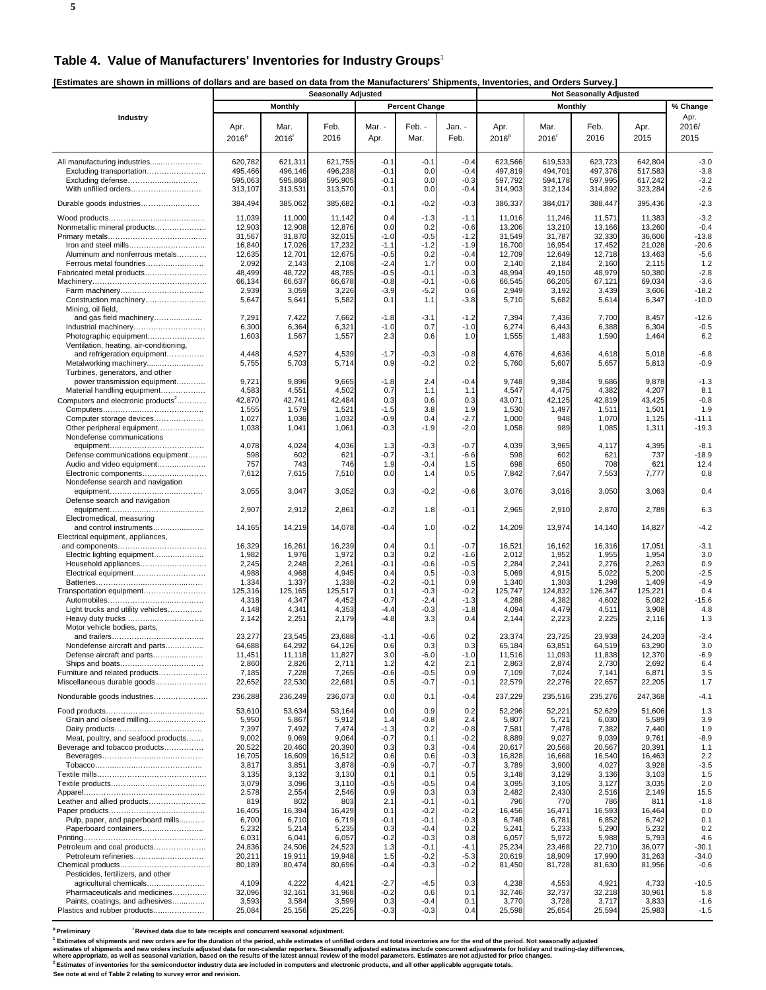#### **Table 4. Value of Manufacturers' Inventories for Industry Groups**<sup>1</sup>

**[Estimates are shown in millions of dollars and are based on data from the Manufacturers' Shipments, Inventories, and Orders Survey.]** 

|                                                                                                                            |                                                |                                                | <b>Seasonally Adjusted</b>                     |                                          |                                        |                                                |                                                |                                                |                                                |                                                |                                                  |
|----------------------------------------------------------------------------------------------------------------------------|------------------------------------------------|------------------------------------------------|------------------------------------------------|------------------------------------------|----------------------------------------|------------------------------------------------|------------------------------------------------|------------------------------------------------|------------------------------------------------|------------------------------------------------|--------------------------------------------------|
|                                                                                                                            |                                                | <b>Monthly</b>                                 |                                                |                                          | <b>Percent Change</b>                  |                                                |                                                | <b>Monthly</b>                                 |                                                |                                                | % Change                                         |
| Industry                                                                                                                   | Apr.<br>2016 <sup>p</sup>                      | Mar.<br>2016                                   | Feb.<br>2016                                   | Mar. -<br>Apr.                           | Feb. -<br>Mar.                         | Jan. -<br>Feb.                                 | Apr.<br>2016 <sup>p</sup>                      | Mar.<br>2016 <sup>r</sup>                      | Feb.<br>2016                                   | Apr.<br>2015                                   | Apr.<br>2016/<br>2015                            |
| All manufacturing industries<br>Excluding transportation<br>Excluding defense<br>With unfilled orders                      | 620,782<br>495,466<br>595,063<br>313,107       | 621,311<br>496,146<br>595,868<br>313,531       | 621,755<br>496,238<br>595,905<br>313,570       | $-0.1$<br>$-0.1$<br>$-0.1$<br>$-0.1$     | $-0.1$<br>0.0<br>0.0<br>0.0            | $-0.4$<br>$-0.4$<br>$-0.3$<br>$-0.4$           | 623,566<br>497,819<br>597,792<br>314,903       | 619,533<br>494,701<br>594,178<br>312,134       | 623,723<br>497,376<br>597,995<br>314,892       | 642,804<br>517,583<br>617,242<br>323,284       | $-3.0$<br>$-3.8$<br>$-3.2$<br>$-2.6$             |
| Durable goods industries                                                                                                   | 384,494                                        | 385,062                                        | 385,682                                        | $-0.1$                                   | $-0.2$                                 | $-0.3$                                         | 386,337                                        | 384,017                                        | 388,447                                        | 395,436                                        | $-2.3$                                           |
| Nonmetallic mineral products<br>Aluminum and nonferrous metals                                                             | 11,039<br>12,903<br>31,567<br>16,840<br>12,635 | 11,000<br>12,908<br>31,870<br>17,026<br>12,701 | 11,142<br>12,876<br>32,015<br>17,232<br>12,675 | 0.4<br>0.0<br>$-1.0$<br>$-1.1$<br>$-0.5$ | $-1.3$<br>0.2<br>-0.5<br>$-1.2$<br>0.2 | $-1.1$<br>$-0.6$<br>$-1.2$<br>$-1.9$<br>$-0.4$ | 11,016<br>13,206<br>31,549<br>16,700<br>12,709 | 11,246<br>13,210<br>31,787<br>16,954<br>12,649 | 11,571<br>13,166<br>32,330<br>17,452<br>12,718 | 11,383<br>13,260<br>36,606<br>21,028<br>13,463 | $-3.2$<br>$-0.4$<br>$-13.8$<br>$-20.6$<br>$-5.6$ |
| Ferrous metal foundries<br>Fabricated metal products                                                                       | 2,092<br>48,499                                | 2,143<br>48,722                                | 2,108<br>48,785                                | $-2.4$<br>$-0.5$                         | 1.7<br>-0.1                            | 0.0<br>$-0.3$                                  | 2,140<br>48,994                                | 2,184<br>49,150                                | 2,160<br>48,979                                | 2,115<br>50,380                                | 1.2<br>$-2.8$                                    |
|                                                                                                                            | 66,134                                         | 66,637                                         | 66,678                                         | $-0.8$                                   | $-0.1$                                 | $-0.6$                                         | 66,545                                         | 66,205                                         | 67,121                                         | 69,034                                         | $-3.6$                                           |
| Construction machinery<br>Mining, oil field,<br>and gas field machinery                                                    | 2,939<br>5,647<br>7,291                        | 3,059<br>5,641<br>7,422                        | 3,226<br>5,582<br>7,662                        | $-3.9$<br>0.1<br>$-1.8$                  | $-5.2$<br>1.1<br>$-3.1$                | 0.6<br>$-3.8$<br>$-1.2$                        | 2,949<br>5,710<br>7,394                        | 3,192<br>5,682<br>7,436                        | 3,439<br>5,614<br>7,700                        | 3,606<br>6,347<br>8,457                        | $-18.2$<br>$-10.0$<br>$-12.6$                    |
|                                                                                                                            | 6,300                                          | 6,364                                          | 6,321                                          | $-1.0$                                   | 0.7                                    | $-1.0$                                         | 6,274                                          | 6,443                                          | 6,388                                          | 6,304                                          | $-0.5$                                           |
| Photographic equipment<br>Ventilation, heating, air-conditioning,<br>and refrigeration equipment<br>Metalworking machinery | 1,603<br>4,448<br>5,755                        | 1,567<br>4,527<br>5,703                        | 1,557<br>4,539<br>5,714                        | 2.3<br>$-1.7$<br>0.9                     | 0.6<br>$-0.3$<br>-0.2                  | 1.0<br>$-0.8$<br>0.2                           | 1,555<br>4,676<br>5,760                        | 1,483<br>4,636<br>5,607                        | 1,590<br>4,618<br>5,657                        | 1,464<br>5,018<br>5,813                        | 6.2<br>$-6.8$<br>$-0.9$                          |
| Turbines, generators, and other                                                                                            |                                                |                                                |                                                |                                          |                                        |                                                |                                                |                                                |                                                |                                                |                                                  |
| power transmission equipment<br>Material handling equipment<br>Computers and electronic products <sup>2</sup>              | 9,721<br>4,583<br>42,870                       | 9,896<br>4,551<br>42,741<br>1,579              | 9,665<br>4,502<br>42,484<br>1,521              | $-1.8$<br>0.7<br>0.3<br>$-1.5$           | 2.4<br>1.1<br>0.6                      | $-0.4$<br>1.1<br>0.3<br>1.9                    | 9,748<br>4,547<br>43,071<br>1,530              | 9,384<br>4,475<br>42,125<br>1,497              | 9,686<br>4,382<br>42,819<br>1,511              | 9,878<br>4,207<br>43,425<br>1,501              | $-1.3$<br>8.1<br>$-0.8$<br>1.9                   |
| Computer storage devices                                                                                                   | 1,555<br>1,027                                 | 1,036                                          | 1,032                                          | $-0.9$                                   | 3.8<br>0.4                             | $-2.7$                                         | 1,000                                          | 948                                            | 1,070                                          | 1,125                                          | $-11.1$                                          |
| Other peripheral equipment<br>Nondefense communications                                                                    | 1,038<br>4,078                                 | 1,041<br>4,024                                 | 1,061<br>4,036                                 | $-0.3$<br>1.3                            | -1.9<br>$-0.3$                         | $-2.0$<br>$-0.7$                               | 1,058<br>4,039                                 | 989<br>3,965                                   | 1,085<br>4,117                                 | 1,311<br>4,395                                 | $-19.3$<br>$-8.1$                                |
| Defense communications equipment<br>Audio and video equipment                                                              | 598<br>757                                     | 602<br>743                                     | 621<br>746                                     | $-0.7$<br>1.9                            | $-3.1$<br>-0.4                         | $-6.6$<br>1.5                                  | 598<br>698                                     | 602<br>650                                     | 621<br>708                                     | 737<br>621                                     | $-18.9$<br>12.4                                  |
| Electronic components                                                                                                      | 7,612                                          | 7,615                                          | 7,510                                          | 0.0                                      | 1.4                                    | 0.5                                            | 7,842                                          | 7,647                                          | 7,553                                          | 7,777                                          | 0.8                                              |
| Nondefense search and navigation<br>Defense search and navigation                                                          | 3,055                                          | 3,047                                          | 3,052                                          | 0.3                                      | $-0.2$                                 | $-0.6$                                         | 3,076                                          | 3,016                                          | 3,050                                          | 3,063                                          | 0.4                                              |
| Electromedical, measuring                                                                                                  | 2,907                                          | 2,912                                          | 2,861                                          | $-0.2$                                   | 1.8                                    | $-0.1$                                         | 2,965                                          | 2,910                                          | 2,870                                          | 2,789                                          | 6.3                                              |
| and control instruments<br>Electrical equipment, appliances,                                                               | 14,165                                         | 14,219                                         | 14,078                                         | $-0.4$                                   | 1.0                                    | $-0.2$                                         | 14,209                                         | 13,974                                         | 14,140                                         | 14,827                                         | $-4.2$                                           |
| Electric lighting equipment                                                                                                | 16,329<br>1,982                                | 16,261<br>1,976                                | 16,239<br>1,972                                | 0.4<br>0.3                               | 0.1<br>0.2                             | $-0.7$<br>$-1.6$                               | 16,521<br>2,012                                | 16,162<br>1,952                                | 16,316<br>1,955                                | 17,051<br>1,954                                | $-3.1$<br>3.0                                    |
|                                                                                                                            | 2,245                                          | 2,248                                          | 2,261                                          | $-0.1$                                   | -0.6                                   | $-0.5$                                         | 2,284                                          | 2,241                                          | 2,276                                          | 2,263                                          | 0.9                                              |
|                                                                                                                            | 4,988<br>1,334                                 | 4,968<br>1,337                                 | 4,945<br>1,338                                 | 0.4<br>$-0.2$                            | 0.5<br>-0.1                            | $-0.3$<br>0.9                                  | 5,069<br>1,340                                 | 4,915<br>1,303                                 | 5,022<br>1,298                                 | 5,200<br>1,409                                 | $-2.5$<br>$-4.9$                                 |
| Transportation equipment                                                                                                   | 125,316                                        | 125,165                                        | 125,517                                        | 0.1                                      | -0.3                                   | $-0.2$                                         | 125,747                                        | 124,832                                        | 126,347                                        | 125,221                                        | 0.4                                              |
| Light trucks and utility vehicles                                                                                          | 4,318<br>4,148                                 | 4,347<br>4,341                                 | 4,452<br>4,353                                 | $-0.7$<br>$-4.4$                         | $-2.4$<br>$-0.3$                       | $-1.3$<br>$-1.8$                               | 4,288<br>4,094                                 | 4,382<br>4,479                                 | 4,602<br>4,511                                 | 5,082<br>3,908                                 | $-15.6$<br>4.8                                   |
| Motor vehicle bodies, parts,                                                                                               | 2,142<br>23,277                                | 2,251<br>23,545                                | 2,179<br>23,688                                | -4.8<br>$-1.1$                           | 3.3<br>-0.6                            | 0.4<br>0.2                                     | 2,144<br>23,374                                | 2,223<br>23,725                                | 2,225<br>23,938                                | 2,116<br>24,203                                | 1.3<br>$-3.4$                                    |
| Nondefense aircraft and parts                                                                                              | 64,688<br>11,451                               | 64,292<br>11,118                               | 64,126<br>11,827                               | 0.6<br>3.0                               | 0.3<br>$-6.0$                          | 0.3<br>$-1.0$                                  | 65,18<br>11,516                                | 63,851<br>11,093                               | 64,519<br>11,838                               | 63,290<br>12,370                               | 3.0<br>$-6.9$                                    |
| Defense aircraft and parts<br>Ships and boats                                                                              | 2,860                                          | 2,826                                          | 2,711                                          | 1.2                                      | 4.2                                    | 2.1                                            | 2,863                                          | 2,874                                          | 2,730                                          | 2,692                                          | 6.4                                              |
| Furniture and related products<br>Miscellaneous durable goods                                                              | 7,185<br>22,652                                | 7,228<br>22,530                                | 7,265<br>22,681                                | $-0.6$<br>0.5                            | $-0.5$<br>-0.7                         | 0.9<br>$-0.1$                                  | 7,109<br>22,579                                | 7,024<br>22,276                                | 7,141<br>22,657                                | 6,871<br>22,205                                | 3.5<br>1.7                                       |
| Nondurable goods industries                                                                                                | 236,288                                        | 236,249                                        | 236,073                                        | 0.0                                      | 0.1                                    | $-0.4$                                         | 237,229                                        | 235,516                                        | 235,276                                        | 247,368                                        | $-4.1$                                           |
|                                                                                                                            | 53,610                                         | 53,634                                         | 53,164                                         | 0.0                                      | 0.9                                    | 0.2                                            | 52,296                                         | 52,221                                         | 52,629                                         | 51,606                                         | 1.3                                              |
| Grain and oilseed milling                                                                                                  | 5,950                                          | 5,867                                          | 5,912                                          | 1.4                                      | $-0.8$                                 | 2.4                                            | 5,807                                          | 5,721                                          | 6,030                                          | 5,589                                          | 3.9                                              |
| Meat, poultry, and seafood products                                                                                        | 7,397<br>9,002                                 | 7,492<br>9,069                                 | 7,474<br>9,064                                 | $-1.3$<br>$-0.7$                         | 0.2<br>0.1                             | $-0.8$<br>$-0.2$                               | 7,581<br>8,889                                 | 7,478<br>9,027                                 | 7,382<br>9,039                                 | 7,440<br>9,761                                 | 1.9<br>$-8.9$                                    |
| Beverage and tobacco products                                                                                              | 20,522                                         | 20,460                                         | 20,390                                         | 0.3                                      | 0.3                                    | $-0.4$                                         | 20,617                                         | 20,568                                         | 20,567                                         | 20,391                                         | 1.1                                              |
|                                                                                                                            | 16,705<br>3,817                                | 16,609<br>3,851                                | 16,512<br>3,878                                | 0.6<br>$-0.9$                            | 0.6<br>$-0.7$                          | $-0.3$<br>$-0.7$                               | 16,828<br>3,789                                | 16,668<br>3,900                                | 16,540<br>4,027                                | 16,463<br>3,928                                | 2.2<br>$-3.5$                                    |
|                                                                                                                            | 3,135                                          | 3,132                                          | 3,130                                          | 0.1                                      | 0.1                                    | 0.5                                            | 3,148                                          | 3,129                                          | 3,136                                          | 3,103                                          | 1.5                                              |
|                                                                                                                            | 3,079                                          | 3,096                                          | 3,110                                          | $-0.5$                                   | -0.5                                   | 0.4                                            | 3,095                                          | 3,105                                          | 3,127                                          | 3,035                                          | 2.0                                              |
| Leather and allied products                                                                                                | 2,578<br>819                                   | 2,554<br>802                                   | 2,546<br>803                                   | 0.9<br>2.1                               | 0.3<br>-0.1                            | 0.3<br>$-0.1$                                  | 2,482<br>796                                   | 2,430<br>770                                   | 2,516<br>786                                   | 2,149<br>811                                   | 15.5<br>$-1.8$                                   |
|                                                                                                                            | 16,405                                         | 16,394                                         | 16,429                                         | 0.1                                      | -0.2                                   | $-0.2$                                         | 16,456                                         | 16,471                                         | 16,593                                         | 16,464                                         | 0.0                                              |
| Pulp, paper, and paperboard mills                                                                                          | 6,700<br>5,232                                 | 6,710<br>5,214                                 | 6,719<br>5,235                                 | $-0.1$<br>0.3                            | $-0.1$<br>$-0.4$                       | $-0.3$<br>0.2                                  | 6,748<br>5,241                                 | 6,781<br>5,233                                 | 6,852<br>5,290                                 | 6,742<br>5,232                                 | 0.1<br>0.2                                       |
| Paperboard containers                                                                                                      | 6,031                                          | 6,041                                          | 6,057                                          | $-0.2$                                   | $-0.3$                                 | 0.8                                            | 6,057                                          | 5,972                                          | 5,988                                          | 5,793                                          | 4.6                                              |
| Petroleum and coal products                                                                                                | 24,836                                         | 24,506                                         | 24,523                                         | 1.3                                      | $-0.1$                                 | $-4.1$                                         | 25,234                                         | 23,468                                         | 22,710                                         | 36,077                                         | $-30.1$                                          |
| Petroleum refineries                                                                                                       | 20,211<br>80,189                               | 19,911<br>80,474                               | 19,948<br>80,696                               | 1.5<br>$-0.4$                            | -0.2<br>-0.3                           | $-5.3$<br>$-0.2$                               | 20,619<br>81,450                               | 18,909<br>81,728                               | 17,990<br>81,630                               | 31,263<br>81,956                               | $-34.0$<br>$-0.6$                                |
| Pesticides, fertilizers, and other<br>agricultural chemicals                                                               | 4,109                                          | 4,222                                          | 4,421                                          | $-2.7$                                   | $-4.5$                                 | 0.3                                            | 4,238                                          | 4,553                                          | 4,921                                          | 4,733                                          | $-10.5$                                          |
| Pharmaceuticals and medicines                                                                                              | 32,096                                         | 32,161                                         | 31,968                                         | $-0.2$                                   | 0.6                                    | 0.1                                            | 32,746                                         | 32,737                                         | 32,218                                         | 30,961                                         | 5.8                                              |
| Paints, coatings, and adhesives<br>Plastics and rubber products                                                            | 3,593<br>25,084                                | 3,584<br>25,156                                | 3,599<br>25,225                                | 0.3<br>$-0.3$                            | $-0.4$<br>$-0.3$                       | 0.1<br>0.4                                     | 3,770<br>25,598                                | 3,728<br>25,654                                | 3,717<br>25,594                                | 3,833<br>25,983                                | $-1.6$<br>$-1.5$                                 |

<sup>p</sup> Preliminary **reliminary Revised data due to late receipts and concurrent seasonal adjustment.** 

<sup>1</sup> Estimates of shipments and new orders are for the duration of the period, while estimates of unfilled orders and total inventories are for the end of the period. Not seasonally adjusted

estimates of shipments and new orders include adjusted data for non-calendar reporters. Seasonally adjusted estimates include concurrent adjustments for holiday and trading-day differences,<br>where appropriate, as well as se

**See note at end of Table 2 relating to survey error and revision.**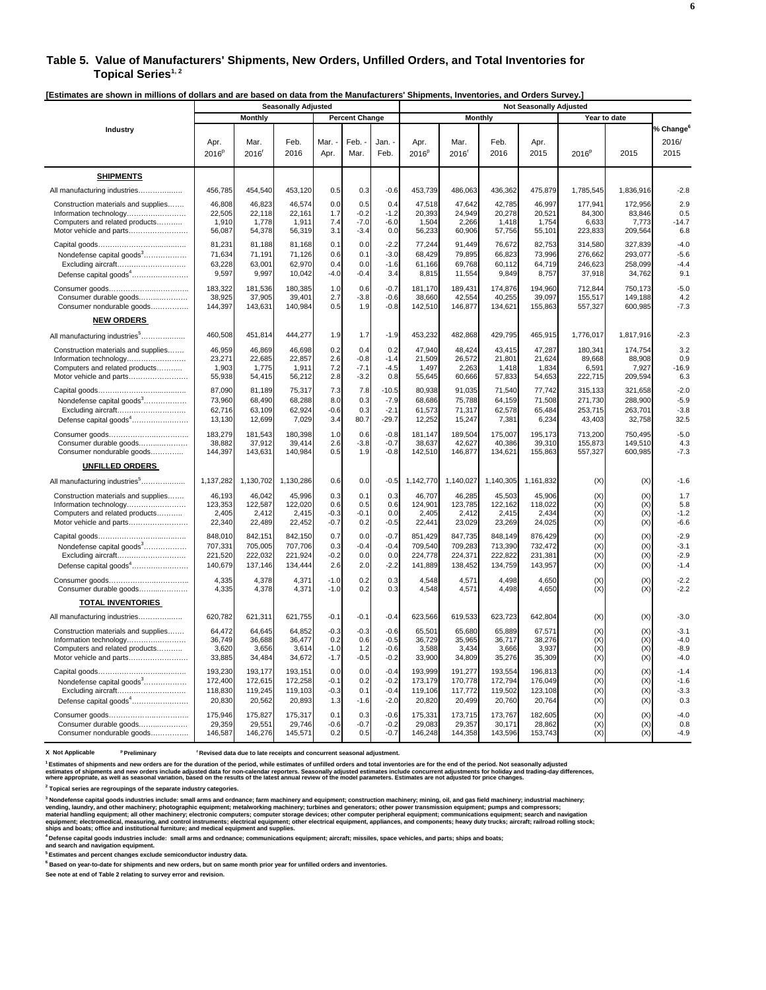#### **Table 5. Value of Manufacturers' Shipments, New Orders, Unfilled Orders, and Total Inventories for**  Topical Series<sup>1,2</sup>

**[Estimates are shown in millions of dollars and are based on data from the Manufacturers' Shipments, Inventories, and Orders Survey.]** 

|                                                                                                                            |                                                |                                                | <b>Seasonally Adjusted</b>               |                                          |                                   |                                                |                                                |                                                | <b>Not Seasonally Adjusted</b>                 |                                                |                                         |                                         |                                                |
|----------------------------------------------------------------------------------------------------------------------------|------------------------------------------------|------------------------------------------------|------------------------------------------|------------------------------------------|-----------------------------------|------------------------------------------------|------------------------------------------------|------------------------------------------------|------------------------------------------------|------------------------------------------------|-----------------------------------------|-----------------------------------------|------------------------------------------------|
|                                                                                                                            |                                                | Monthly                                        |                                          |                                          | <b>Percent Change</b>             |                                                |                                                | <b>Monthly</b>                                 |                                                |                                                |                                         | Year to date                            |                                                |
| Industry                                                                                                                   | Apr.<br>2016 <sup>p</sup>                      | Mar.<br>2016                                   | Feb.<br>2016                             | Mar.<br>Apr.                             | Feb.<br>Mar.                      | Jan. <sub>'</sub><br>Feb.                      | Apr.<br>2016 <sup>p</sup>                      | Mar.<br>2016 <sup>r</sup>                      | Feb.<br>2016                                   | Apr.<br>2015                                   | 2016 <sup>p</sup>                       | 2015                                    | % Change <sup>6</sup><br>2016/<br>2015         |
| <b>SHIPMENTS</b>                                                                                                           |                                                |                                                |                                          |                                          |                                   |                                                |                                                |                                                |                                                |                                                |                                         |                                         |                                                |
| All manufacturing industries                                                                                               | 456,785                                        | 454,540                                        | 453,120                                  | 0.5                                      | 0.3                               | $-0.6$                                         | 453,739                                        | 486,063                                        | 436,362                                        | 475,879                                        | 1,785,545                               | 1,836,916                               | $-2.8$                                         |
| Construction materials and supplies<br>Information technology<br>Computers and related products<br>Motor vehicle and parts | 46,808<br>22,505<br>1,910<br>56,087            | 46,823<br>22,118<br>1,778<br>54,378            | 46,574<br>22,161<br>1,911<br>56,319      | 0.0<br>1.7<br>7.4<br>3.1                 | 0.5<br>$-0.2$<br>$-7.0$<br>$-3.4$ | 0.4<br>$-1.2$<br>$-6.0$<br>0.0                 | 47,518<br>20,393<br>1,504<br>56,233            | 47,642<br>24,949<br>2,266<br>60,906            | 42,785<br>20,278<br>1,418<br>57,756            | 46,997<br>20,521<br>1,754<br>55,101            | 177,941<br>84,300<br>6.633<br>223,833   | 172,956<br>83,846<br>7,773<br>209,564   | 2.9<br>0.5<br>$-14.7$<br>6.8                   |
| Nondefense capital goods <sup>3</sup><br>Excluding aircraft<br>Defense capital goods <sup>4</sup>                          | 81,231<br>71,634<br>63,228<br>9,597            | 81,188<br>71.191<br>63,001<br>9,997            | 81,168<br>71.126<br>62,970<br>10,042     | 0.1<br>0.6<br>0.4<br>$-4.0$              | 0.0<br>0.1<br>0.0<br>$-0.4$       | $-2.2$<br>$-3.0$<br>$-1.6$<br>3.4              | 77,244<br>68.429<br>61,166<br>8,815            | 91,449<br>79.895<br>69,768<br>11,554           | 76,672<br>66.823<br>60,112<br>9,849            | 82,753<br>73.996<br>64,719<br>8,757            | 314,580<br>276.662<br>246,623<br>37,918 | 327,839<br>293.077<br>258,099<br>34,762 | $-4.0$<br>$-5.6$<br>$-4.4$<br>9.1              |
| Consumer durable goods<br>Consumer nondurable goods                                                                        | 183,322<br>38,925<br>144,397                   | 181.536<br>37,905<br>143,631                   | 180.385<br>39,401<br>140,984             | 1.0<br>2.7<br>0.5                        | 0.6<br>$-3.8$<br>1.9              | $-0.7$<br>$-0.6$<br>$-0.8$                     | 181,170<br>38,660<br>142,510                   | 189.431<br>42,554<br>146,877                   | 174,876<br>40,255<br>134,621                   | 194.960<br>39,097<br>155,863                   | 712.844<br>155,517<br>557,327           | 750.173<br>149,188<br>600,985           | $-5.0$<br>4.2<br>$-7.3$                        |
| <b>NEW ORDERS</b>                                                                                                          |                                                |                                                |                                          |                                          |                                   |                                                |                                                |                                                |                                                |                                                |                                         |                                         |                                                |
| All manufacturing industries <sup>5</sup>                                                                                  | 460,508                                        | 451,814                                        | 444,277                                  | 1.9                                      | 1.7                               | $-1.9$                                         | 453,232                                        | 482,868                                        | 429,795                                        | 465,915                                        | 1,776,017                               | 1,817,916                               | $-2.3$                                         |
| Construction materials and supplies<br>Information technology<br>Computers and related products<br>Motor vehicle and parts | 46,959<br>23,271<br>1,903<br>55,938            | 46,869<br>22,685<br>1,775<br>54,415            | 46,698<br>22,857<br>1,911<br>56,212      | 0.2<br>2.6<br>7.2<br>2.8                 | 0.4<br>$-0.8$<br>$-7.1$<br>$-3.2$ | 0.2<br>$-1.4$<br>$-4.5$<br>0.8                 | 47,940<br>21,509<br>1,497<br>55,645            | 48,424<br>26,572<br>2,263<br>60,666            | 43,415<br>21,801<br>1,418<br>57,833            | 47,287<br>21,624<br>1,834<br>54,653            | 180,341<br>89,668<br>6,591<br>222,715   | 174,754<br>88,908<br>7,927<br>209,594   | 3.2<br>0.9<br>$-16.9$<br>6.3                   |
| Nondefense capital goods <sup>3</sup><br>Excluding aircraft<br>Defense capital goods <sup>4</sup>                          | 87,090<br>73,960<br>62,716<br>13,130           | 81,189<br>68,490<br>63,109<br>12,699           | 75,317<br>68,288<br>62,924<br>7,029      | 7.3<br>8.0<br>$-0.6$<br>3.4              | 7.8<br>0.3<br>0.3<br>80.7         | $-10.5$<br>$-7.9$<br>$-2.1$<br>$-29.7$         | 80,938<br>68,686<br>61,573<br>12,252           | 91,035<br>75,788<br>71,317<br>15,247           | 71,540<br>64,159<br>62,578<br>7,381            | 77,742<br>71,508<br>65,484<br>6,234            | 315,133<br>271,730<br>253,715<br>43,403 | 321,658<br>288,900<br>263,701<br>32,758 | $-2.0$<br>$-5.9$<br>$-3.8$<br>32.5             |
| Consumer durable goods<br>Consumer nondurable goods                                                                        | 183,279<br>38,882<br>144,397                   | 181,543<br>37,912<br>143,631                   | 180,398<br>39,414<br>140,984             | 1.0<br>2.6<br>0.5                        | 0.6<br>$-3.8$<br>1.9              | $-0.8$<br>$-0.7$<br>$-0.8$                     | 181,147<br>38,637<br>142,510                   | 189,504<br>42,627<br>146,877                   | 175,007<br>40,386<br>134,621                   | 195,173<br>39,310<br>155,863                   | 713,200<br>155,873<br>557,327           | 750,495<br>149,510<br>600,985           | $-5.0$<br>4.3<br>$-7.3$                        |
| <b>UNFILLED ORDERS</b>                                                                                                     |                                                |                                                |                                          |                                          |                                   |                                                |                                                |                                                |                                                |                                                |                                         |                                         |                                                |
| All manufacturing industries <sup>5</sup>                                                                                  | 1,137,282                                      | 1,130,702                                      | 1,130,286                                | 0.6                                      | 0.0                               | $-0.5$                                         | 1,142,770                                      | 1,140,027                                      | 1,140,305                                      | 1,161,832                                      | (X)                                     | (X)                                     | $-1.6$                                         |
| Construction materials and supplies<br>Information technology<br>Computers and related products<br>Motor vehicle and parts | 46,193<br>123,353<br>2,405<br>22,340           | 46.042<br>122.587<br>2,412<br>22,489           | 45,996<br>122.020<br>2,415<br>22,452     | 0.3<br>0.6<br>$-0.3$<br>$-0.7$           | 0.1<br>0.5<br>$-0.1$<br>0.2       | 0.3<br>0.6<br>0.0<br>$-0.5$                    | 46,707<br>124.901<br>2,405<br>22,441           | 46,285<br>123.785<br>2.412<br>23,029           | 45.503<br>122.162<br>2,415<br>23,269           | 45,906<br>118,022<br>2,434<br>24,025           | (X)<br>(X)<br>(X)<br>(X)                | (X)<br>(X)<br>(X)<br>(X)                | 1.7<br>5.8<br>$-1.2$<br>$-6.6$                 |
| Nondefense capital goods <sup>3</sup><br>Excluding aircraft<br>Defense capital goods <sup>4</sup>                          | 848,010<br>707,331<br>221,520<br>140,679       | 842,151<br>705,005<br>222,032<br>137,146       | 842,150<br>707,706<br>221,924<br>134,444 | 0.7<br>0.3<br>$-0.2$<br>2.6              | 0.0<br>$-0.4$<br>0.0<br>2.0       | $-0.7$<br>$-0.4$<br>0.0<br>$-2.2$              | 851,429<br>709,540<br>224,778<br>141,889       | 847,735<br>709,283<br>224,371<br>138,452       | 848,149<br>713,390<br>222,822<br>134,759       | 876,429<br>732,472<br>231,381<br>143,957       | (X)<br>(X)<br>(X)<br>(X)                | (X)<br>(X)<br>(X)<br>(X)                | $-2.9$<br>$-3.1$<br>$-2.9$<br>$-1.4$           |
| Consumer durable goods                                                                                                     | 4,335<br>4,335                                 | 4,378<br>4,378                                 | 4,371<br>4,371                           | $-1.0$<br>$-1.0$                         | 0.2<br>0.2                        | 0.3<br>0.3                                     | 4,548<br>4,548                                 | 4,57'<br>4,571                                 | 4,498<br>4,498                                 | 4,650<br>4,650                                 | (X)<br>(X)                              | (X)<br>(X)                              | $-2.2$<br>$-2.2$                               |
| <b>TOTAL INVENTORIES</b>                                                                                                   |                                                |                                                |                                          |                                          |                                   |                                                |                                                |                                                |                                                |                                                |                                         |                                         |                                                |
| All manufacturing industries                                                                                               | 620,782                                        | 621,311                                        | 621,755                                  | $-0.1$                                   | $-0.1$                            | $-0.4$                                         | 623,566                                        | 619,533                                        | 623,723                                        | 642,804                                        | (X)                                     | (X)                                     | $-3.0$                                         |
| Construction materials and supplies<br>Information technology<br>Computers and related products<br>Motor vehicle and parts | 64,472<br>36,749<br>3,620<br>33,885<br>193,230 | 64,645<br>36,688<br>3,656<br>34,484<br>193,177 | 64,852<br>36,477<br>3,614<br>34,672      | $-0.3$<br>0.2<br>$-1.0$<br>$-1.7$<br>0.0 | $-0.3$<br>0.6<br>1.2<br>$-0.5$    | $-0.6$<br>$-0.5$<br>$-0.6$<br>$-0.2$<br>$-0.4$ | 65,501<br>36,729<br>3,588<br>33,900<br>193,999 | 65,680<br>35,965<br>3,434<br>34,809<br>191,277 | 65,889<br>36,717<br>3,666<br>35,276<br>193,554 | 67,571<br>38,276<br>3,937<br>35,309<br>196,813 | (X)<br>(X)<br>(X)<br>(X)                | (X)<br>(X)<br>(X)<br>(X)                | $-3.1$<br>$-4.0$<br>$-8.9$<br>$-4.0$<br>$-1.4$ |
| Nondefense capital goods <sup>3</sup><br>Excluding aircraft<br>Defense capital goods <sup>4</sup>                          | 172,400<br>118,830<br>20,830                   | 172,615<br>119,245<br>20,562                   | 193,151<br>172,258<br>119,103<br>20,893  | $-0.1$<br>$-0.3$<br>1.3                  | 0.0<br>0.2<br>0.1<br>$-1.6$       | $-0.2$<br>$-0.4$<br>$-2.0$                     | 173,179<br>119,106<br>20,820                   | 170,778<br>117,772<br>20,499                   | 172,794<br>119,502<br>20,760                   | 176,049<br>123,108<br>20,764                   | (X)<br>(X)<br>(X)<br>(X)                | (X)<br>(X)<br>(X)<br>(X)                | $-1.6$<br>$-3.3$<br>0.3                        |
| Consumer durable goods<br>Consumer nondurable goods                                                                        | 175,946<br>29,359<br>146,587                   | 175,827<br>29,551<br>146,276                   | 175,317<br>29,746<br>145,571             | 0.1<br>$-0.6$<br>0.2                     | 0.3<br>$-0.7$<br>0.5              | $-0.6$<br>$-0.2$<br>$-0.7$                     | 175,331<br>29,083<br>146,248                   | 173,715<br>29,357<br>144,358                   | 173,767<br>30,171<br>143,596                   | 182.605<br>28,862<br>153,743                   | (X)<br>(X)<br>(X)                       | (X)<br>(X)<br>(X)                       | $-4.0$<br>0.8<br>$-4.9$                        |

**X** Not Applicable <sup>p</sup> Preliminary <sup>r</sup> Revised data due to late receipts and concurrent seasonal adjustment.

.<br>Estimates of shipments and new orders are for the duration of the period, while estimates of unfilled orders and total inventories are for the end of the period. Not seasonally adjusted<br>estimates of shipments and new ord

**2 Topical series are regroupings of the separate industry categories.**

<sup>3</sup> Nondefense capital goods industries include: small arms and ordnance; farm machinery and equipment; construction machinery; mining, oil, and gas field machinery; industrial machinery;<br>vending, laundry, and other machin

**4 Defense capital goods industries include: small arms and ordnance; communications equipment; aircraft; missiles, space vehicles, and parts; ships and boats; and search and navigation equipment.**

**5 Estimates and percent changes exclude semiconductor industry data.** 

**6 Based on year-to-date for shipments and new orders, but on same month prior year for unfilled orders and inventories.**

**See note at end of Table 2 relating to survey error and revision.**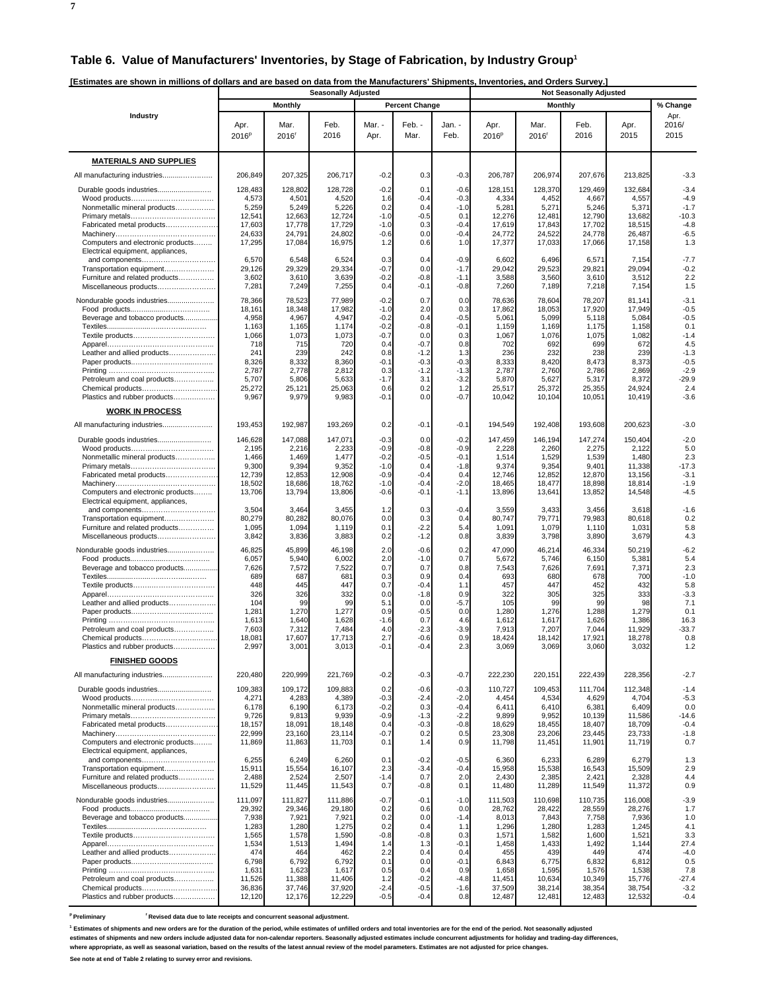**7**

| [Estimates are shown in millions of dollars and are based on data from the Manufacturers' Shipments, Inventories, and Orders Survey.] |  |  |
|---------------------------------------------------------------------------------------------------------------------------------------|--|--|
|                                                                                                                                       |  |  |
|                                                                                                                                       |  |  |

|                                                                        |                           |                  | <b>Seasonally Adjusted</b> |                  |                       |                  |                           |                           |                  |                  |                       |
|------------------------------------------------------------------------|---------------------------|------------------|----------------------------|------------------|-----------------------|------------------|---------------------------|---------------------------|------------------|------------------|-----------------------|
|                                                                        |                           | <b>Monthly</b>   |                            |                  | <b>Percent Change</b> |                  |                           | <b>Monthly</b>            |                  |                  | % Change              |
| Industry                                                               | Apr.<br>2016 <sup>p</sup> | Mar.<br>2016     | Feb.<br>2016               | Mar. -<br>Apr.   | Feb. -<br>Mar.        | Jan. -<br>Feb.   | Apr.<br>2016 <sup>p</sup> | Mar.<br>2016 <sup>r</sup> | Feb.<br>2016     | Apr.<br>2015     | Apr.<br>2016/<br>2015 |
| <b>MATERIALS AND SUPPLIES</b>                                          |                           |                  |                            |                  |                       |                  |                           |                           |                  |                  |                       |
| All manufacturing industries                                           | 206,849                   | 207,325          | 206,717                    | $-0.2$           | 0.3                   | $-0.3$           | 206,787                   | 206.974                   | 207,676          | 213,825          | $-3.3$                |
| Durable goods industries                                               | 128,483                   | 128,802          | 128,728                    | $-0.2$           | 0.1                   | $-0.6$           | 128,151                   | 128,370                   | 129,469          | 132,684          | $-3.4$                |
|                                                                        | 4,573<br>5,259            | 4,501            | 4,520                      | 1.6<br>0.2       | $-0.4$<br>0.4         | $-0.3$<br>$-1.0$ | 4,334                     | 4,452                     | 4,667            | 4,557            | $-4.9$<br>$-1.7$      |
| Nonmetallic mineral products                                           | 12,541                    | 5,249<br>12,663  | 5,226<br>12,724            | $-1.0$           | $-0.5$                | 0.1              | 5,281<br>12,276           | 5,271<br>12,481           | 5,246<br>12,790  | 5,371<br>13,682  | $-10.3$               |
| Fabricated metal products                                              | 17,603<br>24,633          | 17,778<br>24,791 | 17,729<br>24,802           | $-1.0$<br>$-0.6$ | 0.3<br>0.0            | $-0.4$<br>$-0.4$ | 17,619<br>24,772          | 17,843<br>24,522          | 17,702<br>24,778 | 18,515<br>26,487 | $-4.8$<br>$-6.5$      |
| Computers and electronic products                                      | 17,295                    | 17,084           | 16,975                     | 1.2              | 0.6                   | 1.0              | 17,377                    | 17,033                    | 17,066           | 17,158           | 1.3                   |
| Electrical equipment, appliances,<br>and components                    | 6,570                     | 6,548            | 6,524                      | 0.3              | 0.4                   | $-0.9$           | 6,602                     | 6,496                     | 6,571            | 7,154            | $-7.7$                |
| Transportation equipment                                               | 29,126                    | 29,329           | 29,334                     | $-0.7$           | 0.0                   | -1.7             | 29,042                    | 29,523                    | 29,821           | 29,094           | $-0.2$                |
| Furniture and related products<br>Miscellaneous products               | 3,602<br>7,28'            | 3,610<br>7,249   | 3,639<br>7,255             | $-0.2$<br>0.4    | $-0.8$<br>$-0.1$      | $-1.1$<br>$-0.8$ | 3,588<br>7,260            | 3,560<br>7,189            | 3,610<br>7,218   | 3,512<br>7,154   | 2.2<br>1.5            |
| Nondurable goods industries                                            | 78,366                    | 78,523           | 77,989                     | $-0.2$           | 0.7                   | 0.0              | 78,636                    | 78,604                    | 78,207           | 81,141           | $-3.1$                |
|                                                                        | 18,16'                    | 18,348           | 17,982                     | $-1.0$           | 2.0                   | 0.3              | 17,862                    | 18,053                    | 17,920           | 17,949           | $-0.5$                |
| Beverage and tobacco products                                          | 4,958<br>1,163            | 4,967<br>1,165   | 4,947<br>1,174             | $-0.2$<br>$-0.2$ | 0.4<br>$-0.8$         | $-0.5$<br>$-0.1$ | 5,061<br>1,159            | 5,099<br>1,169            | 5,118<br>1,175   | 5,084<br>1,158   | $-0.5$<br>0.1         |
|                                                                        | 1,066                     | 1,073            | 1,073                      | -0.7             | 0.0                   | 0.3              | 1,067                     | 1,076                     | 1,075            | 1,082            | $-1.4$                |
| Leather and allied products                                            | 718<br>24 <sup>°</sup>    | 715<br>239       | 720<br>242                 | 0.4<br>0.8       | $-0.7$<br>$-1.2$      | 0.8<br>1.3       | 702<br>236                | 692<br>232                | 699<br>238       | 672<br>239       | 4.5<br>$-1.3$         |
|                                                                        | 8,326                     | 8,332            | 8,360                      | $-0.1$           | $-0.3$                | $-0.3$           | 8,333                     | 8,420                     | 8,473            | 8,373            | $-0.5$                |
| Petroleum and coal products                                            | 2,787<br>5,707            | 2,778<br>5,806   | 2,812<br>5,633             | 0.3<br>$-1.7$    | $-1.2$<br>3.1         | $-1.3$<br>$-3.2$ | 2,787<br>5,870            | 2,760<br>5,627            | 2,786<br>5,317   | 2,869<br>8,372   | $-2.9$<br>$-29.9$     |
| Chemical products                                                      | 25,272                    | 25,121           | 25,063                     | 0.6              | 0.2                   | 1.2              | 25,517                    | 25,372                    | 25,355           | 24,924           | 2.4                   |
| Plastics and rubber products                                           | 9,967                     | 9,979            | 9,983                      | $-0.1$           | 0.0                   | $-0.7$           | 10,042                    | 10,104                    | 10,051           | 10,419           | $-3.6$                |
| <b>WORK IN PROCESS</b>                                                 |                           |                  |                            |                  |                       |                  |                           |                           |                  |                  |                       |
| All manufacturing industries                                           | 193,453                   | 192,987          | 193,269                    | 0.2              | $-0.1$                | $-0.1$           | 194,549                   | 192,408                   | 193,608          | 200,623          | $-3.0$                |
| Durable goods industries                                               | 146,628<br>2,195          | 147,088<br>2,216 | 147,071<br>2,233           | $-0.3$<br>$-0.9$ | 0.0<br>$-0.8$         | $-0.2$<br>$-0.9$ | 147,459<br>2,228          | 146,194<br>2,260          | 147,274<br>2,275 | 150,404<br>2,122 | $-2.0$<br>5.0         |
| Nonmetallic mineral products                                           | 1,466                     | 1,469            | 1,477                      | $-0.2$           | $-0.5$                | $-0.1$           | 1,514                     | 1,529                     | 1,539            | 1,480            | 2.3                   |
| Fabricated metal products                                              | 9,300<br>12,739           | 9,394<br>12,853  | 9,352<br>12,908            | $-1.0$<br>$-0.9$ | 0.4<br>$-0.4$         | $-1.8$<br>0.4    | 9,374<br>12,746           | 9,354<br>12,852           | 9,401<br>12,870  | 11,338<br>13,156 | $-17.3$<br>$-3.1$     |
|                                                                        | 18,502                    | 18,686           | 18,762                     | $-1.0$           | $-0.4$                | $-2.0$           | 18,465                    | 18,477                    | 18,898           | 18,814           | $-1.9$                |
| Computers and electronic products<br>Electrical equipment, appliances, | 13,706                    | 13,794           | 13,806                     | $-0.6$           | $-0.1$                | $-1.1$           | 13,896                    | 13,641                    | 13,852           | 14,548           | $-4.5$                |
| and components                                                         | 3,504<br>80,279           | 3,464            | 3,455<br>80,076            | 1.2<br>0.0       | 0.3                   | $-0.4$<br>0.4    | 3,559<br>80,747           | 3,433<br>79,771           | 3,456<br>79,983  | 3,618<br>80,618  | $-1.6$<br>0.2         |
| Transportation equipment<br>Furniture and related products             | 1,095                     | 80,282<br>1,094  | 1,119                      | 0.1              | 0.3<br>$-2.2$         | 5.4              | 1,091                     | 1,079                     | 1,110            | 1,031            | 5.8                   |
| Miscellaneous products                                                 | 3,842                     | 3,836            | 3,883                      | 0.2              | $-1.2$                | 0.8              | 3,839                     | 3,798                     | 3,890            | 3,679            | 4.3                   |
| Nondurable goods industries                                            | 46,825<br>6,057           | 45,899<br>5,940  | 46,198<br>6,002            | 2.0<br>2.0       | $-0.6$<br>$-1.0$      | 0.2<br>0.7       | 47,090<br>5,672           | 46,214<br>5,746           | 46,334<br>6,150  | 50,219<br>5,381  | $-6.2$<br>5.4         |
| Beverage and tobacco products                                          | 7,626                     | 7,572            | 7,522                      | 0.7              | 0.7                   | 0.8              | 7,543                     | 7,626                     | 7,691            | 7,371            | 2.3                   |
|                                                                        | 689<br>448                | 687<br>445       | 681<br>447                 | 0.3<br>0.7       | 0.9<br>$-0.4$         | 0.4<br>1.1       | 693<br>457                | 680<br>447                | 678<br>452       | 700<br>432       | $-1.0$<br>5.8         |
|                                                                        | 326                       | 326              | 332                        | 0.0              | $-1.8$                | 0.9              | 322                       | 305                       | 325              | 333              | $-3.3$                |
| Leather and allied products                                            | 104<br>1,281              | 99<br>1,270      | 99<br>1,277                | 5.1<br>0.9       | 0.0<br>$-0.5$         | $-5.7$<br>0.0    | 105<br>1,280              | 99<br>1,276               | 99<br>1,288      | 98<br>1,279      | 7.1<br>0.1            |
|                                                                        | 1,613                     | 1,640            | 1,628                      | $-1.6$           | 0.7                   | 4.6              | 1,612                     | 1,617                     | 1,626            | 1,386            | 16.3                  |
| Petroleum and coal products<br>Chemical products                       | 7,603<br>18,081           | 7,312<br>17,607  | 7,484<br>17,713            | 4.0<br>2.7       | $-2.3$<br>$-0.6$      | $-3.9$<br>0.9    | 7,913<br>18,424           | 7,207<br>18,142           | 7,044<br>17,921  | 11,929<br>18,278 | $-33.7$<br>0.8        |
| Plastics and rubber products                                           | 2,99.                     | 3,00             | 3,013                      | -0.1             | ، ن-                  |                  | 3,069                     | 3,069                     | 3,060            | 3,032            | 1.2                   |
| <b>FINISHED GOODS</b>                                                  |                           |                  |                            |                  |                       |                  |                           |                           |                  |                  |                       |
| All manufacturing industries                                           | 220,480                   | 220,999          | 221,769                    | $-0.2$           | $-0.3$                | $-0.7$           | 222,230                   | 220,151                   | 222,439          | 228,356          | $-2.7$                |
| Durable goods industries                                               | 109,383                   | 109,172          | 109.883                    | 0.2              | $-0.6$                | $-0.3$           | 110,727                   | 109,453                   | 111,704          | 112,348          | $-1.4$                |
| Nonmetallic mineral products                                           | 4,271<br>6,178            | 4,283<br>6,190   | 4,389<br>6,173             | $-0.3$<br>$-0.2$ | $-2.4$<br>0.3         | $-2.0$<br>$-0.4$ | 4,454<br>6,411            | 4,534<br>6,410            | 4,629<br>6,381   | 4,704<br>6,409   | $-5.3$<br>0.0         |
|                                                                        | 9,726                     | 9,813            | 9,939                      | $-0.9$           | $-1.3$                | $-2.2$           | 9,899                     | 9,952                     | 10,139           | 11,586           | $-14.6$               |
| Fabricated metal products                                              | 18,157<br>22,999          | 18,091<br>23,160 | 18,148<br>23,114           | 0.4<br>$-0.7$    | $-0.3$<br>0.2         | $-0.8$<br>0.5    | 18,629<br>23,308          | 18,455<br>23,206          | 18,407<br>23,445 | 18,709<br>23,733 | $-0.4$<br>$-1.8$      |
| Computers and electronic products                                      | 11,869                    | 11,863           | 11,703                     | 0.1              | 1.4                   | 0.9              | 11,798                    | 11,451                    | 11,901           | 11,719           | 0.7                   |
| Electrical equipment, appliances,<br>and components                    | 6,255                     | 6,249            | 6,260                      | 0.1              | $-0.2$                | $-0.5$           | 6,360                     | 6,233                     | 6,289            | 6,279            | 1.3                   |
| Transportation equipment                                               | 15,911                    | 15,554           | 16,107                     | 2.3              | $-3.4$                | $-0.4$           | 15,958                    | 15,538                    | 16,543           | 15,509           | 2.9                   |
| Furniture and related products<br>Miscellaneous products               | 2,488<br>11,529           | 2,524<br>11,445  | 2,507<br>11,543            | $-1.4$<br>0.7    | 0.7<br>$-0.8$         | 2.0<br>0.1       | 2,430<br>11,480           | 2,385<br>11,289           | 2,421<br>11,549  | 2,328<br>11,372  | 4.4<br>0.9            |
| Nondurable goods industries                                            | 111,097                   | 111,827          | 111,886                    | $-0.7$           | $-0.1$                | $-1.0$           | 111,503                   | 110,698                   | 110,735          | 116,008          | $-3.9$                |
|                                                                        | 29,392                    | 29,346           | 29,180                     | 0.2              | 0.6                   | 0.0              | 28,762                    | 28,422                    | 28,559           | 28,276           | 1.7                   |
| Beverage and tobacco products                                          | 7,938<br>1,283            | 7,921<br>1,280   | 7,921<br>1,275             | 0.2<br>0.2       | 0.0<br>0.4            | $-1.4$<br>1.1    | 8,013<br>1,296            | 7,843<br>1,280            | 7,758<br>1,283   | 7,936<br>1,245   | 1.0<br>4.1            |
|                                                                        | 1,565                     | 1,578            | 1,590                      | $-0.8$           | $-0.8$                | 0.3              | 1,571                     | 1,582                     | 1,600            | 1,521            | 3.3                   |
| Leather and allied products                                            | 1,534<br>474              | 1,513<br>464     | 1,494<br>462               | 1.4<br>2.2       | 1.3<br>0.4            | $-0.1$<br>0.4    | 1,458<br>455              | 1,433<br>439              | 1,492<br>449     | 1,144<br>474     | 27.4<br>$-4.0$        |
|                                                                        | 6,798                     | 6,792            | 6,792                      | 0.1              | 0.0                   | $-0.1$           | 6,843                     | 6,775                     | 6,832            | 6,812            | 0.5                   |
| Petroleum and coal products                                            | 1,631<br>11,526           | 1,623<br>11,388  | 1,617<br>11,406            | 0.5<br>1.2       | 0.4<br>$-0.2$         | 0.9<br>$-4.8$    | 1,658<br>11,451           | 1,595<br>10,634           | 1,576<br>10,349  | 1,538<br>15,776  | 7.8<br>$-27.4$        |
| Chemical products<br>Plastics and rubber products                      | 36,836<br>12,120          | 37,746<br>12,176 | 37,920<br>12,229           | $-2.4$<br>$-0.5$ | $-0.5$<br>$-0.4$      | $-1.6$<br>0.8    | 37,509<br>12,487          | 38,214<br>12,481          | 38,354<br>12,483 | 38,754<br>12,532 | $-3.2$<br>$-0.4$      |
|                                                                        |                           |                  |                            |                  |                       |                  |                           |                           |                  |                  |                       |

<sup>p</sup> Preliminary **revised data due to late receipts and concurrent seasonal adjustment.** 

<sup>1</sup> Estimates of shipments and new orders are for the duration of the period, while estimates of unfilled orders and total inventories are for the end of the period. Not seasonally adjusted

**estimates of shipments and new orders include adjusted data for non-calendar reporters. Seasonally adjusted estimates include concurrent adjustments for holiday and trading-day differences,**

**where appropriate, as well as seasonal variation, based on the results of the latest annual review of the model parameters. Estimates are not adjusted for price changes.**

**See note at end of Table 2 relating to survey error and revisions.**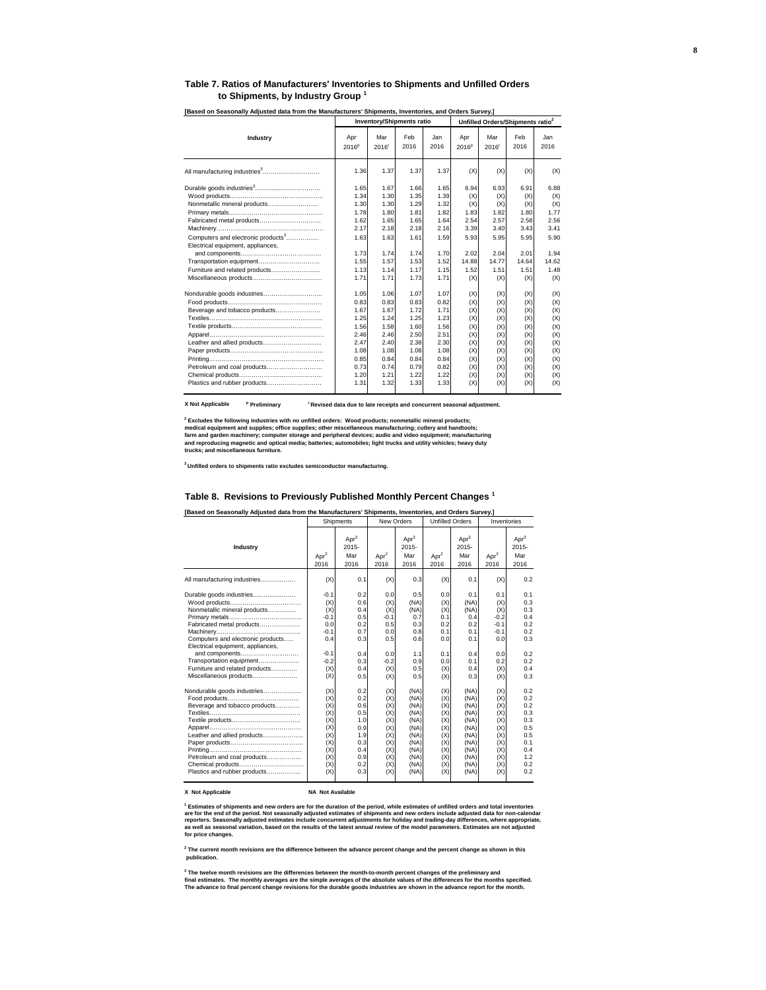#### **Table 7. Ratios of Manufacturers' Inventories to Shipments and Unfilled Orders to Shipments, by Industry Group <sup>1</sup>**

|                                                                                                                                                                                                                |                                                                                                      | <b>Inventory/Shipments ratio</b>                                                                     |                                                                                                      |                                                                                                      |                                                                                         | Unfilled Orders/Shipments ratio <sup>2</sup>                                            |                                                                                         |                                                                                         |
|----------------------------------------------------------------------------------------------------------------------------------------------------------------------------------------------------------------|------------------------------------------------------------------------------------------------------|------------------------------------------------------------------------------------------------------|------------------------------------------------------------------------------------------------------|------------------------------------------------------------------------------------------------------|-----------------------------------------------------------------------------------------|-----------------------------------------------------------------------------------------|-----------------------------------------------------------------------------------------|-----------------------------------------------------------------------------------------|
| Industry                                                                                                                                                                                                       | Apr<br>2016 <sup>p</sup>                                                                             | Mar<br>2016'                                                                                         | Feb<br>2016                                                                                          | Jan<br>2016                                                                                          | Apr<br>2016 <sup>p</sup>                                                                | Mar<br>2016 <sup>r</sup>                                                                | Feb<br>2016                                                                             | Jan<br>2016                                                                             |
| All manufacturing industries <sup>3</sup>                                                                                                                                                                      | 1.36                                                                                                 | 1.37                                                                                                 | 1.37                                                                                                 | 1.37                                                                                                 | (X)                                                                                     | (X)                                                                                     | (X)                                                                                     | (X)                                                                                     |
| Nonmetallic mineral products<br>Fabricated metal products<br>Computers and electronic products <sup>3</sup><br>Electrical equipment, appliances,<br>Transportation equipment<br>Furniture and related products | 1.65<br>1.34<br>1.30<br>1.78<br>1.62<br>2.17<br>1.63<br>1.73<br>1.55<br>1.13                         | 1.67<br>1.30<br>1.30<br>1.80<br>1.65<br>2.18<br>1.63<br>1.74<br>1.57<br>1.14                         | 1.66<br>1.35<br>1.29<br>1.81<br>1.65<br>2.18<br>1.61<br>1.74<br>1.53<br>1.17                         | 1.65<br>1.39<br>1.32<br>1.82<br>1.64<br>2.16<br>1.59<br>1.70<br>1.52<br>1.15                         | 6.94<br>(X)<br>(X)<br>1.83<br>2.54<br>3.39<br>5.93<br>2.02<br>14.88<br>1.52             | 6.93<br>(X)<br>(X)<br>1.82<br>2.57<br>3.40<br>5.95<br>2.04<br>14.77<br>1.51             | 6.91<br>(X)<br>(X)<br>1.80<br>2.58<br>3.43<br>5.95<br>2.01<br>14.64<br>1.51             | 6.88<br>(X)<br>(X)<br>1.77<br>2.56<br>3.41<br>5.90<br>1.94<br>14.62<br>1.48             |
| Beverage and tobacco products<br>Leather and allied products<br>Petroleum and coal products<br>Plastics and rubber products                                                                                    | 1.71<br>1.05<br>0.83<br>1.67<br>1.25<br>1.56<br>2.46<br>2.47<br>1.08<br>0.85<br>0.73<br>1.20<br>1.31 | 1.71<br>1.06<br>0.83<br>1.67<br>1.24<br>1.58<br>2.46<br>2.40<br>1.08<br>0.84<br>0.74<br>1.21<br>1.32 | 1.73<br>1.07<br>0.83<br>1.72<br>1.25<br>1.60<br>2.50<br>2.38<br>1.08<br>0.84<br>0.79<br>1.22<br>1.33 | 1.71<br>1.07<br>0.82<br>1.71<br>1.23<br>1.56<br>2.51<br>2.30<br>1.08<br>0.84<br>0.82<br>1.22<br>1.33 | (X)<br>(X)<br>(X)<br>(X)<br>(X)<br>(X)<br>(X)<br>(X)<br>(X)<br>(X)<br>(X)<br>(X)<br>(X) | (X)<br>(X)<br>(X)<br>(X)<br>(X)<br>(X)<br>(X)<br>(X)<br>(X)<br>(X)<br>(X)<br>(X)<br>(X) | (X)<br>(X)<br>(X)<br>(X)<br>(X)<br>(X)<br>(X)<br>(X)<br>(X)<br>(X)<br>(X)<br>(X)<br>(X) | (X)<br>(X)<br>(X)<br>(X)<br>(X)<br>(X)<br>(X)<br>(X)<br>(X)<br>(X)<br>(X)<br>(X)<br>(X) |

**[Based on Seasonally Adjusted data from the Manufacturers' Shipments, Inventories, and Orders Survey.]** 

**X Not Applicable <sup>p</sup>** <sup>r</sup> Revised data due to late receipts and concurrent seasonal adjustment.

<sup>2</sup> Excludes the following industries with no unfilled orders: Wood products; nonmetallic mineral products;<br>medical equipment and supplies; office supplies; other miscellaneous manufacturing; cutlery and handtools;<br>farm an

**3 Unfilled orders to shipments ratio excludes semiconductor manufacturing.**

#### **Table 8. Revisions to Previously Published Monthly Percent Changes 1**

|                                                                                                                                                                                                                                                                           |                                                                                          | Shipments                                                                        | New Orders                                                                       |                                                                                              | <b>Unfilled Orders</b>                                                           |                                                                                              | Inventories                                                                        |                                                                                  |
|---------------------------------------------------------------------------------------------------------------------------------------------------------------------------------------------------------------------------------------------------------------------------|------------------------------------------------------------------------------------------|----------------------------------------------------------------------------------|----------------------------------------------------------------------------------|----------------------------------------------------------------------------------------------|----------------------------------------------------------------------------------|----------------------------------------------------------------------------------------------|------------------------------------------------------------------------------------|----------------------------------------------------------------------------------|
| Industry                                                                                                                                                                                                                                                                  | Apr <sup>2</sup><br>2016                                                                 | Apr <sup>3</sup><br>$2015 -$<br>Mar<br>2016                                      | Apr <sup>2</sup><br>2016                                                         | Apr <sup>3</sup><br>2015-<br>Mar<br>2016                                                     | Apr <sup>2</sup><br>2016                                                         | Apr <sup>3</sup><br>$2015 -$<br>Mar<br>2016                                                  | Apr <sup>2</sup><br>2016                                                           | Apr <sup>3</sup><br>$2015 -$<br>Mar<br>2016                                      |
| All manufacturing industries                                                                                                                                                                                                                                              | (X)                                                                                      | 0.1                                                                              | (X)                                                                              | 0.3                                                                                          | (X)                                                                              | 0.1                                                                                          | (X)                                                                                | 0.2                                                                              |
| Durable goods industries<br>Nonmetallic mineral products<br>Fabricated metal products<br>Computers and electronic products<br>Electrical equipment, appliances,<br>and components<br>Transportation equipment<br>Furniture and related products<br>Miscellaneous products | $-0.1$<br>(X)<br>(X)<br>$-0.1$<br>0.0<br>$-0.1$<br>0.4<br>$-0.1$<br>$-0.2$<br>(X)<br>(X) | 0.2<br>0.6<br>0.4<br>0.5<br>0.2<br>0.7<br>0.3<br>0.4<br>0.3<br>0.4<br>0.5        | 0.0<br>(X)<br>(X)<br>$-0.1$<br>0.5<br>0.0<br>0.5<br>0.0<br>$-0.2$<br>(X)<br>(X)  | 0.5<br>(NA)<br>(NA)<br>0.7<br>0.3<br>0.8<br>0.6<br>1.1<br>0.9<br>0.5<br>0.5                  | 0.0<br>(X)<br>(X)<br>0.1<br>0.2<br>0.1<br>0.0<br>0.1<br>0.0<br>(X)<br>(X)        | 0.1<br>(NA)<br>(NA)<br>0.4<br>0.2<br>0.1<br>0.1<br>0.4<br>0.1<br>0.4<br>0.3                  | 0.1<br>(X)<br>(X)<br>$-0.2$<br>$-0.1$<br>$-0.1$<br>0.0<br>0.0<br>0.2<br>(X)<br>(X) | 0.1<br>0.3<br>0.3<br>0.4<br>0.2<br>0.2<br>0.3<br>0.2<br>0.2<br>0.4<br>0.3        |
| Nondurable goods industries<br>Beverage and tobacco products<br>Leather and allied products<br>Petroleum and coal products<br>Chemical products<br>Plastics and rubber products                                                                                           | (X)<br>(X)<br>(X)<br>(X)<br>(X)<br>(X)<br>(X)<br>(X)<br>(X)<br>(X)<br>(X)<br>(X)         | 0.2<br>0.2<br>0.6<br>0.5<br>1.0<br>0.9<br>1.9<br>0.3<br>0.4<br>0.9<br>0.2<br>0.3 | (X)<br>(X)<br>(X)<br>(X)<br>(X)<br>(X)<br>(X)<br>(X)<br>(X)<br>(X)<br>(X)<br>(X) | (NA)<br>(NA)<br>(NA)<br>(NA)<br>(NA)<br>(NA)<br>(NA)<br>(NA)<br>(NA)<br>(NA)<br>(NA)<br>(NA) | (X)<br>(X)<br>(X)<br>(X)<br>(X)<br>(X)<br>(X)<br>(X)<br>(X)<br>(X)<br>(X)<br>(X) | (NA)<br>(NA)<br>(NA)<br>(NA)<br>(NA)<br>(NA)<br>(NA)<br>(NA)<br>(NA)<br>(NA)<br>(NA)<br>(NA) | (X)<br>(X)<br>(X)<br>(X)<br>(X)<br>(X)<br>(X)<br>(X)<br>(X)<br>(X)<br>(X)<br>(X)   | 0.2<br>0.2<br>0.2<br>0.3<br>0.3<br>0.5<br>0.5<br>0.1<br>0.4<br>1.2<br>0.2<br>0.2 |

#### **X Not Applicable NA Not Available**

<sup>1</sup> Estimates of shipments and new orders are for the duration of the period, while estimates of unfilled orders and total inventories<br>are for the end of the period. Not seasonally adjusted estimates of shipments and new o

**2 The current month revisions are the difference between the advance percent change and the percent change as shown in this publication.**

<sup>3</sup> The twelve month revisions are the differences between the month-to-month percent changes of the preliminary and<br>final estimates. The monthly averages are the simple averages of the absolute values of the differences f